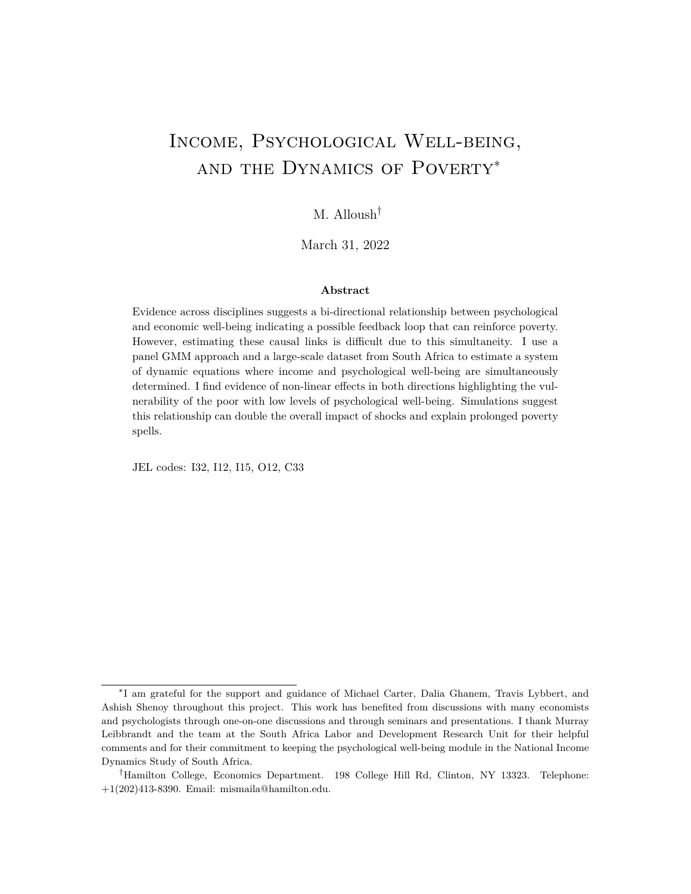# <span id="page-0-0"></span>Income, Psychological Well-being, and the Dynamics of Poverty<sup>∗</sup>

## M. Alloush†

March 31, 2022

### **Abstract**

Evidence across disciplines suggests a bi-directional relationship between psychological and economic well-being indicating a possible feedback loop that can reinforce poverty. However, estimating these causal links is difficult due to this simultaneity. I use a panel GMM approach and a large-scale dataset from South Africa to estimate a system of dynamic equations where income and psychological well-being are simultaneously determined. I find evidence of non-linear effects in both directions highlighting the vulnerability of the poor with low levels of psychological well-being. Simulations suggest this relationship can double the overall impact of shocks and explain prolonged poverty spells.

JEL codes: I32, I12, I15, O12, C33

<sup>∗</sup> I am grateful for the support and guidance of Michael Carter, Dalia Ghanem, Travis Lybbert, and Ashish Shenoy throughout this project. This work has benefited from discussions with many economists and psychologists through one-on-one discussions and through seminars and presentations. I thank Murray Leibbrandt and the team at the South Africa Labor and Development Research Unit for their helpful comments and for their commitment to keeping the psychological well-being module in the National Income Dynamics Study of South Africa.

<sup>†</sup>Hamilton College, Economics Department. 198 College Hill Rd, Clinton, NY 13323. Telephone: +1(202)413-8390. Email: mismaila@hamilton.edu.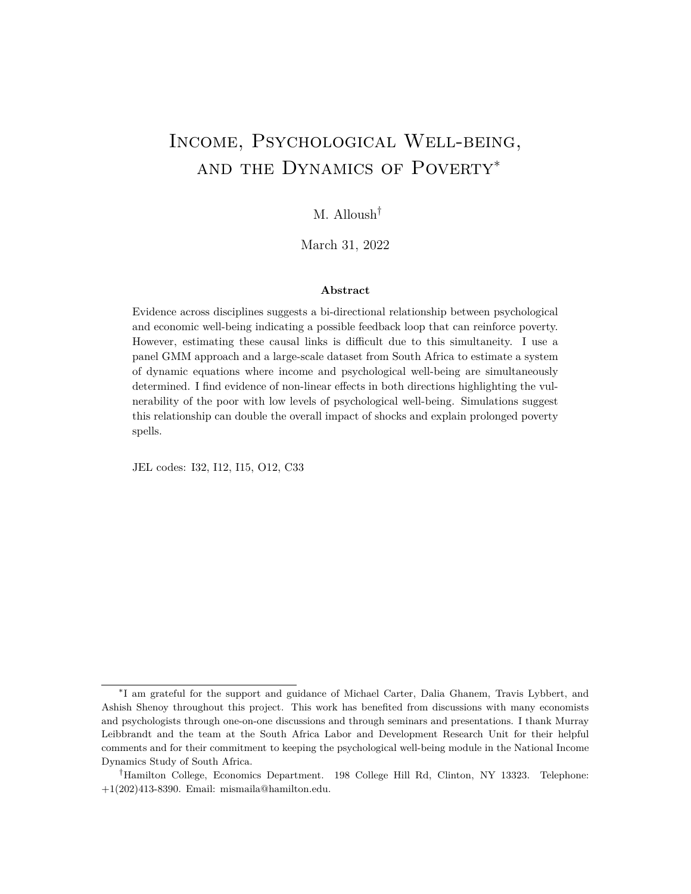## **1 Introduction**

One in five adults around the world suffers from a common psychological disorder every year; psychological disorders account for nearly 13% of the overall global disease burden (Steel et al., 2014; Collins et al., 2011). With a lifetime prevalence of nearly 20%, depression is the most common psychological disorder, estimated to affect 4.4% of adults worldwide at any given point in time (Friedrich, 2017). Psychological well-being is pertinent to economists as an important end in itself but also in part because the *lack of it* likely plays a role in shaping economic outcomes such as employment or poverty.<sup>[1](#page-0-0)</sup> However, despite the ubiquity of psychological disorders, rigorous empirical evidence on their role in determining economic outcomes and economic decision-making is limited, especially in developing countries.

This dearth of empirical evidence is, at least partially, due to the difficulty of empirically untangling the causal relationship between psychological well-being and economic outcomes such as income or employment. While a change in an individual's psychological well-being *can* influence their earnings, at the same time, their level of economic well-being likely plays a role in determining their state of mental health. In addition to other potential sources of endogeneity, this simultaneity makes it difficult to pin down estimates of causal links using observational data. While experimental and quasi-experimental studies have estimated the effect of both positive and negative income or wealth shocks on psychological well-being, estimating the opposite relationship experimentally is challenging among representative samples. In this paper, I use a dynamic panel data approach and a large representative dataset from South Africa to estimate the simultaneous relationship between economic and psychological well-being and explore its implications on the dynamics of poverty.

This bi-directionality between psychological and economic well-being and its potential to push some individuals into a vicious cycle is well established in the psychology literature. The *social drift* hypothesis posits that individuals with psychological disorders are more likely to enter into or remain in poverty due to reduced productivity, loss of earnings, and wasteful spending. At the same time, the *social causation* hypothesis states that conditions of poverty increase the risk of mental illness, and affect psychological well-being through malnutrition, violence, and social exclusion (Lund et al., 2011). Recent work in economics has suggested that this feedback loop could lead to a psychological poverty trap (Ridley et al., 2020; Haushofer, 2019). However, most evidence on the causal links is based on narrow sub-populations. Given the prevalence of psychological disorders around the world, the question as to whether the relationship between economic and psychological well-being can pose as an impediment for some to achieve their full economic potential should be of interest to economists and policymakers alike.

In this paper, I extend panel data methods popularized by Arellano and Bond (1991) and

<sup>1</sup>Depression can be debilitating to an individual, and its impact on many aspects of their life can be substantial. Depressive disorders are characterized by sadness, feelings of tiredness, loss of interest or pleasure, disturbed sleep or appetite, feelings of guilt or low self-worth, and poor concentration.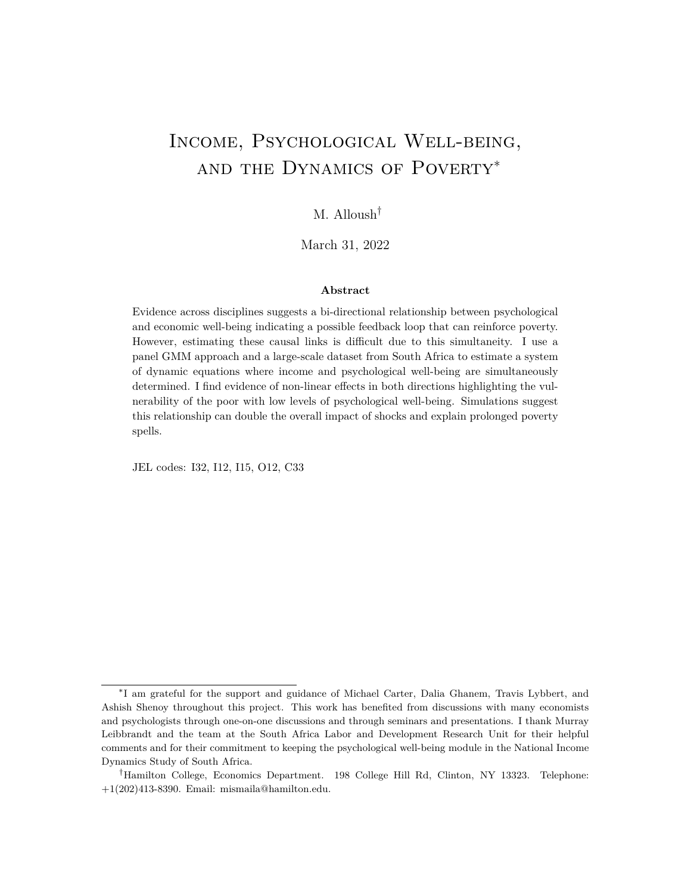use a generalized method of moments (GMM) approach to estimate a system of dynamic simultaneous equations.<sup>[2](#page-0-0)</sup> With data from the National Income Dynamics Study of South Africa I first answer two main questions: Do changes in depressive symptoms affect an individual's own income? And, does economic well-being (proxied by household income) play a significant role in determining an individual's level of depressive symptoms? The answer I find to both is yes, on average, with significant heterogeneity and non-linearity.

Further analysis shows that changes at the low end of the Center for Epidemiologic Studies Depression (CES-D) scale (few depressive symptoms) do not seem to affect income; however, for changes near the threshold used by psychologists to screen for depression at the higher end of the scale, I find large effects on individual income. The estimates predict that for an average working-age individual, a one standard deviation (SD) increase in depressive symptoms decreases their income by nearly 16%. The results suggest that one possible avenue through which this occurs is a decreased likelihood of being economically active. Turning to the opposite direction of causality, I find that a 20% decrease in household income per capita increases an individual's CES-D score by 0.4 points (0.13 SD) on average. I also find similar statistically significant estimates when using other measures of economic well-being specifically food expenditure per capita and a household wealth index. By investigating the heterogeneity by baseline poverty status, I find that the effect of changes in economic well-being is larger (nearly double) among the poor.

The relationship between psychological and economic well-being is difficult to untangle with observational data. I use an approach that controls for important individual fixed effects and time-varying individual and household characteristics, but requires assumptions on the dynamic process that I discuss in detail in Section 3 and Appendix D. The spacing of the waves and the recall periods of the questions make these assumptions more plausible: nonetheless, they are strong assumptions. I show results of the effect of income on psychological well-being using an alternative estimation method: a regression discontinuity approach requiring a different set of assumptions yet I find similar point estimates.<sup>[3](#page-0-0)</sup> The uniformity of the estimates across these methods provides support to the core results.

The results indicate that income and depressive symptoms are intertwined; still, it is clear that not every poor person suffers from depression and that not every person suffering from depression experiences significant declines in their income. While the average impacts in either direction that are both statistically and economically significant, the estimated

<sup>&</sup>lt;sup>2</sup>Starting with methods by Anderson & Hsiao (1981), Holtz-Eakin, Newey and Rosen (1988), and Arellano & Bond (1991), I show that a system of dynamic simultaneous equations can be estimated with at least four rounds of data (proofs and Monte Carlo simulations are available in the Appendix). This approach requires assumptions on the dynamic process and the correlation of shocks over time to be consistent which I discuss in detail in Section 3.

 ${}^{3}$ In Appendix C I use a local randomization (regression discontinuity) approach and leverage the threshold eligibility for the Older Person's Grant that begins at age 60 as an instrument for household income while restricting the sample to individuals living in households with economically inactive elderly in small windows around the threshold age similar to (Alloush and Wu, forthcoming).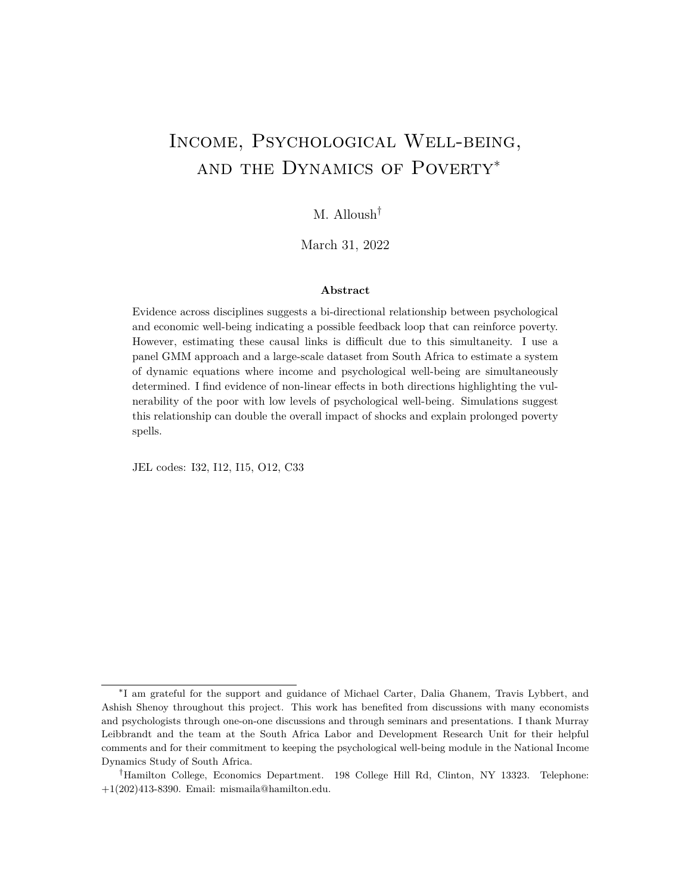dynamics do not, on average, suggest the existence of multiple-equilibrium poverty traps. The results do highlight that the poor with high levels of depressive symptoms are particularly vulnerable and may be disproportionately aected by shocks. Simulations using the estimated system of dynamic equations show that this feedback loop can explain prolonged poverty spells and reduced resilience. The simulations show that the dynamic bi-directional relationship increases vulnerability to long-term poverty up to 30 percentage points among those with low levels of psychological well-bein[g.](#page-0-0)

The literature on mental health (and specically depression) in economics is growing. Depressive disorders are associated with diminished quality of life and higher risk of mortality (Hays et al., 1995; Spijker et al., 2004). Moreover, reduced functioning in occupational and social roles is pervasive among those suering from depression and this is consistent across contexts and cultures (Ormel et al., 1993). Psychiatrist Aaron Beck's (1967) exposition on depression provides a detailed analysis of the symptoms and behavioral changes associated with depression. De Quidt and Haushofer (2016) summarize Beck's seminal work and highlight ways in which several aspects of depression could be of intere[st](#page-0-0) to economists. It is possible and likely that depression through its many symptoms can have a substantial impact on one's economic decision-making, productivity, and consequent outcom[es](#page-0-0).

Experimental evidence shows that decreasing depressive symptoms through therapy and/or antidepressants signi cantly improves several economic outcomes including investment in children and employment at the intensive and extensive margins (Bolton et al., 2003; Ran et al., 2003; Patel et al., 2017; Angelucci and Bennett, 202[1\)](#page-0-0). These studies look at the eect of reducing depressive symptoms among those who are already suering from depression and sought treatment. Other studies show that productivity increases with improved psychological well-being (Berndt et al., 1998; Oswald, Proto and Sgroi, 2015; Shreekumar and Vautrey, 2022). Only a handful of studies measure the causal eects of mental health on employment and income among representative populations. The existing evidence shows that psychological distress signi cantly reduces the likelihood of employment and earnings (Chatterji, Alegria and Takeuchi, 2011; Frijters, Johnston and Shields, 2014; Peng, Meyerhoefer and Zuvekas, 2016; Bryan et al., 2020). Recent quasi-experimental

 ${}^{4}$ Co-morbidity with factors such as alcohol consumption, physical pain, and sleep deprivation for which there is increasing evidence of their importance in poverty (Schilbach, 2019; Schilbach, Scho eld and Mullainathan, 2016; Bessone et al., 2021) can exacerbate these feedback loops. Moreover, the results in this paper do not speak to the inter-generational e ects of psychological disorders (Eyal and Burns, 2019).

<sup>&</sup>lt;sup>5</sup>In brief, depression is associated with negative expectations and low self-evaluation, indecisiveness and paralysis of the will, withdrawal and rumination, as well as fatigue and reduced gratication. Strulik (2019) similarly models how behavioral changes associated with depression can a ect economic outcomes.

 $6$ For example Cobb-Clark, Dahmann and Kettlewell (2021) nd the depression is associated with stated context-specic risk preferences. Studies in psychology illustrate an association between depression and altered preferences, perception, and cognitive and executive functioning (Yechiam, Busemeyer and Stout, 2004; Smoski et al., 2008; Cella, Dymond and Cooper, 2010; Snyder, 2013; Hubbard et al., 2016).

<sup>&</sup>lt;sup>7</sup> Lund et al. (2020) provide a systematic review of mental health interventions in low and middle income countries.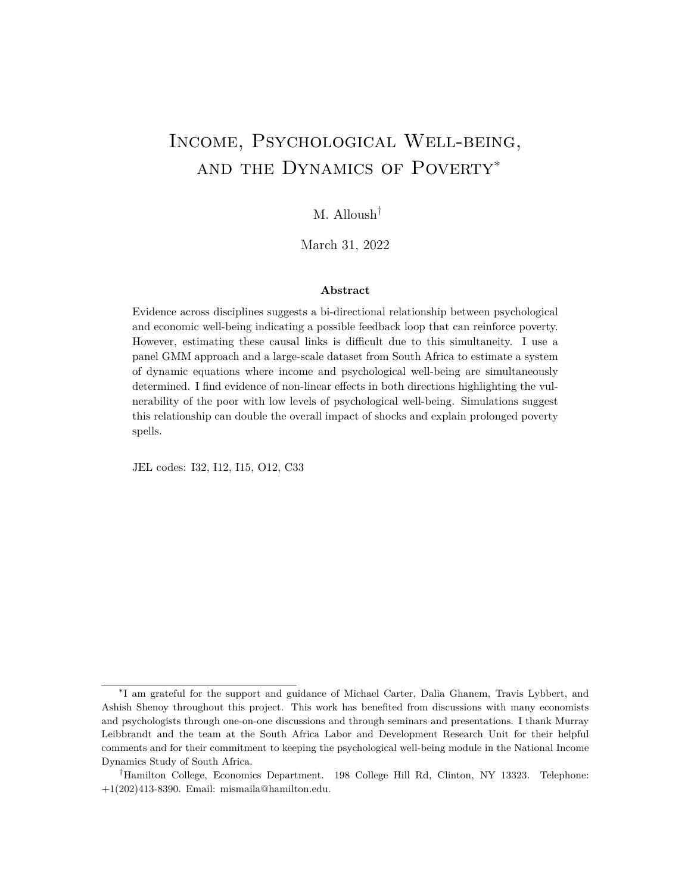evidence by Biasi, Dahl and Moser (2021) suggests important eects of several mental disorders (including depression) on employment outcomes in Denmark. However, recent studies show mixed results for programs aimed at improving psychological well-being (Baranov et al., 2019; Haushofer, Mudida and Shapiro, 2020; Angelucci and Bennett, 2021). I add to this literature by estimating the e ect of changes in depressive symptoms on one's income with a large representative sample in a developing country. In addition, I demonstrate important non-linearities by showing that changes near the depression threshold are more consequential when it comes to income.

Interest in economics has long focused on the reverse causal link, the eect of income (or other measures of economic well-being) on mental health. Several studies use exogenous shocks to income to show that income does aect mental health (Frijters, Haisken-DeNew and Shields, 2004, 2005; Gardner and Oswald, 200 $\hat{\tau}$ ). For example, Gardner and Oswald (2007) compare British lottery winners to a control group of other lottery players and nd that those who win the lottery show higher levels of psychological well-being. In another study, changes in wealth due to the great recession are shown to aect the likelihood of depression (McInerney, Mellor and Nicholas, 2013). Christian, Hensel and Roth (2019) show that income shocks lower suicide rates in Indonesia with suggestive evidence that the mechanisms is through a reduction in depression rates.

Recent experimental evidence on the impact of cash transfers have increasingly considered the psychological well-being outcomes. Through large once-o cash transfers to poor households in Kenya, Haushofer and Shapiro (2016) experimentally nd that these transfers increased economic well-being in the long-run and individuals in these households showed reduced stress and decreased depressive symptoms measured by a 1.2-point reduction in the CES-D 20 scale. Other experimental and quasi-experimental studies suggest that cash transfer programs reduce the incidence of depression among beneciaries (Macours, Schady and Vakis, 2012; Ozer et al., 2011; Baird, De Hoop and Özler, 2013; Banerjee et al., 2019).

More broadly, this paper contributes to a growing eld aimed at understanding the multitude of stresses faced in poverty. The psychological consequences of poverty are gaining increased attention among economists investigating the mechanisms through which poverty can aect economic productivity and decision-making (Schilbach, Schoeld and

<sup>&</sup>lt;sup>8</sup>Studies di erentiate between psychological well-being and life satisfaction/happiness which is the subject of many dierent studies over the years (see for example Stevenson and Wolfers (2013); Graham and Pettinato (2002); Kahneman and Deaton (2010)). The CES-D scale used in this paper measures depressive symptoms as a proxy for psychological well-being which is associated with but dierent from life satisfaction (Headey, Kelley and Wearing, 1993; Das et al., 2009). For example, Lindqvist, Östling and Cesarini (2020) show that in the long-run, lottery winners have higher life satisfaction but nd no eect on mental health.

 $9R$ elated research shows that unemployment due to plant closures decreased levels of mental health of both the unemployed and his/her spouse (Marcus, 2013; Farré, Fasani and Mueller, 2018).

 $10$ McGuire, Kaiser and Bach-Mortensen (2022) provide a systematic review of the e ect of cash transfers on mental health nding mostly positive eects. Some of these programs involve more than just a transfer of income or assets and thus the eects on psychological well-being cannot be attributed only to increases in income.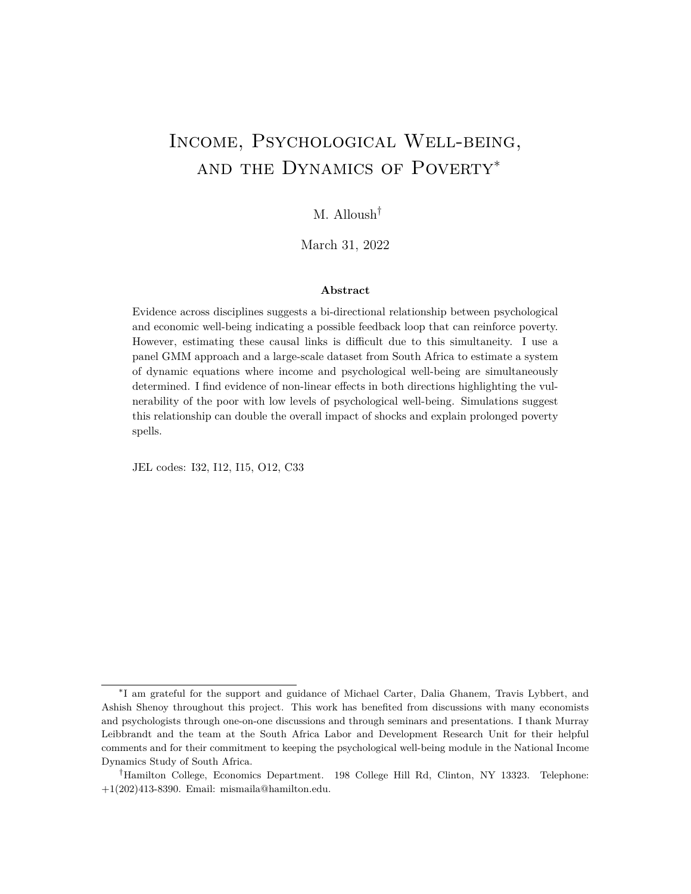Mullainathan, 2016). One avenue through which these eects may occur is lower levels of mental health (Haushofer and Fehr, 2014; Ridley et al., 2020). This paper adds to this eld by empirically estimating the simultaneous relationship between economic and psychological well-being and exploring its implications on poverty dynamics.<sup>11</sup>

Overall, the evidence suggest that economic and psychological well-being are intertwined. In this paper, I add to the literature with three main contributions: 1) I estimate both eects in a dynamic and simultaneous system of equations with nationally representative data in a developing country; this allows me to to use simulations to better understand the e ect of the feedback loop in the long-run and estimate the overall e ect of shocks;  $2)$  I show signicant non-linearities in both directions whereby changes closer to the depression threshold have a bigger e ect on an individual's income and on the other hand the poor are more aected by changes in income when it comes to their depressive symptoms; 3) I extend panel data methods and show that the approach leads to similar point estimates to that estimated using a regression discontinuity approach.

While this mainly stress the potential negative consequences of the relationship between poverty and psychological well-being, there is a positive story to tell. Poverty-alleviation programs may have an added benet of positive impacts on psychological well-being an important goal in itselfwhich may also enhance an individual's capability to further improve their economic well-being. In this sense, psychological well-being is both a constitutive freedom and an instrumental one (Sen, 1999). The results rearm the conclusion of Haushofer and Fehr (2014) stressing the importance of considering psychological variables as avenues for novelty in poverty-alleviation programs. Some of the recent evidence on interventions aimed at improving mental health is encouraging (Baranov et al., 2019; Angelucci and Bennett, 2021).

The rest of this paper is structured as follows. In Section 2, I introduce the data, discuss the measure of psychological well-being, and highlight relevant descriptive statistics. Section 3 outlines the main empirical strategy and the key assumptions required for consistency of the econometric approach, and Section 4 presents the results. Section 5 shows some implications for poverty dynamics using simulations. Finally, Section 6 concludes.

## 2 Data, Measurement, and Descriptive Statistics

In this section I introduce the data used in this analysis, the Center for Epidimiologic Studies Depression Scale which is the main measure of depressive symptoms I use in this

 $11$ Two papers in the literature are similar to mine. Steele, French and Bartley (2013) use panel data from Britain to jointly estimate the bi-directional relationship between mental health and the employment status of men using a dynamic correlated random-e ects speci cations. They nd that mental health issues lead to a decrease in economic activity while becoming unemployed increases psychological distress. Bubonya, Cobb-Clark and Ribar (2019) use a similar correlated random-eects approach to show that the relationship is stronger for men in Australia.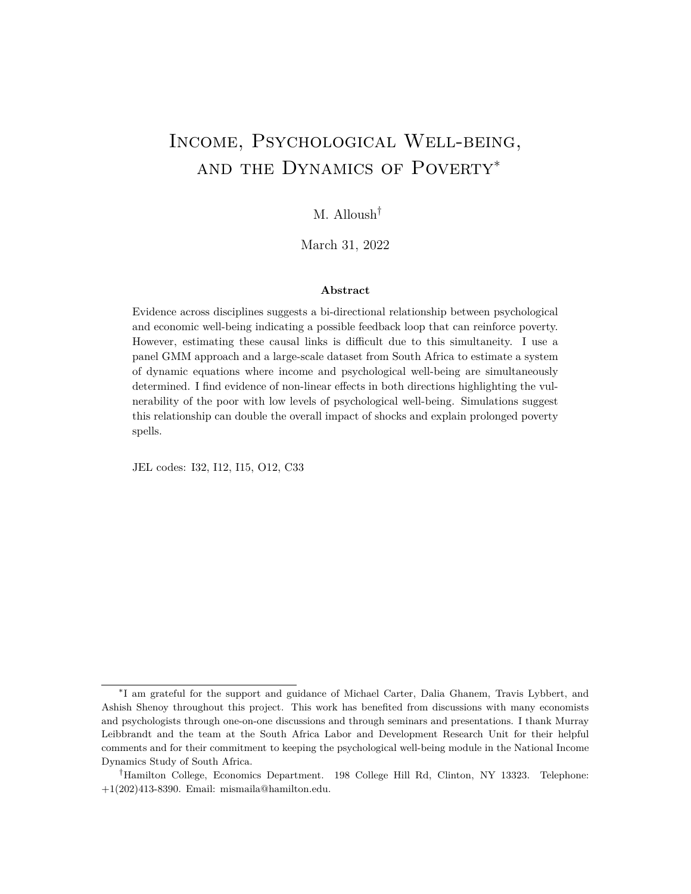paper, and discuss some key motivating descriptive statistics.

### 2.1 Data

The panel data used in this analysis comes from the National Income Dynamics Study (NIDS) of South Africa. <sup>12</sup> The rst survey wave was conducted in 2008 and households were interviewed every two years until 2014 (Wave 1-4) and once again in 2017 (Wave 5). The study began with a nationally representative sample of nearly 27,000 individuals (16,758 completing the adult individual-level questionnaire) in 6,598 households. Detailed data was collected on socio-economic variables that include expenditure, labor market participation and economic activity, fertility and mortality, migration, income, education, and anthropometric measures. Most important to this analysis, NIDS contains a psychological well-being module comprising of the 10-item Center for the Epidemiological Studies Depression Scale (CES-D) for adults (at least 16 years old) in all waves (questionnaire is shown in Appendix Table A1). This is unprecedented in a nationally representative panel survey in a developing country.

For the main analysis in this paper, I use data from the rst four equally-spaced waves of the NIDS. I use the fth wave to conduct robustness checks. The main analysis uses a balanced sample which e ectively includes only those who were at least 16 years of age in the rst wave and responded to the all relevant questions in the individual-level questionnaire in all four waves. The balanced sample is poorer on average than the full Wave 1 sample (See Table A2 in the Appendix). However, those that complete the CES-D in all four waves are similar to the balanced sample. The median income and expenditure variables are more similar across these samples suggesting that wealthier households and individuals are more likely to attrit from the panel. The results in the paper therefore are not necessarily representative of wealthier South Africans. From this balanced sample, I trim the top and bottom 0.25% of individuals based their household income per capita to remove outliers. The resulting sample size is 6,281 individuals. Table 1 presents Wave 4 descriptive statistics of the this sample.

### 2.2 Measurement of Depressive Symptoms

In this analysis, I use the 10-item Center for Epidemiologic Studies Depression scale to measure depressive symptoms and proxy psychological well-being. The CES-D scale was developed to assess depressive symptoms and screen for depression in the general population (Radlo, 1977). It is a widely-used measure of depressive symptoms (Santor, Gregus and

 $12$ This is a panel study conducted by the South Africa Labor and Development Research Unit at the University of Cape Town. An analysis of mental health and socioeconomic status using the rst round of data of this study can be found in Ardington and Case (2010).

<sup>&</sup>lt;sup>13</sup>The results in the paper are robust to the trimming of the top and bottom 0.5,1, and 5% (see Table A3 in the Appendix).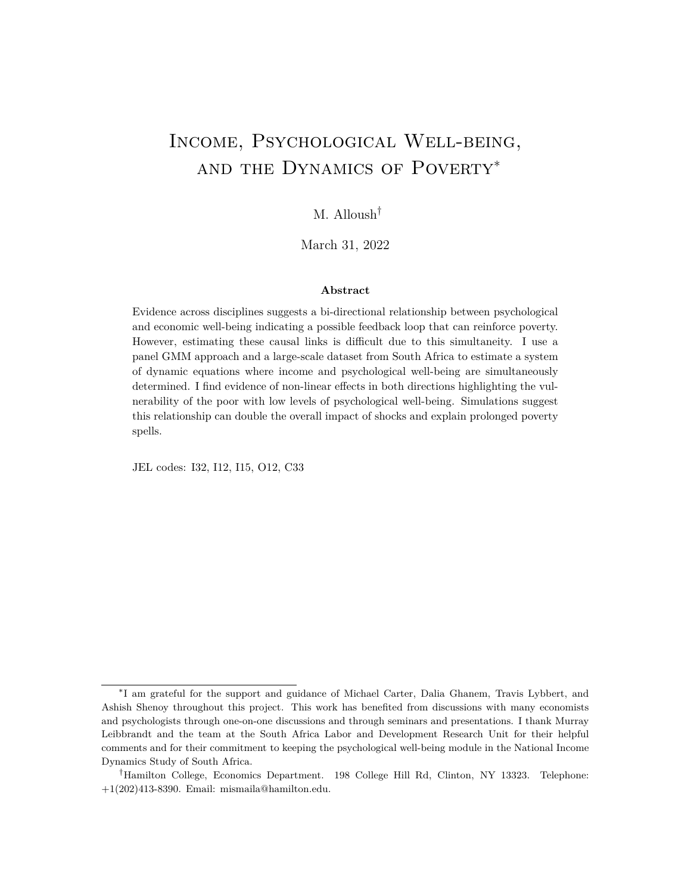(a) Histogram of CES-D Scores

(b) Relationship between Lagged and Current CES-D

Figure 1: Distribution of CES-D scores: Histogram of the CES-D scores shows that a signi cant portion of the population have scores above the threshold of 10 used by psychologists to screen for depression. Figure (b) shows that past CES-D scores are predictive of current scores.

Welch, 2006) and is comprised of questions that ask individuals how often in the last week they felt certain emotions related to depression<sup>14</sup> The scores for all questions are summed for an overall score between 0 and  $30^5$ . A higher overall CES-D score indicates more depressive symptoms. The distribution of CES-D scores across all four waves in the study sample is shown in Figure 1(a).

The CES-D is used to screen for depression and scores above certain thresholds indicate

<sup>&</sup>lt;sup>14</sup>See Appendix Table A1 for the 10-item CES-D questionnaire administered in the NIDS.

<sup>&</sup>lt;sup>15</sup>For negative feelings such as how often an individual felt loneliness or an inability to get going, the respondent gets a 0 score if they respond with Not at all or rarely, 1 for Some or little of the time, 2 for Occasionally, and 3 for All the time. For positive statements such as feeling hopeful, the scores are reversed. The numbers corresponding to the answers are then added for all questions. The shortened 10-item CES-D scale used here attains satisfactory prediction accuracy and reliability in assessing depressive symptoms and correlates very highly with the full 20-item questionnaire (Zhang et al., 2012) and is shown to be stable over time(González et al., 2017; Saylor, Edwards and McIntosh, 1987).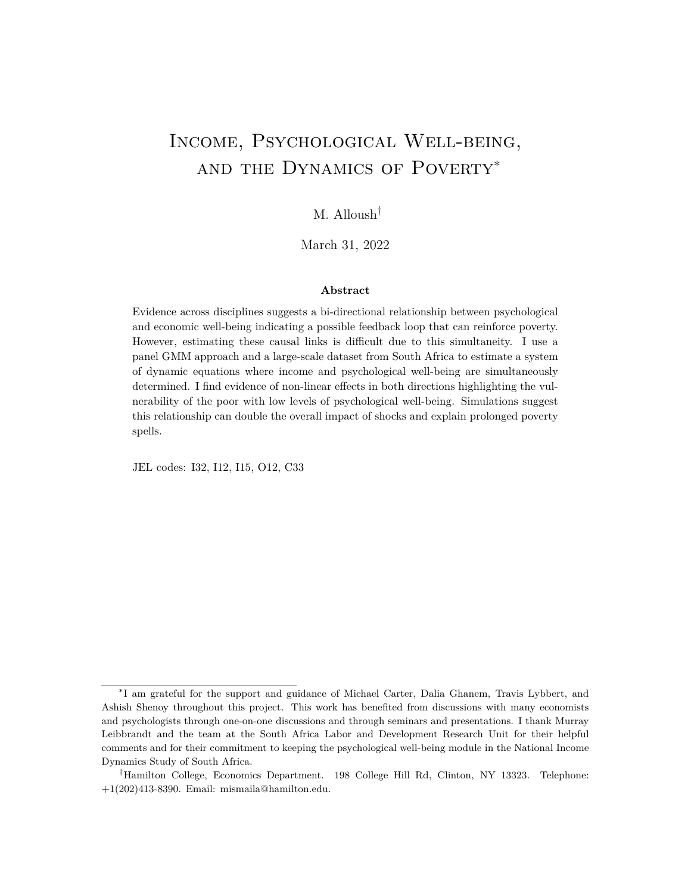that an individual is increasingly likely to be suering from what clinical evaluation would diagnose as depression. In the 10-item CES-D, a threshold score of 10 is most commonly used for depression screening; however, Baron, Davies and Lund (2017) suggest that a threshold score of 11 is appropriate for screening for depression among most populations in South Africa.<sup>16</sup> The CES-D 10 is commonly used in South Africa and is shown to be internally consistent and veried as an eective screening tool for depression (Hamad et al., 2008; Johnes and Johnes, 2004; Myer et al., 2008; Baron, Davies and Lund, 20 $1\frac{1}{7}$ . Moreover, the CES-D Scale has slightly better positive predictive value than the PHQ-9, another commonly used depression screening toor  $\hat{d}$ . An important characteristic of CES-D is that its questions do not explicitly mention psychiatric illnesses. This helps mitigate the e ect of stigma on the quality of data as mental illnesses are highly stigmatized in South African communities (Hugo et al., 2003). This is evident in the data as the rate of response about speci c mental illnesses is very low. However, the response rate on the CES-D module is high; on average, 94.6% of individuals who completed the individual-level questionnaire completed the CES-D questionnaire.

In the study sample, the mean CES-D score for all four waves is 7.73 (4.49) and shows a decreasing trend where the average score is 8.39 (4.64) in 2008 and 7.22 in 2014. Within person standard deviation in the CES-D score is 3.6. The incidence of scores above 11 show a similar pattern and decrease from about 20.67% in 2008 to 15.06% in 2014. Nearly 52% of the panel sample record a CES-D score of 11 or above at least once in all four waves. Figure 1(b) shows the predictive value of lagged CES-D scores on current CES-D scores and the likelihood of having a CES-D score greater than or equal to the threshold of 11 where individuals are at high risk of depression.

### 2.3 Descriptive Statistics

South Africa is a middle-income country with one of the highest levels of income inequality in the world. The mean monthly household income per capita (standard deviation in brackets) in the study sample in 2014 was 1,934 ZAR  $(1.963)^9$ . This hides signi cant inequality as recent reports estimate that nearly 54% of the population is living in poverty and about 20% live in extreme poverty (Leibbrandt, Finn and Woolard, 2012). In the study sample,

 $16$  For more on how these thresholds are determined see Baron, Davies and Lund (2017). A threshold of 11 on average correctly classied 84% of cases (as depressed or not depressed) in a follow up on the NIDS sample in South Africa. This threshold score is determined based on a trade-o between sensitivity, specicity, and positive predictive value for clinical depression.

 $17$ Language and culture likely a ect the way questions are understood and answered so it is important to consider whether the CES-D is valid in South Africa (Samuels and Stavropoulou, 2016).

<sup>&</sup>lt;sup>18</sup>The CES-D scale and PHQ-9 are shown to be highly correlated [0.8-0.88] (Pilkonis et al., 2014).

<sup>&</sup>lt;sup>19</sup>This corresponds to 190 US Dollars or approximately \$340 PPP adjusted. The GDP per capita in South Africa in 2014 was \$6,434 corresponding to a monthly income per capita of \$536. The distribution of income is skewed and the trimming of the top and bottom extremes in income for my study sample brings down the mean reecting the high levels of inequality in the country. Income and expenditure numbers are adjusted for in ation and are in November 2014 prices.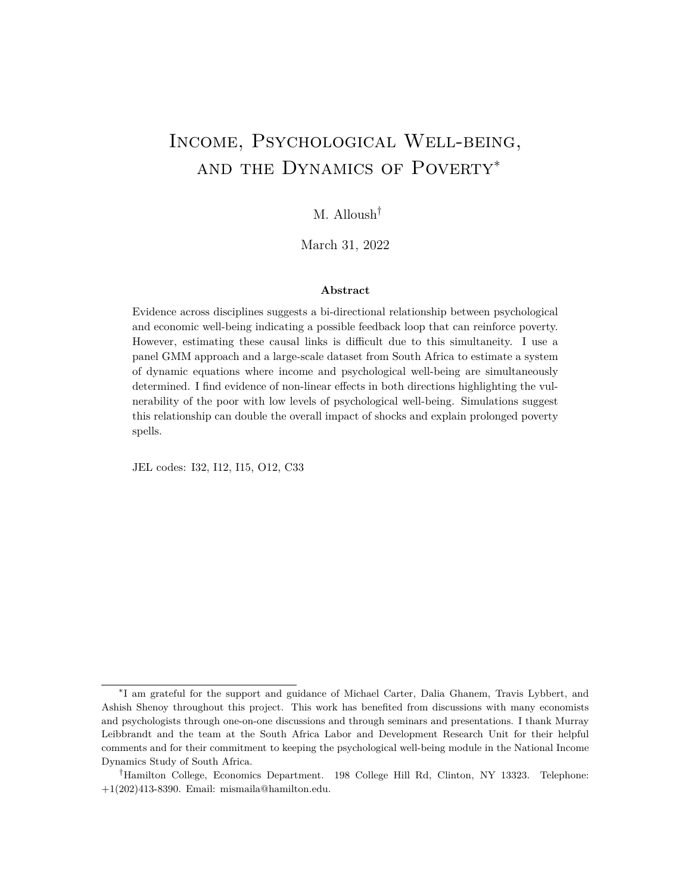| VARIABLES - Wave 4                          | Mean  | (SD)     |
|---------------------------------------------|-------|----------|
| Household Income Per Capita (ZAR)           | 1,934 | (1,963)  |
| Household Food Expenditure Per Capita (ZAR) | 363   | (365)    |
| Individual Income (ZAR)                     | 2,267 | (2, 912) |
| CES-D score                                 | 7.22  | (4.22)   |
| Household Size                              | 5.05  | (3.33)   |
| Female                                      | 0.63  | (0.48)   |
| Age                                         | 42.85 | (15.88)  |
| <b>Economically Active</b>                  | 0.62  | (0.49)   |
| Disabled/Chronically III                    | 0.08  | (0.28)   |
| Observations                                | 6,281 |          |

Table 1: Study Sample Characteristics

Notes: This table provides Wave 4 descriptive statistics for the study sample used in this paper. Table A2 in the Appendix shows Wave 1 characteristics of the full sample versus the balanced sample. The sample in this study include individuals who completed the individual section of the survey including the CES-D section for the rst four rounds of NIDS. Table A2 shows that this sample is on average poorer, however, in most other characteristics, the study sample is similar.

nearly 84% of individuals report food expenditure levels that are considered poor in at least one of the four waves. 45% are poor in at least three out of the four waves and 21% are poor in all four waves of the panel.

Figure 2(a) graphs a histogram of CES-D scores by poverty status in all four waves. Among the poor, the distribution is shifted to the right where they are more likely to have scores above the depression threshold of 11. A Kolmogorov-Smirnov test for the di erence in the two distributions shows that they are statistically dierent from each other. Figure 2(b) shows the share of individuals with scores above the thresholds of 10, 11, and 12 by wealth decile. High scores like these indicate more depressive symptoms and a higher likelihood of depression. The share of individuals with scores above the threshold decreases with wealth whereby the share among the highest wealth decile is nearly half that of the lowest. These gures illustrate the correlation between psychological and economic well-being. The next section outlines the empirical strategy to estimate the causal relationships between the two.

## 3 Econometric Approach

An important source of endogeneity when studying the relationship between mental health and income is simultaneity. Psychological well-being has an impact on an individual's own earnings, but at the same time, their level of economic well-being a ects their psychological well-being. In this paper, I exploit the panel nature of the data to estimate the relationship as a system of two simultaneous dynamic equations that capture both causal links at the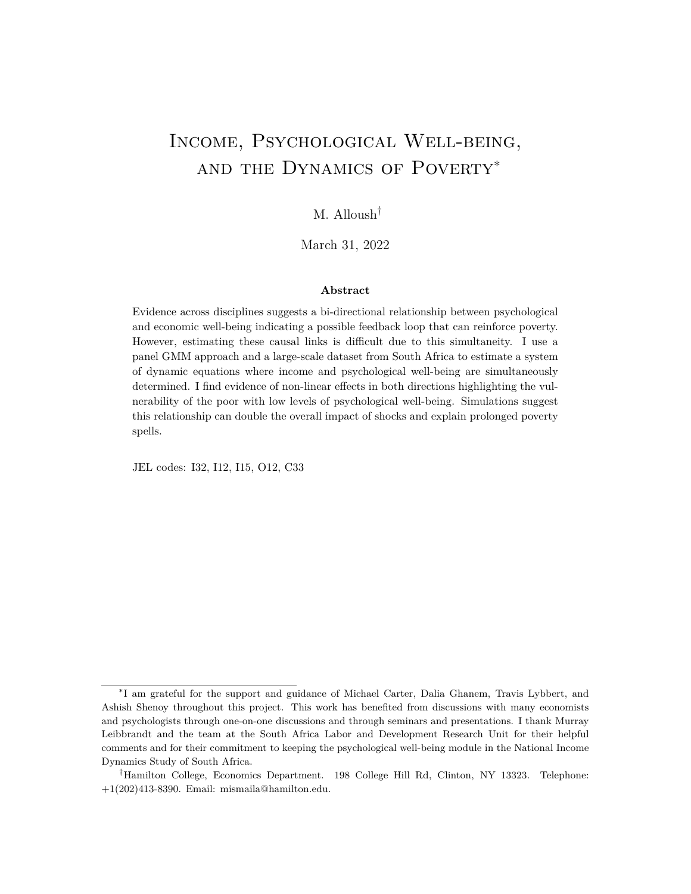(a) CES-D Scores by Poverty Status

### (b) Share Above Threshold by Wealth

Figure 2: CES-D and Economic Well-being: Panel (a) is a histogram of CES-D scores by poverty status. Panel (b) shows the share of individuals with CES-D scores above 10, 11, and 12 by wealth decile. High scores indicate an increasing likelihood of clinical depression and it is clear that as wealth increases, the share of individuals reporting scores higher than these thresholds is decreasing.

same time. A detailed explanation of this econometric approach is outlined in the Appendix C; this includes proofs and simulations that show the consistency of the GMM estimators under di erent assumptions.<sup>20</sup> In Section 3.1, I brie y describe the estimation approach and the assumptions on the dynamic process it requires. In Section 3.2 I discuss the main threats to identi cation and outline the approaches I use to show that the main results of the paper hold up to di erent robustness checks.

 $20$  For more on dynamic systems of equations and consistency of the estimations using GMM approaches, see Hsiao and Zhou (2015).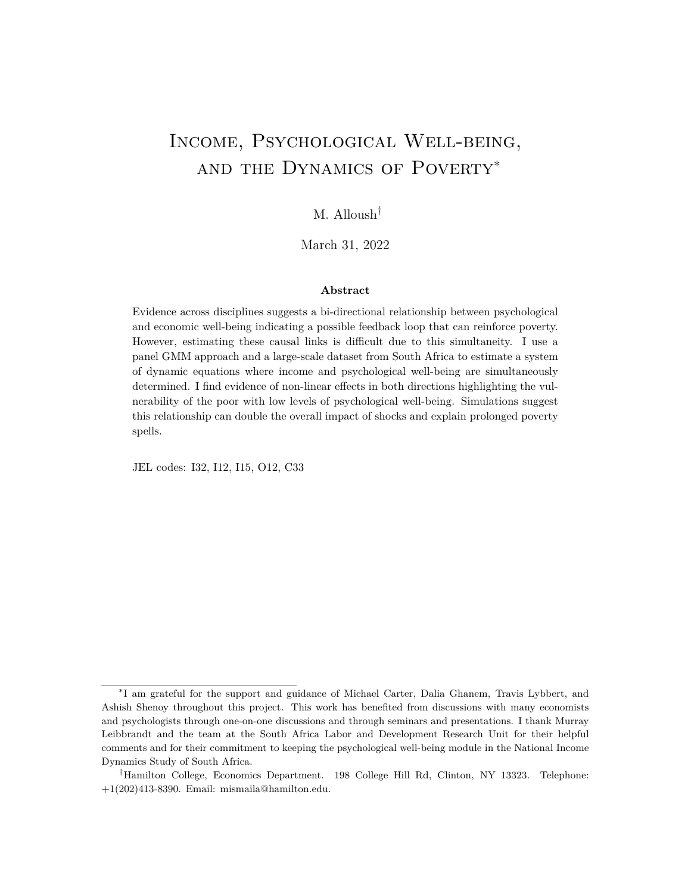### 3.1 Core Econometric Approach

First, I represent the relationship between income and psychological well-being with the following system of linear, dynamic, and simultaneous equations:

$$
y_{i,t} = -10i_{,t} + 1y_{i,t-1} + G_1x_{i,t} + i + e_{i,t}
$$
  

$$
d_{i,t} = 2h_{i,t} + 2d_{i,t-1} + G_2x_{i,t} + i + u_{i,t}
$$

where ${\sf y_{i,t}}$  is individual income and  ${\sf d_{i,t}}$  is a measure of psychological well-being for individual i in time t, and  $\mathsf{h}_{\mathsf{i},\mathsf{t}}$  is a measure of economic well-being. In this paper, I will consider mainly household income per capita<sup>21</sup> i and i are individual xed e ects; and  $e_{i,t}$  and  $u_{i,t}$  are the unobserved error terms for their respective equations. $x_{i,t}$  is a vector of time varying individual characteristics for individual i at time t. While the focus is not on the dynamics of income and psychological well-being, I allow for state dependence in the underlying process by having lagged levels of income  $y_{i(t-1)}$  and psychological well-being  $\theta_{i,t-1}$  as explanatory variables in their respective equations.

The individual xed e ects  $v_i$  and  $i$  are likely important determinants of both income and psychological well-being. I control for these individual xed eects by rst-dierencing both equations to get the following:

$$
Dy_{i,t} = 1Dd_{i,t} + 1Dy_{i,t} + G_1Dx_{i,t} + De_{i,t}
$$
 (1)

$$
Dd_{i,t} = 2Dh_{i,t} + 2Dd_{i,t} + G_2Dx_{i,t} + Du_{i,t}
$$
 (2)

In this system of equations, I am interested in estimating the coe cients of four endogenous variables, namely  $_1$ ,  $_1$ ,  $_2$ , and  $_2$ .  $^{22}$  If considering each single equation separately and abstracting away from bi-directionality, dynamic panel data methods suggests that, assuming sequential exogeneity and that the error termse<sub>l,t</sub> and  $u_{i,t}$  are serially uncorrelated, the lagged levelsy<sub>i,t 2</sub>, y<sub>i,t 3</sub>, ... and d<sub>i,t 2</sub>, d<sub>i,t 3</sub>, ... may be used as instruments to consistently estimate the parameters of the equation (1); the same set of instruments may be used to estimate equation (2) as well (Anderson and Hsiao, 1982; Arellano and Bond, 1991; Holtz-

<sup>&</sup>lt;sup>21</sup>Using household income per capita instead of individual income is not an identifying assumption. Individual income is part of household income and the simultaneity remains. The intuition behind this choice is that psychological well-being aects individual income directly and while this will then aect the household income, there can be potentially some compensatory behavior by other household members that would also a ect the household income. On the other hand, household income is a better proxy for the level of economic well-being one experiences. Using the same income variable (either individual income or household income) gives results that are consistent with the ones presented below and these results are in Appendix tables A6 and A7.

<sup>&</sup>lt;sup>22</sup>Two of these variables are assumed to be endogenous  $\bf{D}d_{i,t}$  in equation (1) and  $\bf{D}y_{i,t-1}$  in equation (2)) and the dependent variable lags  $(Dy_{i,t-1}$  and  $Dd_{i,t-1}$  are endogenous due to the rst dierencing. Right hand side variable  $Dy_{i,t}$  and its regressor $Dy_{i,t-1}$  share a common variable $y_{i,t-1}$  making the regressor correlated with the error term  $De_{i,t}$ . Similarly for  $Dd_{i,t}$  and its regressor  $Dd_{i,t-1}$  and the error term  $Du_{i,t}$ .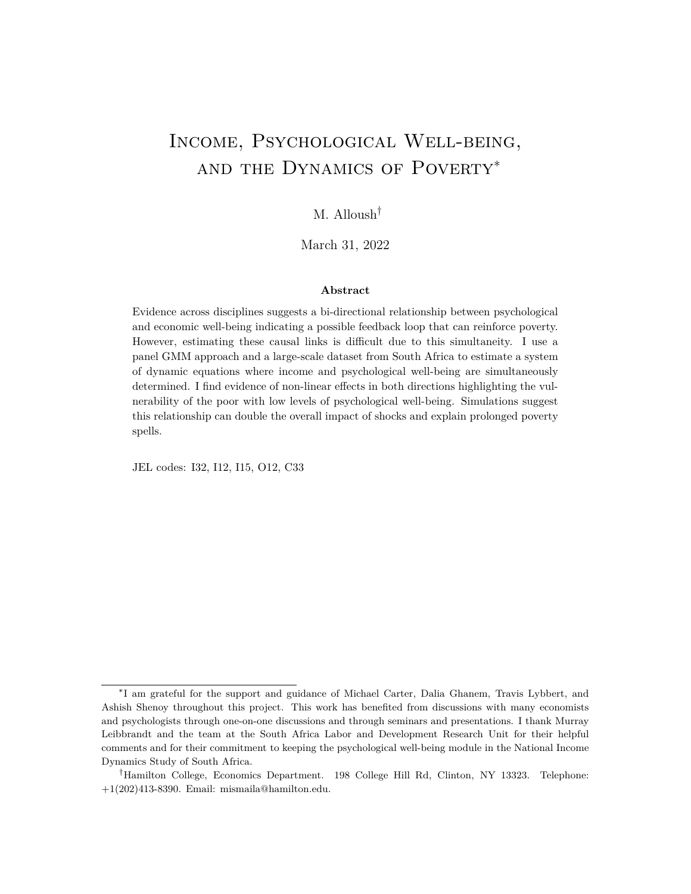Figure 3: Dynamic process allowed by Assumption A rules out direct eects from  $y_{i,t}$  1 (d<sub>i,t 1</sub>) on d<sub>i,t</sub> (y<sub>i,t</sub>).

Eakin, Newey and Rosen, 1988 $3<sup>3</sup>$  However, the bi-directionality inherently implies that assumption of sequential exogoneity is violated.

If the number of observations per individual is at least four  $(T \t 4)$ , the assumption of sequential exogeneity can be relaxed and this dynamic panel approach can be extended to estimate a system of simultaneous dynamic equations. I show this in greater detail in the online appendix. Under the following assumption (Assumption A) on the error terms:

 $\mathsf{E}\left[\mathsf{e}_{i,t}\right] \mathsf{y}_{i,t-2}, \mathsf{y}_{i,t-3}, \dots; \mathsf{d}_{i,t-1}, \mathsf{d}_{i,t-2}, \dots; \mathsf{x}_{i,t}, \mathsf{x}_{i,t-1}, \dots] = 0$  $E [u_{i,t} j h_{i,t-1}, h_{i,t-2}, \dots; d_{i,t-2}, d_{i,t-3}, \dots; x_{i,t}, x_{i,t-1}, \dots] = 0$ 

(Assumption A)

!

and the fact that the NIDS dataset has four waves, the following moment condition is implied:

$$
E \quad Z_{i,t}^A{}^0 D U_{i,t} = 0
$$

where

$$
Z_{i,t}^{A} = \begin{array}{cccccc} d_{i,t} & 2 & d_{i,t} & 3 & y_{i,t} & 3 & 0 & 0 & 0 \\ 0 & 0 & 0 & d_{i,t} & 3 & y_{i,t} & 2 & y_{i,t} & 3 \end{array}
$$

The moment condition (3) has six moments that identify the four coecients of the system of equations. A two-step GMM estimator is consistent for estimating the coe cients  $_1$ ,  $1, 2,$  and  $2.$ 

For Assumption A to hold, the  $e_{i,t}$  may not be correlated with  $y_{i,t-2}$  and  $d_{i,t-1}$  and further lags of these variables, and  $u_{i,t}$  may not be correlated with  $y_{i,t-1}$  and  $d_{i,t-2}$  and further lags of these variables. This is a weaker condition than sequential exogeneity, but estimation requires a larger minimum T. A visual representation of the dynamic and simultaneous relationship allowed under Assumption A can be found in Figure 3. The simultaneity of the equations also implies that both error terms cannot be serially correlated. After controlling for state dependence (through the lagged dependent variable), individual xed eects, and observable time varying characteristics, the remaining unobserved errors may not be corre-

 $23$ The intuition behind this estimation strategy is as such: after controlling for individual xed e ects, lagged income, psychological well-being, and other time varying individual characteristics, what remains in the error terms is random. The lagged levels are thus correlated with the rst di erences thus relevant, and are uncorrelated with the remaining error termsand thus valid instrumental variables.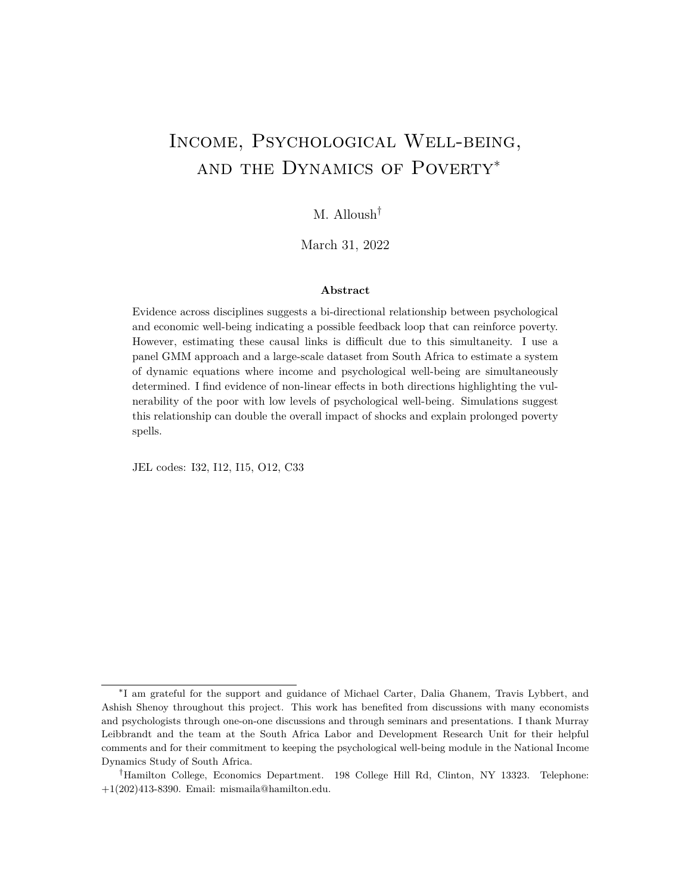lated acrosst. E ectively, this assumption means that a shock to income in one period can aect income next period through state dependence, but it cannot aect the likelihood of shocks in the next period. Similarly for shocks to psychological well-being.

The plausibility of this assumption is tied to the time between observations for each individual and the time-frame of the variable. It would be dicult to impose such an assumption if the panel was short and consisted of monthly observations. For example, if an individual loses a job, it is very likely that this shock to income is still manifesting itself next month. However, assuming a constantT, more time between observations makes a lack of serial correlation more plausible. In this study, income is reported for the last month. Yearly observations of income in the past month can be viewed as observations of monthly income 12 time periods apart. In the NIDS data, income in the last month is reported approximately two years apart. Thus, in this context, shocks to monthly income can be correlated for up to 23 months but not more under Assumption  $A<sup>24</sup>$ 

Throughout the rest of this paper, the main results are based on Assumption A. As a robustness check, I also present results that I estimate with moment conditions implied by the following less restrictive assumptions:

$$
E [e_{i,t} j y_{i,t-2}, y_{i,t-3}, \cdots; d_{i,t-2}, d_{i,t-3}, \cdots; x_{i,t}, x_{i,t-1}, \cdots] = 0
$$
\n(Assumption B)  
\n
$$
E [u_{i,t} j h_{i,t-2}, h_{i,t-3}, \cdots; d_{i,t-2}, d_{i,t-3}, \cdots; x_{i,t}, x_{i,t-1}, \cdots] = 0
$$

Assumption B, implies the moment condition  $E$   $Z_{i,t}^{B}$   $D U_{i,t}$  = 0 where

$$
Z_{i,t}^{B} = \begin{array}{cccc} d_{i,t-3} & y_{i,t-3} & 0 & 0 \\ 0 & 0 & d_{i,t-3} & h_{i,t-3} \end{array}
$$

This moment condition identies the coe cients of the system of equations and is also implied under Assumption A.<sup>25</sup>

Under Assumption B, twice lagged levels (and further) can only a ect  $y_{i,t}$  and  $d_{i,t}$ through  $y_{i,t-1}$  and  $d_{i,t-1}$ . In addition, unlike under Assumption A, the error terms may be rst-order moving-average serially correlated. This allows for a more exible dynamic simultaneous process illustrated visually in Figure 4. Assuming rst-order serial correlation in shocks is common in the literature on income dynamics and state dependence of income and employment that uses yearly income data (Guvenen, 2007; Meghir and Pistaferri, 2004; Magnac, 2000). The time between each wave in the NIDS dataset is two years, and income is reported for the past month, making an assumption of at most rst-order moving-average serial correlation more plausible; this could also be viewed as allowing for moving-average

 $24$ If instead the survey asked about yearly income, this assumption would be less plausible. Similarly for depressive symptoms which are reported for the last week.

 $25$ With fewer lagged levels, the system is now just identi ed.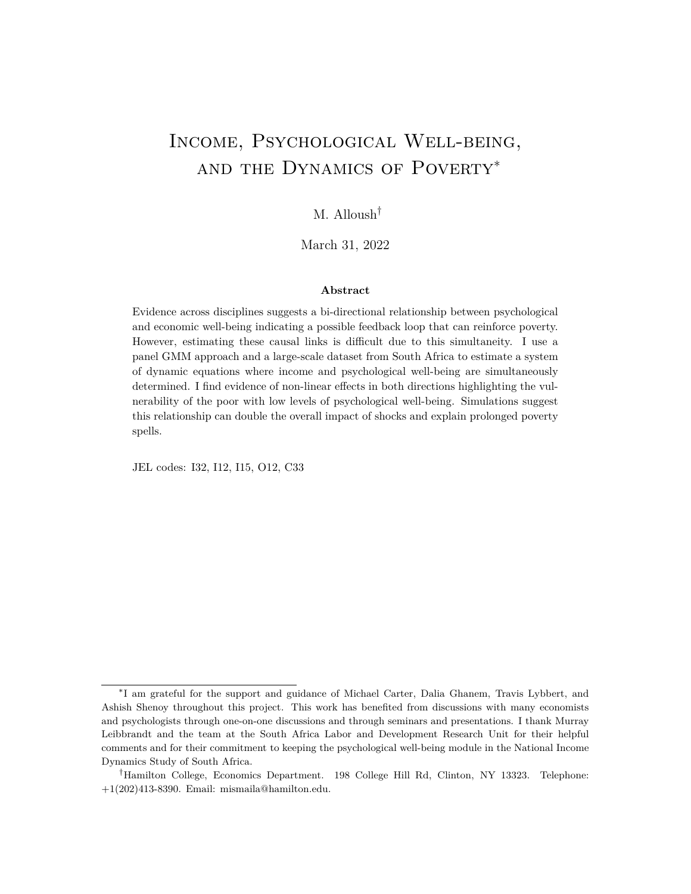Figure 4: Dynamic process allowed by Assumption B. Assumptions A and B imply slightly dierent dynamic processes. Under the less restrictive assumption B, the assumptions do not allow for direct eects across 2 time periods. Income and psychological well-being in time t 2 can only a ect income and psychological well-being in time t through income and psychological well-being in timet 1.

serial correlation in the unobserved error terms that lasts no more than 47 months. Moreover, under Assumption B, the error terms  $e_{i,t}$  and  $u_{i,t}$  may be correlated with  $u_{i,t-1}$  and  $e_{i,t}$  1, respectively.

Throughout Section 4, I show, where appropriate, estimates based on both assumptions A and B. The estimates do not di er signi cantly throughout and the results using instruments matrix  $Z_{i,t}^{B}$  indicate that the main results are robust to rst-order moving-average serial correlation. A Hausman-type test does not reject that the estimates using the two di erent instruments matrices  $\ Z^{\mathsf{A}}_{\mathsf{i},\mathsf{t}}$  and  $Z^{\mathsf{B}}_{\mathsf{i},\mathsf{t}}$  are the same<sup>26</sup>

Although the main dataset has four equally-spaced waves of data, after taking the rst dierence and using lagged levelst  $\overline{a}$  2 and t  $\overline{a}$  3 as instruments, I eectively have one observation per individual. Thus, I cannot directly test for serial correlation with this data. When using  $Z_{i,t}^{A}$ , if a test of overidentifying restrictions rejects the validity of the instruments, it would be evidence against the dynamic process assumed and potential serial correlation; however, the validity of the instruments is not rejected in any of the results presented in the rest of the paper. Using additional data from Wave 5 and methods from Blundell and Bond (1998) to estimate the two equations independently, I conduct direct tests of serial correlation of the error terms. I do not nd evidence for rst-order serial correlation in either equation.<sup>27</sup>

The bi-directional relationship between health (including mental health) and employment has been modeled and estimated previously in the literature (Hamilton, Merrigan and Dufresne, 1997; Haan and Myck, 2009; Bubonya, Cobb-Clark and Ribar, 2019; Steele, French and Bartley, 2013). The structural endogeneity created by the bi-directional relationship is addressed in two main ways: using instrumental variables for each of employment and health which runs into validity concerns especially when it comes to instruments for health or changes in health (in panels). Other approaches attempt to control for reverse

<sup>&</sup>lt;sup>26</sup>This suggests, albeit indirectly, that the error terms are not strongly serially correlated. When testing for the statistical signi cance of the di erence of the estimates (a Hausman-type test), I estimate the variance of the di erence using a bootstrap method.

<sup>&</sup>lt;sup>27</sup> See Appendix Tables A4 and A5.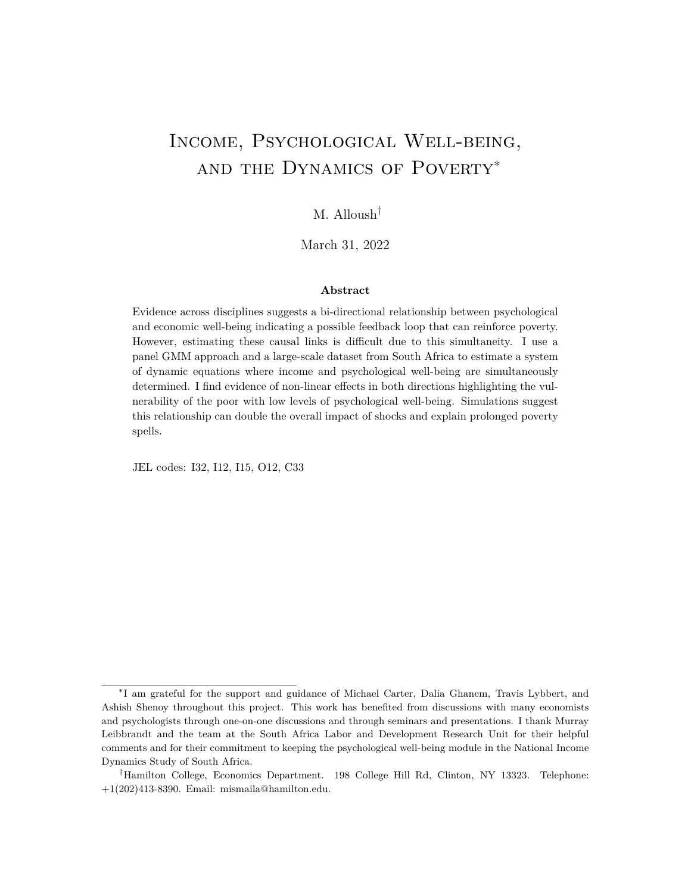causality with modelling lagged employment and health outcomes when determining health and empoloyment, respectively and using correlated random-eects to address other sources of endogeneity (Bubonya, Cobb-Clark and Ribar, 2019; Steele, French and Bartley, 2013). This paper models the simultaneity directly within the same time period while taking into account state-dependence and individual xed e ects and requires a di erent set of assumptions than those in previous studies<sup>28</sup>

### 3.2 Potential Identi cation Threats and Robustness Checks

While panel data methods are used extensively to estimate the state-dependence of income, they are not common in empirical microeconomics analyses such as this one. The two-year spacing of the waves and the time-frame of the variables in question make the assumptions discussed above more plausible. Below, I discuss threats to identi cation in the context of this study. While we cannot entirely rule out long persistence of shocks, I outline an alternative approach that I use to show the robustness of some of the results.

The panel GMM approach outlined above is an instrumental variable approach and thus deals with most omitted variable bias if the assumptions hold. For example, if a person becomes chronically ill, this will likely aect both psychological well-being and income. However, this will not lead to biased results unless the chronic illness was the result of a lagged income shock. Suppose a shock to income in past waves a ects a certain omitted variable which then, in turn, aects income and psychological well-being independently in the future in a way that is not captured by the lags; this would violate the assumptions.<sup>29</sup> For example, if a shock to income in Waves 1 or 2 makes divorce more likely, divorce may affect income and psychological well-being shocks in the future (Charles and Stephens, 2004). If the income shock increases the likelihood of divorce for more than four years post shock, then past income can a ect current income and psychological well-being in a way that is not captured by lagged psychological well-being violating Assumption Bthe weaker of the two assumptions. Examples of such variables include having children, a disability/chronic illness, a death in the family, etc... While in the main regressions, I do control for changes in some concurrent time-varying individual and household characteristics, I do not account for changes in these variables in past waves. To see if the results are robust to such changes within the panel data approach, I am able to do two things: rst, control for changes in these variables several lags into the past. Second, I can restrict the sample to those who did not experience changes in these variables throughout the four waves. Neither of these two approaches leads to noteworthy changes in the main results.

<sup>&</sup>lt;sup>28</sup>Using Z $_{i,t}^B$  and under Assumptions A, I am able to alter my model to include lagged terms for CES-D and income (instead of concurrent terms as is shown in equations (1) and (2)). The estimated coe cients on the lagged terms are statistically signi cant but smaller in magnitude than the concurrent ones.

 $^{29}$ Shocks such as this one that happen prior to the rst wave that make shocks to income and psychological well-being more likely would be captured in the individual xed e ects which are controlled for in this method.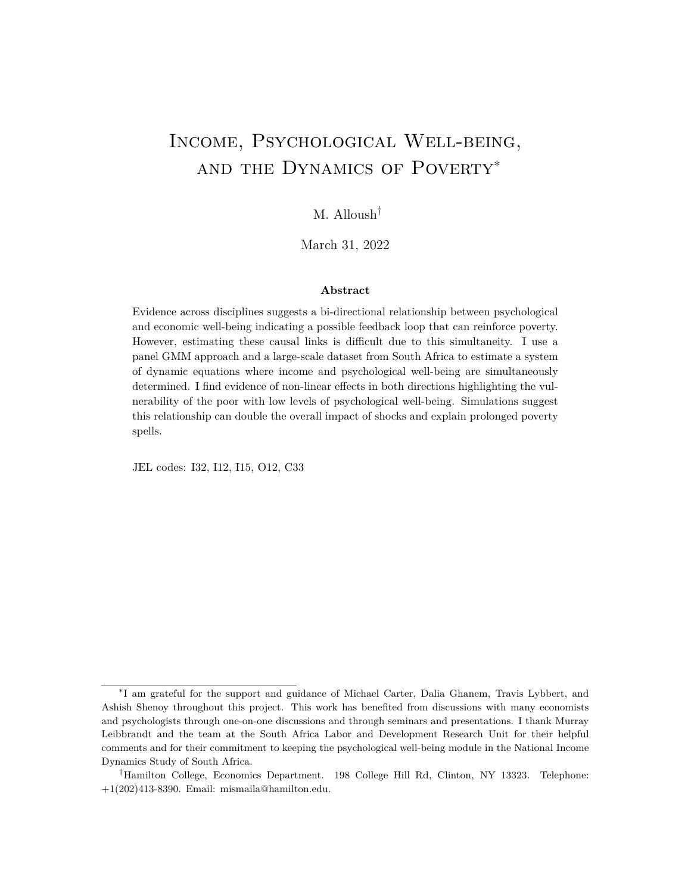There are examples of other channels that I cannot control for. If a past income shock (in Wave 1 or 2) creates nancial worries that increase the likelihood of accidents or bad nancial decision-making because of inattention or lowered levels of cognitive and executive function and this is not captured by lagged dependents and persists for four years, this would again violate the conditions required for consistent estimators.

Lastly, it may be the case that the dynamics are mis-specied: it could well be that another t 2 lagged term is important in directly determining income and psychological well-being in time t. This would be a violation of the weaker of the two assumptions. Given the spacing of the waves in this setting (2 years), this is not likely an important issue. However, the panel is not long enough to test this assumption directly.

I further test the robustness of the one side of results by using a fuzzy local randomization (regression discontinuity approach) to estimate the eect of income on psychologica well-being this is discussed and the results are shown in Appendix  $C^{30}$  I leverage the discontinuity of eligibility for the Older Person's Grant and use a local randomization approach by restricting the sample to individuals in households with economically inactive members in narrow windows around the age of 60 and using the eligibility for Older Person's Grant (age 60 or above) as an instrument for household incom $\frac{3}{2}$ . The required assumptions for consistent estimators in this approach are di erent from those required using the panel data method. However, I nd that the estimated eects of income are very similar to those estimated using the GMM approach.<sup>32</sup> As is evident from the literature, it is di cult to nd exogenous changes in psychological well-being. Thus I am unable to conduct a similar exercise for the eect of psychological distress on income. However, the uniformity of the estimates on income gives credence to the core results.

## 4 Results

In this section, I rst show results for both equations. Second, I focus on the working age population when specically looking at the eect of psychological well-being on individual income, its potential heterogeneity, and the potential mechanisms. Third, I show results linking alternative measures of economic well-being to psychological well-being and show heterogeneity by initial wealth.

 $30$ The panel data approach and this approach are both instrumental variable approaches and thus remove concern related to measurement error of our variables of interest (Björn, 2000).

 $31$ This is the same empirical method used in Alloush and Wu (forthcoming) to estimate the e ect of income on life satisfaction and is discussed in detail there. More discussion on local randomization approaches in regression discontinuity designs can be found in Cattaneo, Idrobo and Titiunik (forthcoming).

 $32$ This is similar in spirit to Currie and Tekin (2012) who use several approaches to study the eect of childhood maltreatment a link that is unlikely to be studied experimentally. They argue that approaches requiring di erent assumptions lead to qualitatively similar results give con dence in the core results.

 $33$ Several instruments have been proposed however their validity is debated.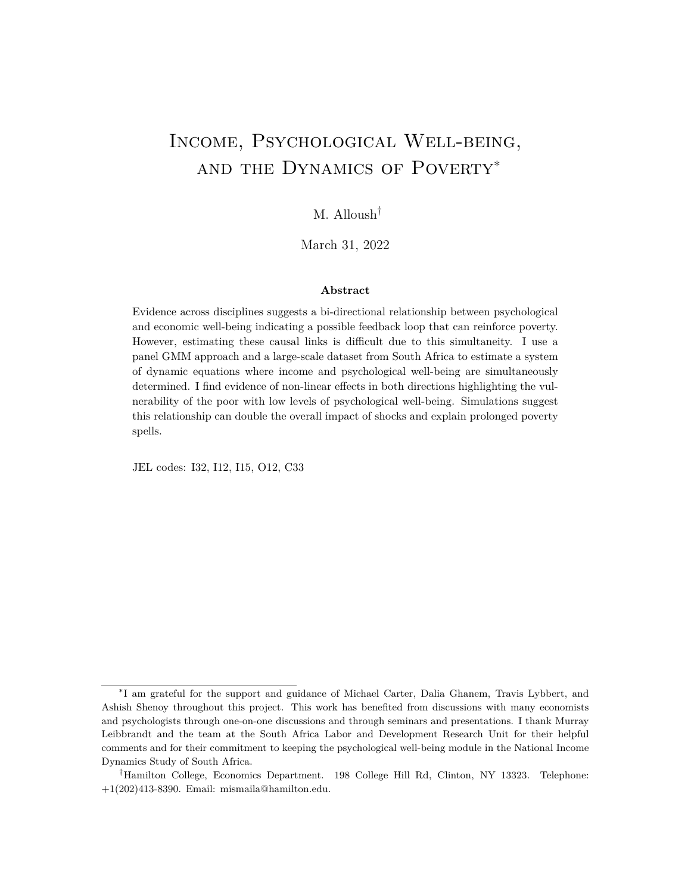### 4.1 Simultaneous Equations

In Section 3, I consider a simple linear version of the system of equations to illustrate the estimation strategy. The results presented in the rest of the paper are mainly estimates of the following system of equations:

$$
Dy_{i,t} = 1Dd_{i,t} + 1Dy_{i,t} + GDx_{i,t} + De_{i,t}
$$
 (3)

$$
Dd_{i,t} = a_1 Dh_{i,t} + a_2 Dh_{i,t}^2 + b_1 Dd_{i,t-1} + QDx_{i,t} + Du_{i,t}
$$
 (4)

With this system of equations I add a quadratic term of household income per capita,  $h_{i,t}$ .<sup>34</sup> Table 2 also shows results without this quadratic term. I estimate the above system of equation with the following instruments matrix:

$$
Z_{i,t}^A = \begin{array}{ccccccccc} d_{i,t} & 2 & d_{i,t} & 3 & y_{i,t} & 3 & 0 & 0 & 0 & 0 & 0 \\ 0 & 0 & 0 & d_{i,t} & 3 & h_{i,t} & 2 & h_{i,t}^2 & 2 & h_{i,t} & 3 & h_{i,t}^2 & 3 \end{array}
$$

The two-step GMM results for the study sample are shown in Table 2. The results in columns 1-4 of the upper half of the table show that changes in CES-D have a signicant e ect on individual income on average. In column 1, I estimate the system with simultaneous equations without the lagged dependent variables. In column 2, I add the lagged dependent and in column 3 I add the quadratic term on household income per capita as shown in equation (4) above. Lastly, I add controls that include household size, marital status, disability/chronic illness, and number of children in the household in column 4. The point estimates do not change signi cantly. These controls may well be endogenous, however, a similar speci cation that treats all these variables as endogenous do not change the main results that suggest strong causal links in both directions.

Results in column 5 show the estimates using the following instruments matrix:

 $Z_{i,t}^{B} = \begin{bmatrix} d_{i,t} & 3 & y_{i,t} & 3 & 0 & 0 & 0 \\ 0 & 0 & d_{i,t} & 0 & 0 & 0 \\ 0 & 0 & d_{i,t} & 0 & 0 & 0 \end{bmatrix}$ 0 0 d<sub>i,t 3</sub> h<sub>i,t 3</sub> h<sub>i,t 3</sub> !

This instruments matrix requires the less restrictive Assumptions B that allow for rstorder serial correlation in shocks. The results in column 5 show similar patterns and suggest that the results are robust to less restrictive assumptions. A Hausman-type test shows that the di erences in the estimates in columns 4 and 5 are not statistically signi cant indirectly suggesting that serial correlation in shocks is not strong<sup>35</sup> In addition, testing for

<sup>34</sup> Intuitively, changes in income may a ect psychological well-being at a decreasing rate. The assumptions required for validity do not change. I add quadratic terms of the instrumental variables to the instrument vectors. A similar transformation is not statistically signi cant with the CES-D scale. Columns (1) and (2) of Table 2 shows results without the quadratic term.

 $35$  For the main analysis in this paper, in order to maintain the equal spacing and balance required for the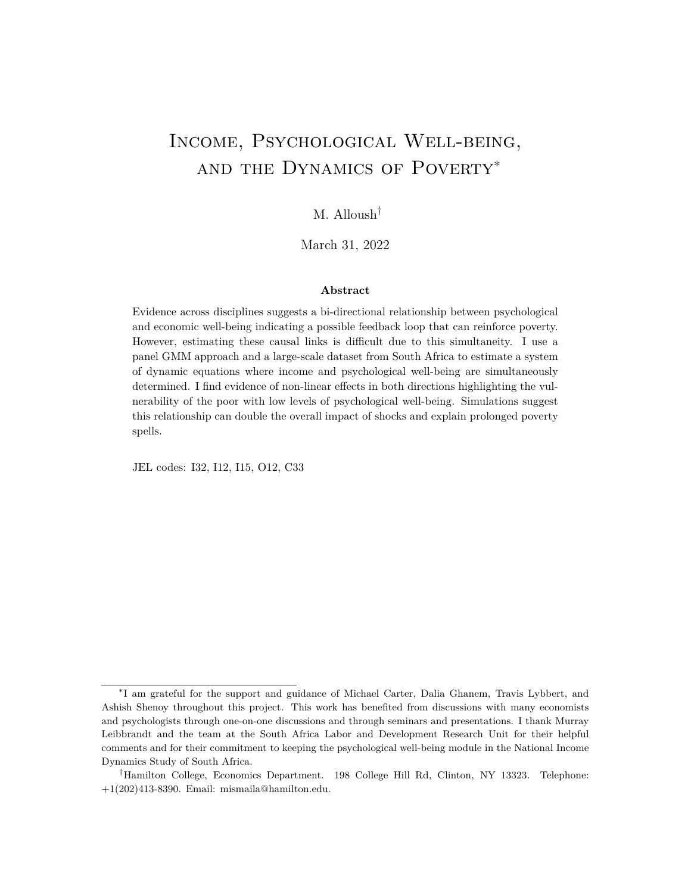|                                                |                     | $Z_{i,t}^{\mathsf{A}}$ |                     |                     |                     |  |
|------------------------------------------------|---------------------|------------------------|---------------------|---------------------|---------------------|--|
|                                                | (1)                 | (2)                    | (3)                 | (4)                 | (5)                 |  |
| Dependent Variable: Individual Income          |                     |                        |                     |                     |                     |  |
| $CES-Dt$                                       | $-3.521$<br>(0.927) | $-2.260$<br>(1.232)    | $-2.048$<br>(1.016) | $-2.427$<br>(0.853) | $-4.178$<br>(1.554) |  |
| Individual Income <sub>t-1</sub>               |                     | 1.241<br>(0.609)       | 0.916<br>(0.501)    | 0.483<br>(0.390)    | 0.636<br>(0.280)    |  |
| Dependent Variable: CES-D                      |                     |                        |                     |                     |                     |  |
| HH Income Per Capitat                          | $-0.298$<br>(0.031) | $-0.146$<br>(0.051)    | $-0.338$<br>(0.083) | $-0.448$<br>(0.089) | $-0.342$<br>(0.102) |  |
| HH Income Per Capita <sub>t</sub> <sup>2</sup> |                     |                        | 0.004<br>(0.001)    | 0.004<br>(0.001)    | 0.003<br>(0.001)    |  |
| $CES-Dt-1$                                     |                     | 0.050<br>(0.030)       | 0.051<br>(0.030)    | 0.036<br>(0.029)    | 0.090<br>(0.032)    |  |
| Controls                                       |                     |                        |                     | Yes                 | Yes                 |  |
| Observations                                   | 6,281               | 6,281                  | 6,281               | 6,281               | 6,281               |  |

Table 2: System of Simultaneous Equations: GMM Estimates

Cluster robust standard errors in parentheses. Notes: Income numbers are in 100 South African Rands. Controls include household size, marital status, disability, and number of children in the household. Two-stage GMM for the study sample using two approaches with di erent instrument matrices that are consistent under two slightly di erent assumptions (A and B) show similar statistically signi cant results for the simultaneous e ects. The results that include a individual/household income in both equations are shown in Appendix tables A6 and A7.

overidentifying restrictions provides Hansen J-test statistics that do not reject the validity of the instruments. This is the case for all of the GMM results presented in the rest of the paper.<sup>36</sup>

A standard test for weak instruments in dynamic panel GMM does not currently exist and diagnostics from linear IV regressions do not carry over to this more general dynamic panel GMM setting (Stock and Wright, 2000; Bazzi and Clemens, 2013). However, I show results in the appendix (Table A4 and A5) where I apply a systems GMM approach to each side of the equation and get similar estimates. This approach is shown to be more robust to conditions which may imply that lagged levels are weak instruments, however it

econometric approach, I do not use Wave 5 which was conducted more than three years after Wave 4. The Blundell and Bond (1998) approach to estimating single equations is robust to weak instrument issues; I use this approach to conduct direct tests on serial correlation using Wave 5 data and I nd no evidence of rst-order moving-average serial correlation in either equation. Results are shown in the Appendix tables A4 and A5.

<sup>36</sup> All standard errors shown in the tables are cluster robust standard errors clustered at the PSU level. PSUs are dened geographic areas based on the 2001 census in South Africa based on which the sampling for NIDS took place.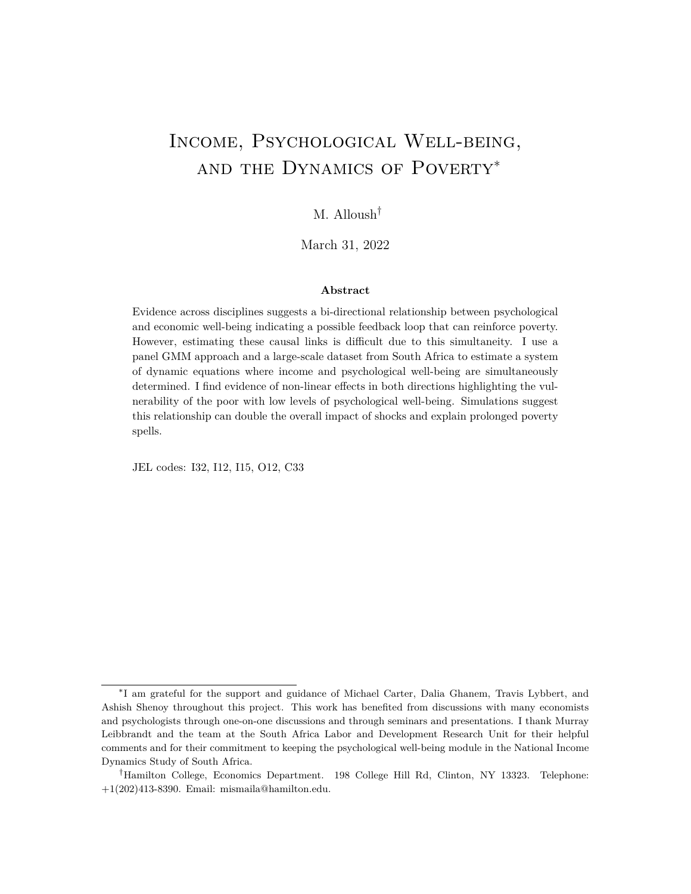requires additional assumptions on the stationarity of the dynamic process (Blundell and Bond, 1998).

The results show statistically signi cant results in both directions. The estimates in Table 2 suggest that a 2 point increase in the CES-D score (0.45 SD) decreases individual income by ZAR 470. This causal link is explored further in Section 4.2. The results also show signi cant e ects of income on depressive symptoms whereby a ZAR 200 increase in household income per capita decreases CES-D scores (decreases depressive symptoms) by about 0.9 points on average (0.25 SD $<sup>87</sup>$  The quadratic term is statistically signi cant</sup> suggesting that increases in income decrease depressive symptoms at a decreasing rate. This side of the simultaneous equations, the eect of income on psychological well-being, is analyzed in more detail in Section 4.3.

### 4.2 The Impact of CES-D on Individual Income

To further study the eect of depressive symptoms on individual income, I focus specically on equation (3) from the system of equations above:

$$
Dy_{i,t} = 1Dd_{i,t} + 1Dy_{i,t} + GDx_{i,t} + De_{i,t}
$$
 (3)

I rst show the non-linearities that might exists based on the baseline level of CES-D after which I investigate potential mechanisms through which changes in psychological well-being a ect income.

### 4.2.1 Non-linear E ects: Clinical Depression Threshold

The psychology literature on the CES-D scale indicates that the score of 10 or above suggests that a person is increasingly likely to be suering from what would be clinically diagnosed as depression<sup>38</sup> Changes within the lower range of the score (0-7) track changes in psychological well-being, but these changes may not aect an individual's economic behavior in a meaningful way. While the CES-D may be viewed as a continuum of psychological wellbeing (Siddaway, Wood and Taylor, 2017; Wood, Taylor and Joseph, 2010), the functional impairment and/or other symptoms that could aect an individual's income may not be evident until they are experiencing depression.

To capture this non-linearity, I would like to estimate the marginal e ect of changes in CES-D at each baseline CES-D score. To do so, an ideal dataset would have a very large number of observations at each baseline (Wave 3) CES-D score and all individuals would experience a change of 1 or -1 in their CES-D score between Waves 3 and 4. Applying

 $37$ Mean and median of household income per capita are ZAR 1,599 and ZAR 1,110 in Wave 4, respectively. Mean CES-D score is 7.01 and the within person standard deviation is 3.6.

 $38$ In South Africa speci cally, a recent study by Baron, Davies and Lund (2017) nds that, on average, a threshold of 11 is more appropriate among the South African population.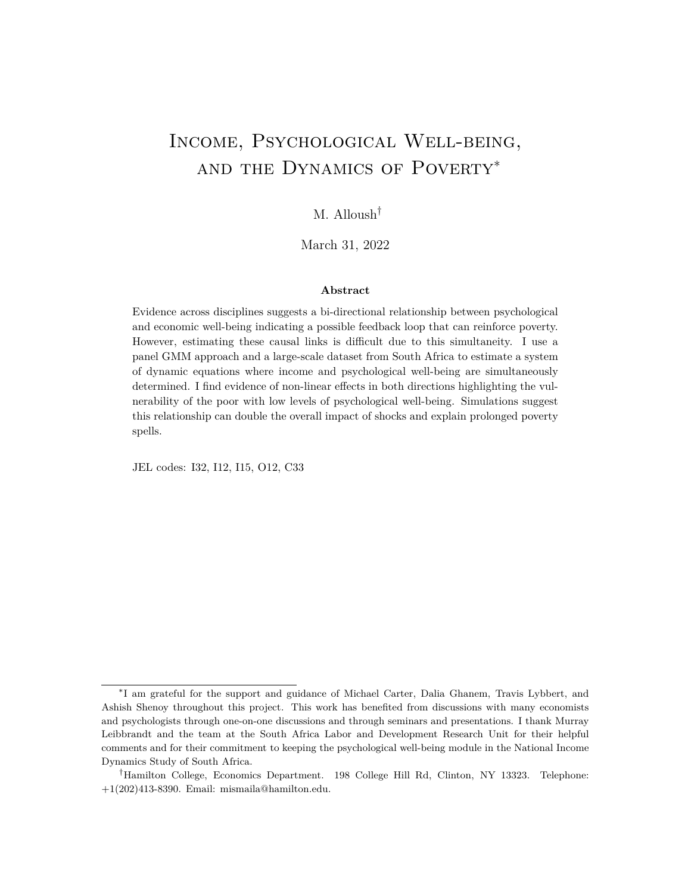Figure 5: Marginal eects of CES-D on individual income: The impact of CES-D on individual income based on baseline CES-D score in Wave 3. This gure was based on 13 linear regressions: For each baselines CES-D score, the sample was restricted to those with CES-D scores 1 and who experienced changes with absolute value4. Dashed condence intervals are Bonferroni-Holm corrected CIs to control the family-wise error rate. The vertical line at 10 indicates the threshold commonly used by psychologists to screen for depression. This gure was estimated with instruments matrix $Z_{i,t}^{A}$ . Income is in 100 South African Rands.

the same econometric specication as above using sub-samples of individuals who report the given baseline CES-D score would estimate the marginal e ect of changes in CES-D on individual income at each CES-D score. I apply this approach to estimating the marginal e ects to this dataset, however, in order to attain adequate sample sizes, I increase the bandwidth to 1 in local linear regression terms<sup>39</sup> and I restrict the sample to individuals who experience changes less than or equal to the absolute value of 4 in their CES-D score between Wave 3 and 4 (instead of  $1)^{40}$  I view this approach as a type of non-parametric estimation that is achieved by focusing on small changes in short intervals of a discrete variable.

The results of this estimation method are shown in Figure 5. While psychologists oer a clear hypothesis that changes in depressive symptoms matter more in the region clinical depression is more likely, since these marginal e ects were estimated using 13 regressions, I present a conservative Bonferroni-Holm corrected condence interval to control for the family-wise error rate (dashed grey line). The estimates suggest that when an individual

 $39$ In this discrete variable case, when estimating the marginal e ect at CES-D = 5 in 3, I would include individuals who report a CES-D score of 4,5, or 6. Observations where baseline CES  $D_3 = j$  1 were weighted at 1/2 that of j. The results are robust to a range of di erent weighting speci cations.

 $^{40}$ Results in which the sample is restricted to individuals who experience smaller and larger changes (2,3) and 5) exhibit a similar pattern, but have slightly di erent point estimates.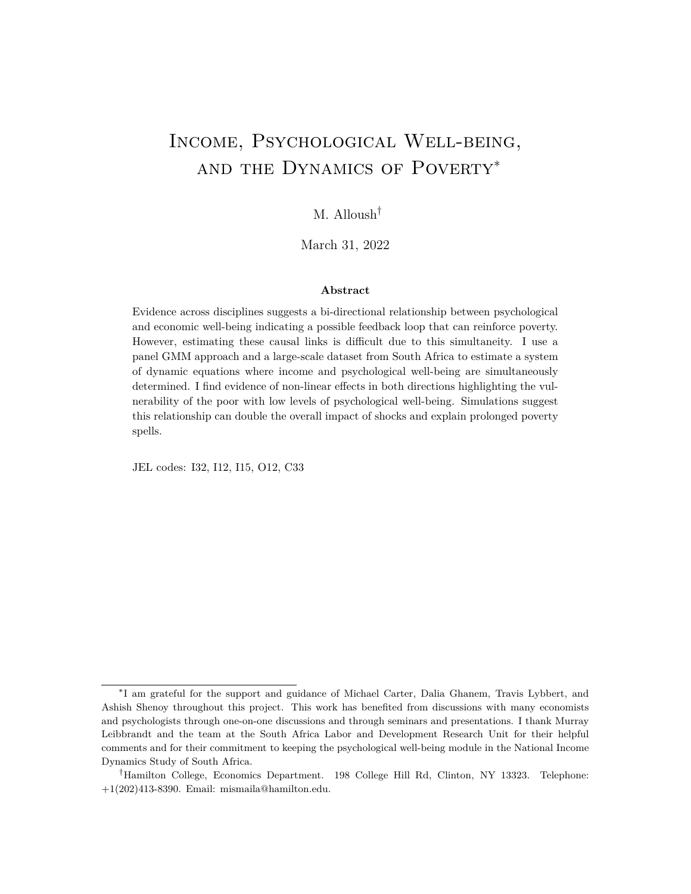is at the threshold of 10, a 1-point increase in their CES-D score decreases income by nearly ZAR 500. This estimate is signicant at the 1% level even after a very conservative Bonferroni adjustment to the p-value. The model estimates slightly smaller marginal eects at CES-D scores 11, 12, and 13 that are statistically signicant at the 5% level. Moreover, the largest estimate is at the CES-D score of 8. If I consider an individual with a median CES-D score of 6 in Wave 3, a 1 SD increase in their CES-D (approximately 4 points) is estimated to decrease their individual income by nearly ZAR 1,200 or about 0.3 SD on average. The average income of an employed individual with CES-D equal to 6 is ZAR 4,250: the estimates predict that a 4-point increase in CES-D score would decrease the individual's income by over 20%.<sup>41</sup>

While overall changes in CES-D do seem to aect an individual's income on average in a statistically signi cant way, the results presented in this section suggest that there are signi cant non-linearities. Depression is increasingly likely among individuals with higher CES-D scores. The results show that for those who are near or past that threshold of 10, changes in CES-D score have large impacts on their income. This paper adds to literature by clearly showing these non-linearities. These non-linearities may have important implications on the symmetry of shocks.

### 4.2.2 Mechanisms and Other E ects

In Table 3, I present results that investigate some of the possible mechanisms through which changes in CES-D might a ect individual income speci cally labor supply at the extensive and intensive margins. All the results in Table 3 are estimated using a single equation GMM speci cation for the variable of interest,  $m_{i,t}$ , that is similar to the system speci cation above. The estimated equation is the following:

$$
Dm_{i,t} = -1Dd_{i,t} + 2Dm_{i,t-1} + 3Dx_{i,t} + D_{i,t}
$$

using the the instruments vector  $z_{i,t}^m = -d_{i,t-2} - d_{i,t-3} - m_{i,t-3}$ . The estimates in column 1 of Table 3 suggest that one of the likely mechanisms through which an increase in CES-D decreases income is through decreased labor force participation. The results predict that a 1-point increase in an individual's CES-D score results in a 7.7 percentage-point decrease in the likelihood of labor force participation. The point estimate for hours worked (given employment) in column 2, shows no e ects of increases in  $CES-\hat{D}^2$ .

The results in this section show that psychological well-being has important economic consequences. For the nearly 30% of the sample with a CES-D score of 9 or above (as seen in Figure 1(a)), changes in psychological well-being can have a signi cant economic impact.

 $41$  Just over 20% of individuals with CES-D scores of 6,7, or 8 in Wave 3 experience a change greater than or equal to 4 between Wave 3 and Wave 4.

 $42$  Here, I restrict the sample to those employed in both relevant waves. This e ectively takes away the mechanism of leaving the labor force altogether.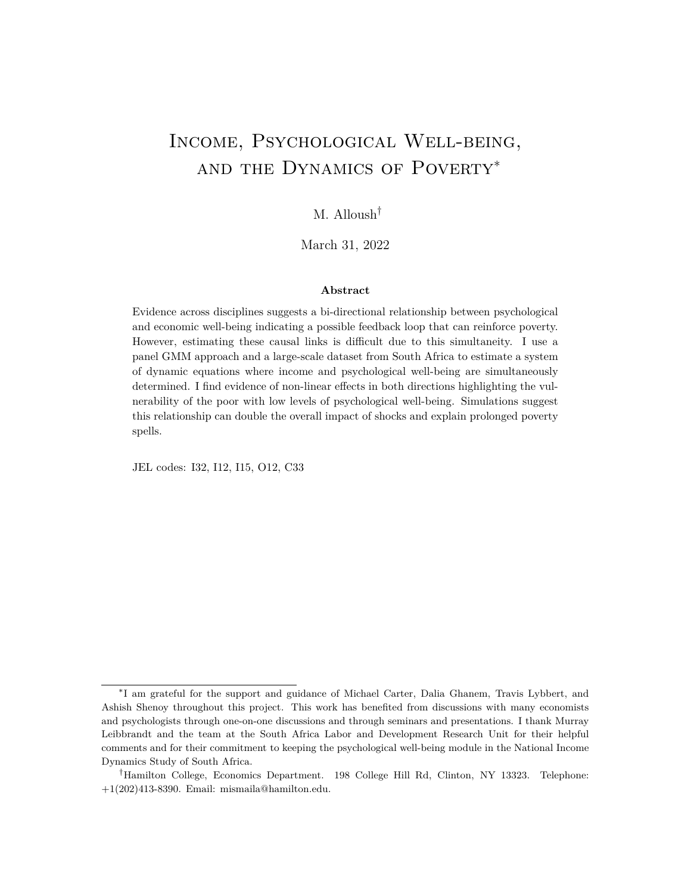|              | Economically<br>Active<br>(1) | Hours<br>z<br>Worked<br>(2) |
|--------------|-------------------------------|-----------------------------|
| $CES-Dt$     | $-.077$<br>(0.037)            | $-0.017$<br>(2.18)          |
| Controls     | Yes                           | Yes                         |
| Observations | 4,578                         | 2,031                       |

Table 3: Mechanisms Labor Supply

Cluster robust standard errors in parentheses. <sup>Z</sup>Conditional on being employed in Wave 3 and 4. Notes: Samples restricted to working age adults. Controls include lagged dependent, household size, number of children per household, disability, and marital status. Moment conditions requiring adapted assumptions similar to assumption A are used to estimate these results.

### 4.3 The Impact of Income on Psychological Well-Being

The results in Section 4.1 show that changes in income aect psychological well-being for the average individual in the sample. To further explore this eect, I focus on equation (4) in the system of equations above:

$$
Dd_{i,t} = a_1 Dh_{i,t} + a_1 Dh_{i,t}^2 + b_1 Dd_{i,t-1} + QDx_{i,t} + Du_{i,t}
$$
 (4)

When estimating the impact of changes in household income and food expenditure per capita, and wealth, I use the system estimation strategy used in Section 4.1<sup>3</sup>

Table 4 shows the coe cient estimates for di erent variations of equation (4) using twostep GMM estimation.<sup>44</sup> Columns 1-3 present results for the approach that uses the vector of instruments  $z_{i,t}^A$  which is consistent under assumption A. The results show that for three di erent measures of economic well-being household income per capita, food expenditure per capita, and a household wealth indexa change in economic well-being aects the CES-D score in a statistically signicant way. The estimates in columns 1 and 4 are the same estimates from Table 2. The model suggests a decreasing marginal e ect of household income per capita due to the statistically signi cant quadratic term. Table 5 shows results using the natural log of household income per capita. The model estimates that a 10% increase in household income per capita decreases an individual's CES-D score by nearly 0.2 points.

<sup>&</sup>lt;sup>43</sup>I consider a quadratic speci cation for impact of food expenditure per capita ( fe) on CES-D, and I use  $z_{i,t}^{2fe}$  = fe $_{i,t}$   $_2$  fe $_{i,t}^2$   $_3$  fe $_{i,t}^2$   $_3$   $y_{i,t}$   $_2$   $y_{i,t}^2$   $_2$   $y_{i,t}$   $_3$   $y_{i,t}^2$   $_3$   $d_{i,t}$   $_3$  under assumption A and  $z_{i,t}^{2fe}$  = fe<sub>i,t 3</sub> fe $_{i,t}^2$  <sub>3</sub> y<sub>i,t 3</sub> y<sub>i,t 3</sub> d<sub>i,t 3</sub> under assumption B. When considering the wealth index (w), I use  $z_{i,t}^{2w} = w_{i,t-2} - w_{i,t-3} - t e_{i,t-2} - t e_{i,t-3} - y_{i,t-2} - y_{i,t-3} - d_{i,t-3} - u$  under assumption A and  $z_{i,t}^{2w} = w_{i,t-3}$  fe<sub>i,t 3</sub> y<sub>i,t 3</sub> d<sub>i,t 3</sub> under assumption B. Similar assumptions on the error terms as those presented in Section 4.1 are required.

 $44$  Despite now showing the other side of the simultaneous system (equation (3)), I still estimate it simultaneously.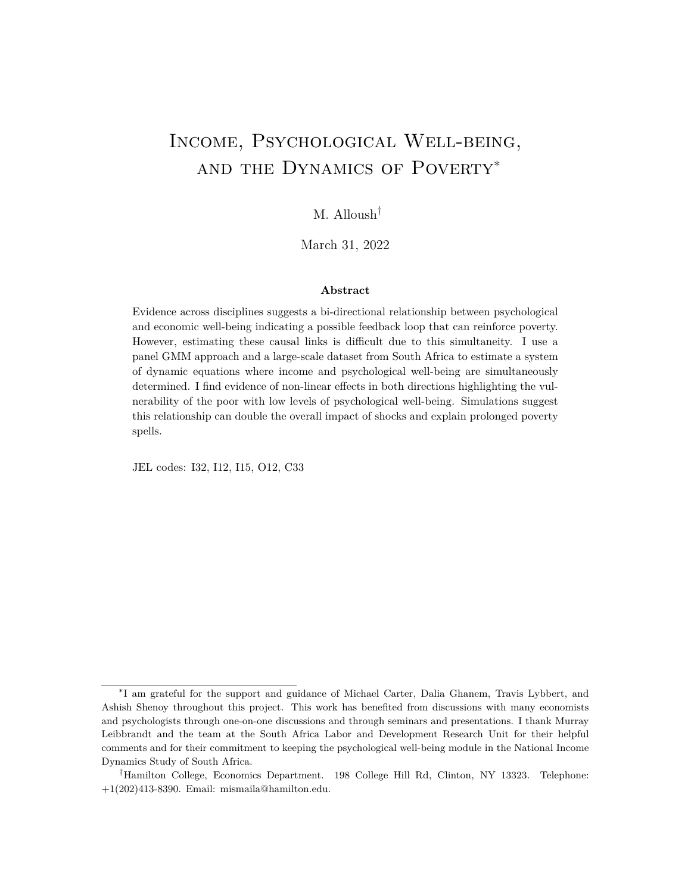|                                  |                    | $Z_{i,t}^{\mathsf{A}}$ |                   |                   | $Z_{i,t}^B$       |                   |
|----------------------------------|--------------------|------------------------|-------------------|-------------------|-------------------|-------------------|
|                                  |                    | CES-D                  |                   | CES-D             |                   |                   |
|                                  | (1)                | (2)                    | (3)               | (4)               | (5)               | (6)               |
| HH Income Per Capitat            | $-0.45$<br>(0.089) |                        |                   | $-0.43$<br>(0.10) |                   |                   |
| HH Income Per Capita?            | 0.005<br>(0.001)   |                        |                   | 0.004<br>(0.001)  |                   |                   |
| Food Exp Per Capita              |                    | $-2.61$<br>(0.795)     |                   |                   | $-2.39$<br>(0.81) |                   |
| Food Exp Per Capita <sup>2</sup> |                    | 0.086<br>(0.031)       |                   |                   | 0.074<br>(0.030)  |                   |
| Wealth Index                     |                    |                        | $-6.12$<br>(2.58) |                   |                   | $-6.44$<br>(3.55) |
| Controls                         | Yes                | Yes                    | Yes               | Yes               | Yes               | Yes               |
| Observations                     | 6,281              | 6,281                  | 6,281             | 6,281             | 6,281             | 6,281             |

Table 4: Impact of Other Measures of Economic Well-being

Cluster robust standard errors in parentheses. Notes: Income and expenditure numbers are in 100 South African Rands. Controls include household size, marital status, disability, and number of children in the household.

To test the robustness of these results, I replace household income with other measures of economic well-being, namely food expenditure per capita and wealth. The results are similar in sign and statistical signi cance for both alternative measures of economics wellbeing. The estimates in Table 4 predict that a ZAR 50 (mean food expenditure per capita is nearly ZAR 330) decrease in food expenditure increases CES-D score by over 1 point. Also a 0.1-SD increase in wealth measured by the wealth index is predicted to decrease CES-D scores by near 0.6 points.

Columns 4-6 show estimates for the econometric specication that requires less restrictive assumptions. The results are similar to those in columns 1-3 showing that the results are robust to speci cations requiring less restrictive assumptions and that allow for rst-order serial correlation in the error terms.

The magnitude of the estimated e ects of changes in household income on psychological well-being are in line with other experimentally estimated impacts. In Haushofer and Shapiro (2016), the unconditional cash transfer of nearly PPP \$45 per capita targeting the poor led to an additional increase in revenue of nearly \$16 on average. The treated households showed an overall decrease in nearly 1.2 in their CES-D20 score. Back-of-the-envelope calculation and an equivalent PPP adjustment shows that a similar increase in household income among the poorest 20% in South Africa would lead to nearly 0.64 reduction in CES-D. Noting that Haushofer and Shapiro use CES-D20 in their analysis and abstracting away

<sup>&</sup>lt;sup>45</sup>The actual size of the transfer was larger, however averaged out over the duration of the study it is nearly \$45 per capita per year.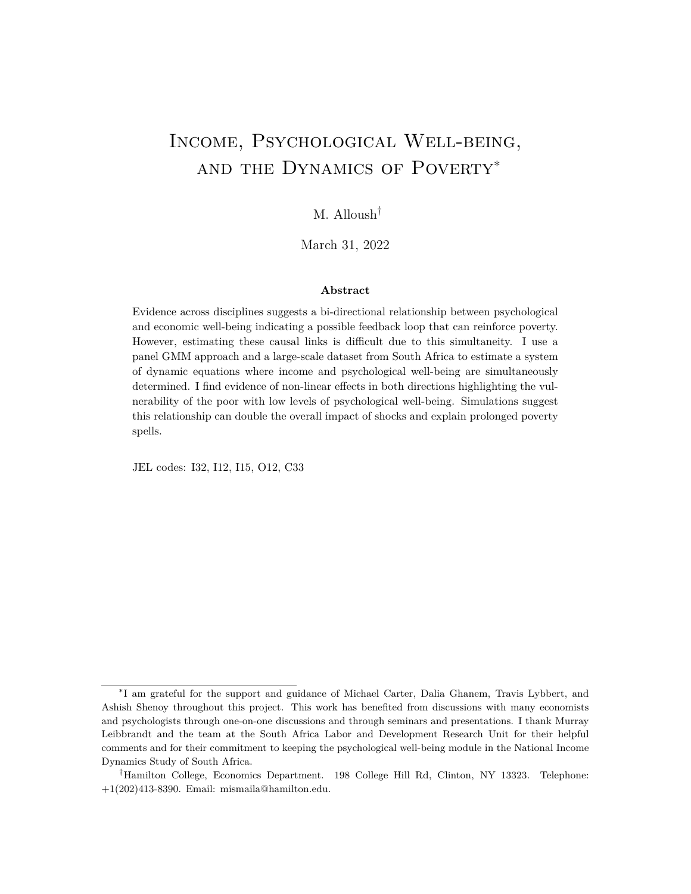|                                           | <b>Full Sample</b><br>CES-D |       | Poorest 54%<br>CES-D |       | Poorest 20%       |       |
|-------------------------------------------|-----------------------------|-------|----------------------|-------|-------------------|-------|
|                                           |                             |       |                      |       | CES-D             |       |
|                                           | (1)                         | (2)   | (3)                  | (4)   | (5)               | (6)   |
| $Log(HH$ Income Per Capita <sub>t</sub> ) | $-2.10$<br>(1.36)           |       | $-2.20$<br>(1.13)    |       | $-4.34$<br>(1.96) |       |
| Controls                                  | Yes                         | Yes   | Yes                  | Yes   | Yes               | Yes   |
| Observations                              | 6.281                       | 6.281 | 3.375                | 3.375 | 1.383             | 1,383 |

Table 5: Log Transformations and Estimates for the Poor.

Cluster robust standard errors in parentheses. Notes: Controls include lagged dependent, household size, marital status, disability, and number of children in the household. Poverty level is determined by the wealth index in Wave 3. Instruments requiring Assumptions A used. Instruments  $z_{i,t}^B$  that require less restrictive assumptions show similar results

from the complexity of predicting CES-D 20 scores with CES-D 10, the estimates in this analysis on the impact of household income per capita on CES-D are similar in size.

### 4.3.1 Heterogeneity by Poverty Status

Intuitively, the impact of income on psychological well-being may be larger for the poor. To test this, I restrict my sample to the poorest 54% and 20%which Leibbrandt et al. (2014) suggest is the poverty and extreme poverty head count percentages in South Africa. The results in Table 5 show larger point estimates for the poorespecially the extremely poor for both changes in household income and food expenditure per capita on CES-D.

Even in percentage changes, this heterogeneity makes sense: a 20% increase in household income per capita for a wealthy family may not have the same e ect on psychological wellbeing as it would for individuals in a poor family barely able to meet their basic needs. A 20% increase in income for a upper middle income household whose basic material needs are mostly taken care may make a dierence psychologically, but likely not as much. Translating these results on log of income into South Africa Rands, the eect of a Rand on the CES-D score of a member of a poor household is signi cantly larger in magnitude than it is on a member of a wealthier household.

In Appendix C, I use an alternative approach to estimate the eect of income on psychological well-being. Namely, I leverage the discontinuity in eligibility for the Older Person's Grant and restrict the sample to individuals with economically inactive household members around the age eligibility threshold.<sup>46</sup> I then employ a fuzzy regression discontinuity approach using having a household member eligible for the grant as an instrument for

 $46$ I use the panel to ensure that household members who are economically inactive above the threshold were also inactive when they were below. Details on this approach are found in Appendix C and in Alloush and Wu (forthcoming).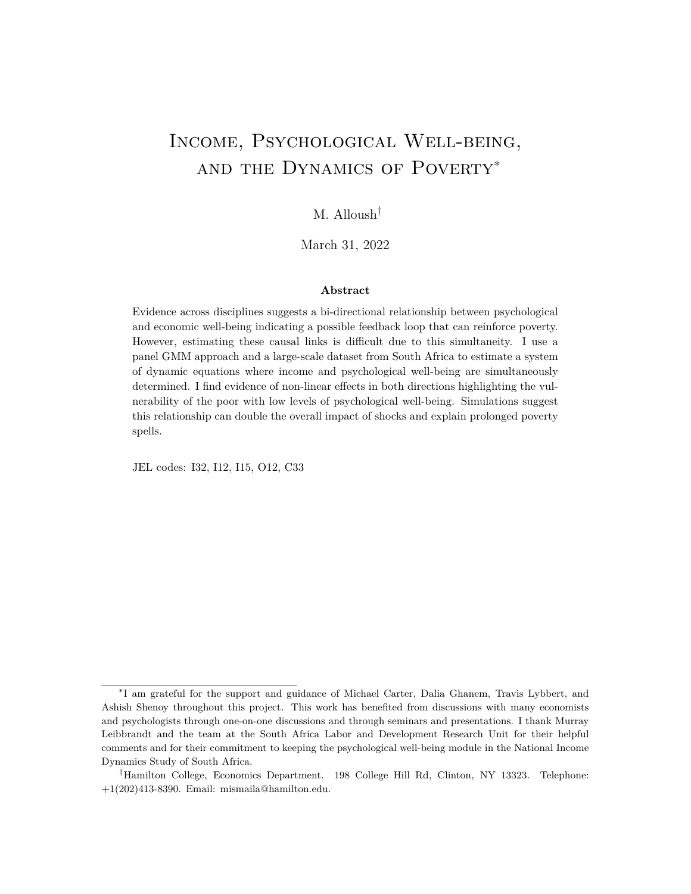household income. The results showing the eect of income on CES-D scores, even when restricted to indirect recipients, show point estimates similar to those shown in Table 5.

The results in this section demonstrate the eect of income and other measures of economic well-being on psychological well-being as measured by CES-D. These e ects are especially pronounced for the poorer part of the sample and are robustness to dierent estimation methods. This suggests that a shock to income may have signi cant psychological consequences for vulnerable portions of the population.

## 5 Poverty Dynamics: Simulations

In Section 4, I estimate a system of dynamic simultaneous equations that show the extent to which psychological well-being is intertwined with income and poverty. The estimated coe cients do not, on average, suggest a poverty trap in the strict sense of the term. In this section, I show that psychological well-being can still play an important role in the dynamics of income and the persistence of poverty: I show how the bi-directional relationship exacerbates the impacts of shocks to either variable over time. I then use simulations to illustrate the impact this relationship can have on the persistence of poverty.

First, I borrow from the structural vector auto-regression literature and conduct an impulse response function analysis on the estimated dynamic simultaneous relationship between income and psychological well-being. As expected, this simultaneity increases the impact of shocks in a certain time period on either variable in the future. Compared to an AR(1) income process where psychological well-being plays no role, the estimated bidirectional relationship exacerbates the eect of the initial shock but also has an added impact over time.<sup>47</sup> The estimated system of equations predicts that the overall impact of an income shock (includes current and future loss) is nearly double that estimated through an AR(1) process. The results in Section 4 show signi cant heterogeneity/nonlinearity. Particularly, among the poor near the depression threshold, the estimated e ects are larger the impulse response function analysis shows the added initial and long-run impacts that this group might experience. This suggest that an across-the-board shock to either income or psychological well-being aects some individualsthe poor with low levels of psychological well-being (approximately 18% of the NIDS sample) disproportionately.

This heterogeneity in the overall impact of shocks can help explain low levels of resilience among some. But can the relationship between income and psychological well-being with its key heterogeneities/nonlinearities also help explain the persistence of poverty? To illustrate the implications on poverty dynamics and allow for repeated shocks, I use the estimated coe cients of the system of dynamic equations to simulate income and CES-

 $47$  Figure E1 in Appendix E shows this clearly. More on this analysis and calculations in the Appendix Section E.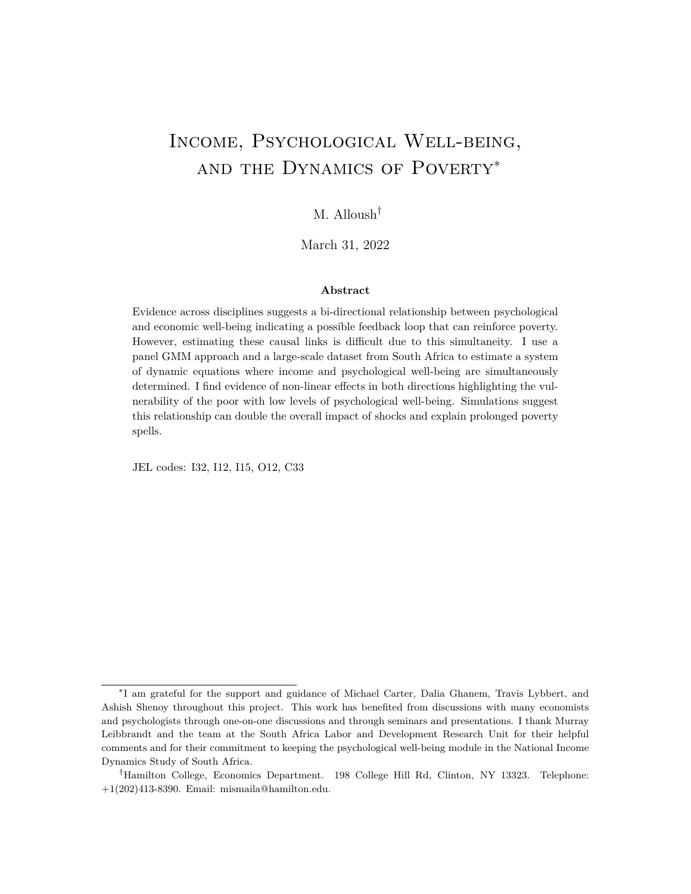(a) No simultaneous causality

(b) Estimated system of dynamic simultaneous equations

Figure 6: Heatmap of Poverty Probabilities by initial Income and CES-D. Simulations results show the probability of being poor after 10 years based on the independently and randomly drawn income  $(y)$  and CES-D in time  $t = 0$ . The estimated system of equations clearly increases the probabilities especially for those with higher CES-D scores.

D over time.<sup>48</sup> I independently and randomly draw income and CES-D values at time 0 with means, variances, and zero-centered normally distributed shocks every time period calibrated by the NIDS data. At time zero, CES-D score is independent of income and the cumulative distribution functions (CDFs) of income across the two groups (low versus high CES-D scores) are identical (shown on the left side of Figure B1(a) in Appendix C). If psychological well-being played no role in determining income (the counterfactual), the two CDFs would look identical over time; this is illustrated in Figure B1(a) (plot on the right)

<sup>48</sup>In these simulation, I assume that the path of income over time is not changing, and extrapolating what happens over a longer period of time using estimates from one time period. In addition, for simplicity I assume that there are no intra-household responses to changes in individual income and that households face the same income path.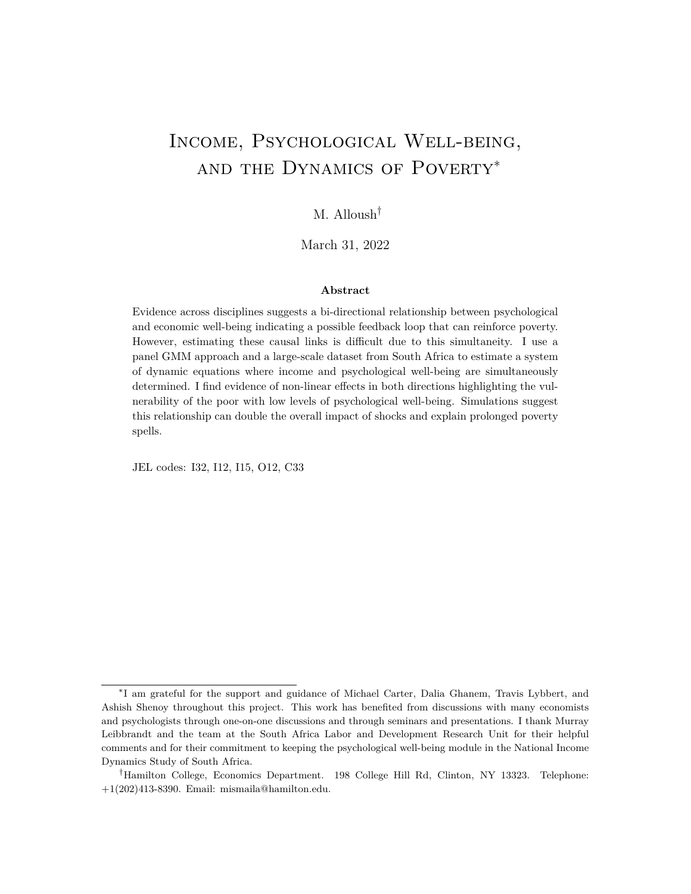Figure 7: Dierence in Poverty Probabilities: A Heatmap. The dierence in probabilities of Figure 6(b) and 6(a). The estimated relationship increases the likelihood of poverty after 10 years for most. However, this dierence is especially pronounced for the moderately poor with low levels of psychological well-being. In addition, those near the poverty have an added risk of shocks potentially pushing them into the zone where the feedback loop is strong.

where I show the CDFs of income after ve time periods (or 10 years) simulated using the estimated equations without the simultaneous causality. When simulating the model with the full estimated system of equations, it is clear that those who randomly start in period 0 with low levels of psychological well-being (high CES-D) have a lower income distribution (Figure B1(b) in Appendix D).

Figure 6 shows the probability of being poor after 10 years based on initial incomey() and CES-D score. Figure 6(a) shows probabilities of poverty based on income dynamics that do not include psychological well-being. It is clear that the poverty in the future depends solely on initial income. Figure 6(b) displays this probability when I simulate income over time using the estimated system of equations. The observed pattern suggests that those who initially start with low levels of psychological well-being are more likely to be poor after 10 years even with those who start with income levels above the poverty line. Figure 7 shows the dierence in the probability of poverty that the estimated equations predict. While increasing overall vulnerability to long-term poverty, this increase is especially large for those with low levels of psychological well-being. In addition, those near the poverty line become more vulnerable; a negative shock could put them on a vicious cycle that is dicult to get out of.

These gures illustrate the eect of psychological well-being on poverty dynamics in a setting where there can be successive negative shocks. An individual who starts above the poverty line and under the depression threshold may experience an income or psychological well-being shock that lowers both their income and level of psychological well-being. If the shock is strong enough, it could potentially put them in the red zone (Figure 7 poor with low levels of psychological well-being) where the causal links of this relationship (in both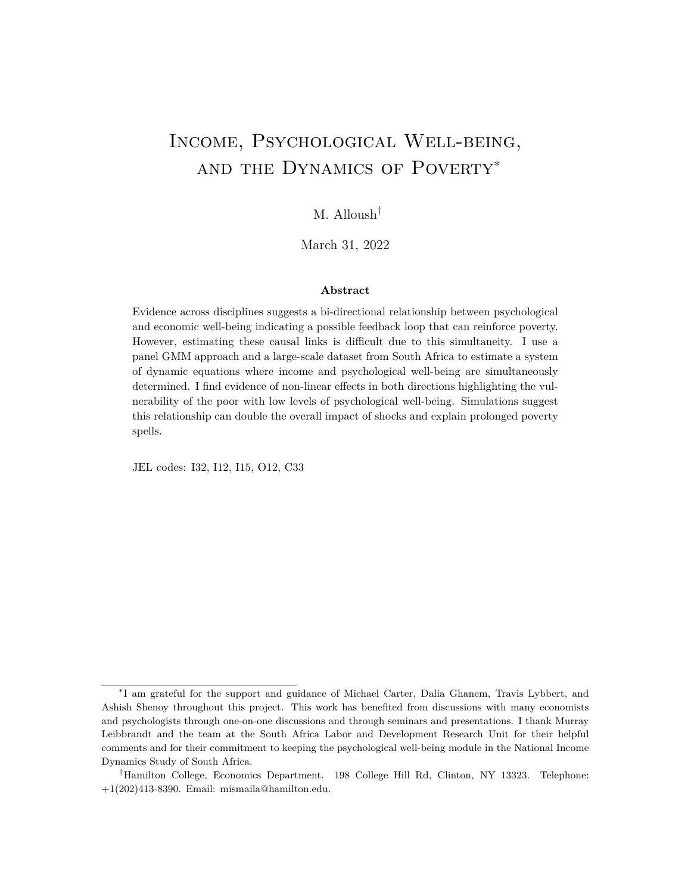directions are stronger) and where another negative shock could have even bigger long-term impacts. While the estimated relationship does not itself constitute a multi-equilibrium poverty trap on average, it does make it increasingly dicult to get out of poverty by exacerbating the initial and long-run impact of shocks.

## 6 Conclusion

This paper explores the bi-directional relationship between income and psychological wellbeing. Despite its importance, this relationship is understudied among general populations partly because of the diculty in establishing causality with limited data. Experimentally identifying the eects of improvements in psychological well-being can be achieved among very speci c samples those su ering from psychological distress who seek treatment. However, sample selection hampers the generalizability of such estimates. The recent availability of large-scale and high-quality panel datasets that track mental health allow for the use of econometric methods that answer important policy-relevant questions. With the caveats regarding inferring causality from observational data in mind, the goal of this paper is to shed light on the relationship between mental health and poverty in a general population. The results from this paper should encourage future research on this topic including focusing on other components of psychological well-being.

By using a dynamic panel GMM approach and a nationally representative dataset from South Africa, I estimate the relationship between income and psychological well-being as a system of dynamic simultaneous equations. I nd signicant impacts in both directions with important non-linearities. While the system of equations do not explicitly suggest a poverty trap, the magnitude of the estimated eects is not inconsequential and suggests larger overall e ect of shocks and longer lasting poverty spells. The results highlight an especially vulnerable group the poor with low levels of psychological well-being for whom the results suggest would be disproportionately a ected by shocks.

The results of this paper also add to the discussion on unexpectedly large impacts of some poverty alleviation programs. A stable income through aid likely improves levels of psychological well-being which allows individuals to realize their capabilities and further improve their economic well-being in a way that exceeds initial expectations. This suggests that aside from being a constitutive and important outcome in itself, psychological wellbeing is also an instrumental one (Sen, 1999). Back-of-the-envelope calculations predict that improving psychological well-being for those near or just above the depression threshold by one SD would decrease extreme poverty rates in South Africa by 2-3 percentage points.

In the future, di erentiating the e ects of negative versus positive economic shocks on psychological well-being is a fruitful endeavor. The econometric approach here does not allow me to restrict to positive or negative shocks and thus shows the average of both. In addition, shedding light on the mechanisms through which changes in psychological well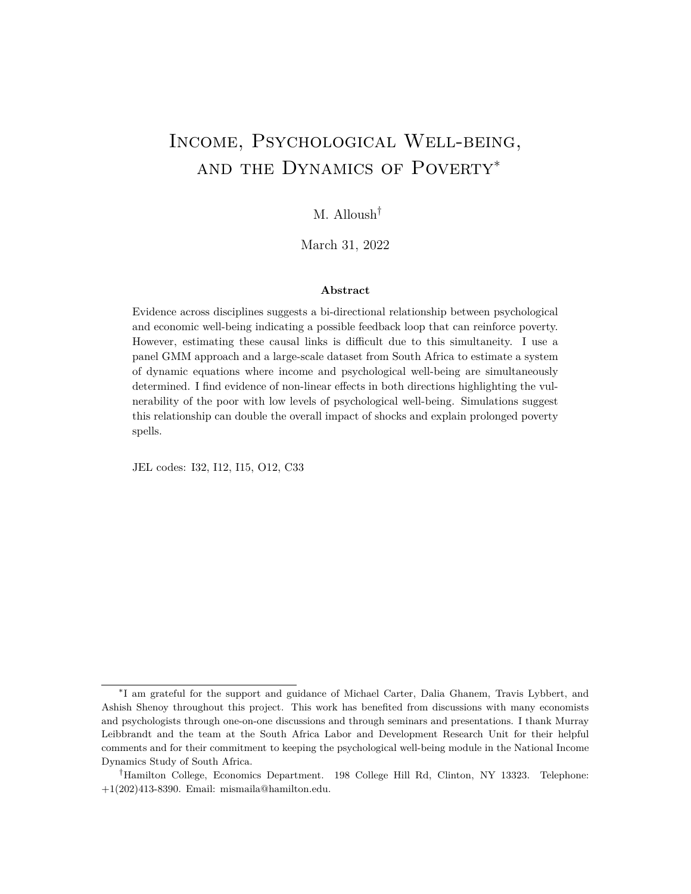being aect income is important. In this paper and in De Quidt and Haushofer (2016), labor supply seems to be an important mechanism. However, researchers in psychology have shown various ways di erent mental disorders a ect preferences and even cognitive ability. Shedding light on these mechanisms is germane to the design of e ective poverty alleviation policy.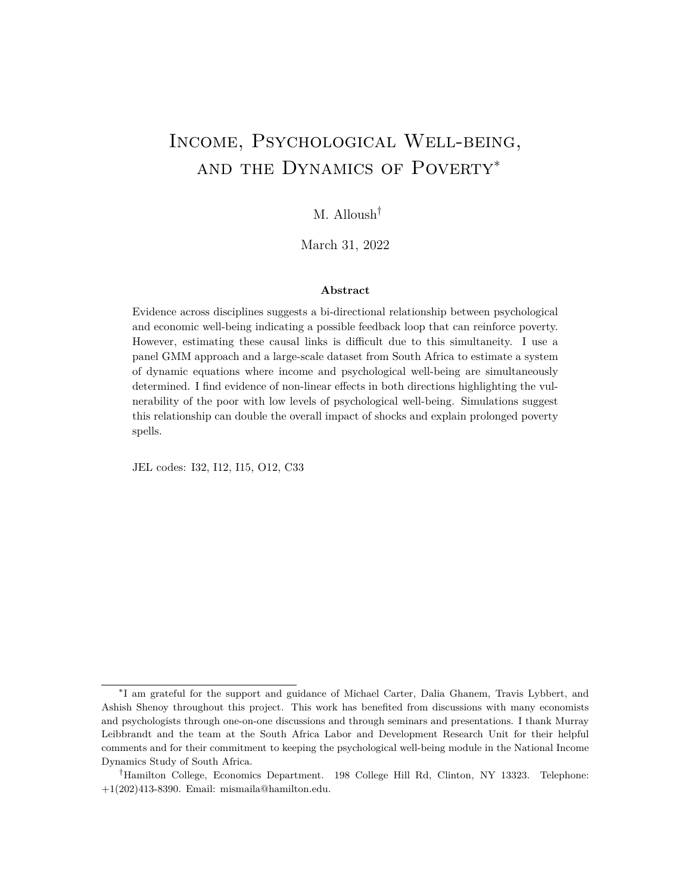## References

- Alloush, Mo, and Jerey Bloem. 2022. Neighborhood Violence, Poverty, and Psychological Well-being. Journal of Development Economics 154(102756).
- Alloush, Mo, and Stephen Wu. forthcoming. Income Improves Subjective Well-being: Evidence from South Africa. Economic Development and Cultural Change.
- Anderson, T.W., and Cheng Hsiao. 1982. Formulation and estimation of dynamic models using panel data. Journal of Econometrics.
- Angelucci, Manuela, and Daniel Bennett. 2021. The Economic Impact of Depression Treatment in India.
- Ardington, C., and A. Case. 2010. Interactions between mental health and socioeconomic status in the South African National Income Dynamics Study. Journal for Studies in Economics and Econometrics, 34(3): 6985.
- Arellano, Manuel. 2003.Panel Data Econometrics. Oxford, United Kingdom:Oxford University Press.
- Arellano, Manuel, and Stephen Bond. 1991. Some tests of speci cation for panel data: Monte Carlo evidence and an application to employment equations.The Review of Economic Studies, 58(2): 277.
- Baird, Sarah, Jacobus De Hoop, and Berk Özler. 2013. Income shocks and adolescent mental health. Journal of Human Resources 48(2): 370 403.
- Banerjee, A, E Duo, N Goldberg, D Karlan, R Osei, W Pariente, J Shapiro, B Thuysbaert, and C Udry. 2015. A multifaceted program causes lasting progress for the very poor: Evidence from six countries. Science 348(6236).
- Baranov, Victoria, Sonia Bhalotra, Pietro Biroli, and Joanna Maselko. 2019. Maternal Depression, Women's Empowerment, and Parental Investment: Evidence from a Randomized Control Trial. American Economic Review.
- Baron, Emily Claire, Thandi Davies, and Crick Lund. 2017. Validation of the 10-item Centre for Epidemiological Studies Depression Scale (CES-D-10) in Zulu, Xhosa and Afrikaans populations in South Africa. BMC Psychiatry, 17(1): 6.
- Bazzi, Samuel, and Michael A. Clemens. 2013. Blunt instruments: Avoiding common pitfalls in identifying the causes of economic growth. American Economic Journal: Macroeconomics.
- Beck, Aaron T. 1967. Depression: Causes and Treatment.. 1 ed., Philadelphia:University of Pennsylvania Press.
- Berndt, Ernst R, Stan N Finkelstein, Paul E Greenberg, Robert H Howland, Alison Keith, A John Rush, James Russell, and Martin B Keller. 1998. Workplace performance e ects from chronic depression and its treatment. Journal of health Economics 17(5): 511 535.
- Bessone, Pedro, Gautam Rao, Frank Schilbach, Heather Schoeld, and Mattie Toma. 2021. The economic consequences of increasing sleep among the urban pod the Quarterly Journal of Economics, 136(3): 18871941.
- Biasi, Barbara, Michael S Dahl, and Petra Moser. 2021. Career eects of mental health. National Bureau of Economic Research.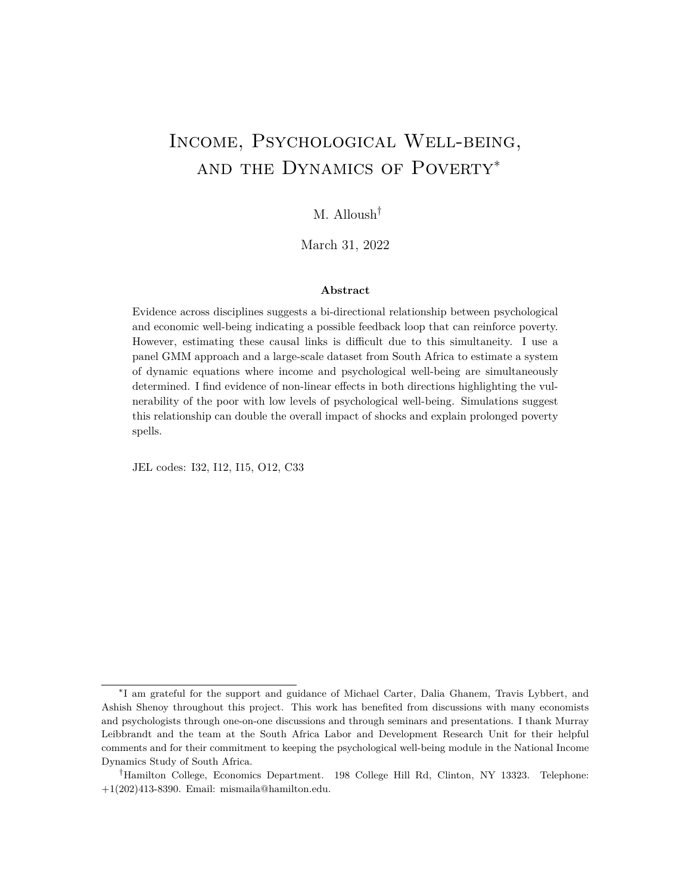- Blundell, Richard, and Stephen Bond. 1998. Initial conditions and moment restrictions in dynamic panel data models. Journal of Econometrics.
- Bolton, Paul, Judith Bass, Richard Neugebauer, Helen Verdeli, Kathleen F Clougherty, Priya Wickramaratne, Liesbeth Speelman, Lincoln Ndogoni, and Myrna Weissman. 2003. Group Interpersonal Psychotherapy for Depression in Rural Uganda: A Randomized Controlled Trial. Jama, 289(23): 31173124.
- Bryan, Mark L, Nigel Rice, Jennifer Roberts, and Cristina Sechel. 2020. Mental health and employment: a bounding approach using panel data.The Sheeld Economic Research Paper Series (SERPS), 2020006(2020006).
- Bubonya, Melisa, Deborah A Cobb-Clark, and David C Ribar. 2019. The reciprocal relationship between depressive symptoms and employment status Economics & Human Biology, 35: 96106.
- Cattaneo, Matias D, Nicolás Idrobo, and Rocío Titiunik. **Forthcoming.** A practical introduction to regression discontinuity designs: Extensions.Cambridge University Press.
- Cella, Matteo, Simon Dymond, and Andy Cooper. 2010. Impaired exible decision-making in major depressive disorder. Journal of A ective Disorders, 124(1-2): 207 210.
- Charles, Kerwin Ko, and Melvin Stephens. 2004. Disability, job displacement and divorce. Journal of Labor Economics, 22(2): 489 522.
- Chatterji, Pinka, Margarita Alegria, and David Takeuchi. 2011. Psychiatric disorders and labor market outcomes: Evidence from the National Comorbidity Survey-Replication. Journal of Health Economics,  $30(5)$ : 858 868.
- Christian, Cornelius, Lukas Hensel, and Christopher Roth. 2019. Income Shocks and Suicides: Causal Evidence From Indonesia. The Review of Economics and Statistics 101(5): 905 920.
- Cobb-Clark, Deborah A, Sarah C Dahmann, and Nathan Kettlewell. 2021. Depression, Risk Preferences and Risk taking Behavior. Journal of Human Resources 0419 10183R1.
- Collins, Pamela Y, Vikram Patel, Sarah Joestl, Dana March, Thomas R. Insel, and Abdallah S. Daar. 2011. Grand challenges in global mental health. Nature, 475(N.A): 37 30.
- Currie, Janet, and Erdal Tekin. 2012. Understanding the cycle childhood maltreatment and future crime. Journal of Human Resources 47(2): 509 549.
- Das, Jishnu, Quy-Toan Do, Jed Friedman, and David McKenzie. 2009. Mental Health Patterns and Consequences: Results from Survey Data in Five Developing Countries World Bank Economic Review, 23(1): 3155.
- De Quidt, Jonathan, and Johannes Haushofer. 2016. Depression for Economists.NBER Working Paper, 133.
- Eyal, Katherine, and Justine Burns. 2019. The parent trap: cash transfers and the intergenerational transmission of depressive symptoms in South Africa.World Development, 117: 211229.
- Farré, Lídia, Francesco Fasani, and Hannes Mueller. 2018. Feeling useless: the eect of unemployment on mental health in the Great Recession.IZA Journal of Labor Economics, 7(1): 1 34.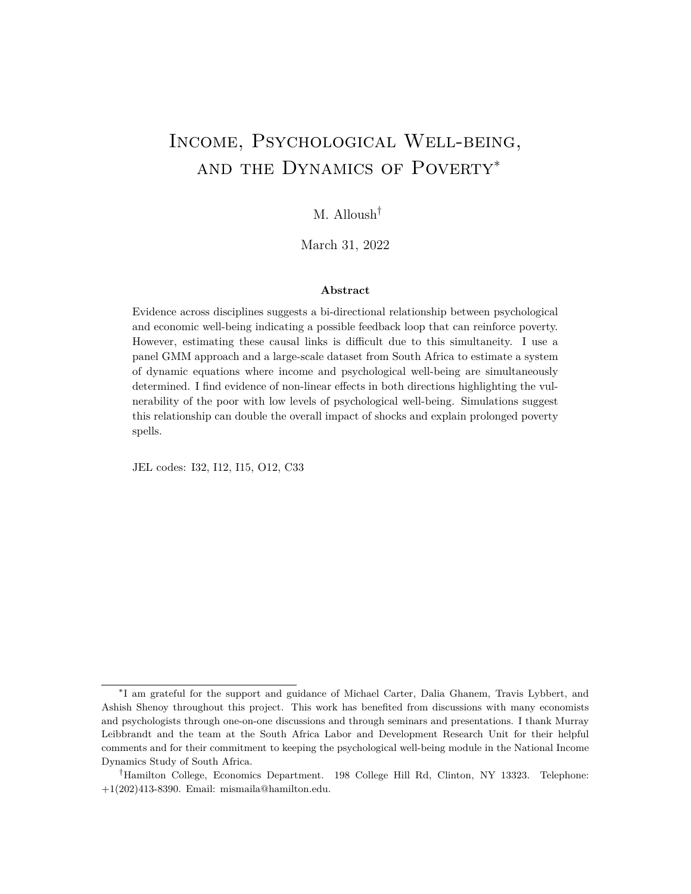- Friedrich, M.J. 2017. Depression Is the Leading Cause of Disability Around the World. Journal of the American Medical Association, 317(15): 1517.
- Frijters, Paul, David W Johnston, and Michael A Shields. 2014. The Eect of Mental Health on Employment: Evidence from Australian Panel Data. Health economics 23: 1058 1071.
- Frijters, Paul, John P Haisken-DeNew, and Michael A Shields. 2004. Money Does Matter ! Evidence from Increasing Real Income and Life Satisfaction in East Germany Following Reuni cation. The American Economic Review, 94(3): 730 740.
- Frijters, Paul, John P Haisken-DeNew, and Michael A Shields. 2005. The causal eect of income on health: Evidence from German reuni cation. Journal of Health Economics 24(5): 997 1017.
- Gardner, Jonathan, and Andrew J. Oswald. 2007. Money and mental wellbeing: A longitudinal study of medium-sized lottery wins. Journal of Health Economics, 26(1): 4960.
- González, Patricia, Alicia Nuñez, Erin Merz, Carrie Brintz, Orit Weitzman, Elena L. Navas, Alvaro Camacho, Christina Buelna, Frank J. Penedo, Sylvia Wassertheil-Smoller, Krista Perreira, Carmen R. Isasi, James Choca, Gregory A. Talavera, and Linda C. Gallo. 2017. Measurement properties of the Center for Epidemiologic Studies Depression Scale (CES-D 10): Findings from HCHS/SOL. Psychological Assessment 29(4): 372 381.
- Graham, Carol, and Stefano Pettinato. 2002. Frustrated Achievers: Winners, Losers and Subjective Well-Being in New Market Economies. The Journal of Development Studies 38(4): 100 140.
- Guvenen, Fatih. 2007. Learning your earning: Are labor income shocks really very persistent? American Economic Review, 97(3): 687 712.
- Haan, Peter, and Michal Myck. 2009. Dynamics of health and labor market risks. Journal of health economics 28(6): 1116 1125.
- Hamad, R, L C H Fernald, D S Karlan, and J Zinman. 2008. Social and economic correlates of depressive symptoms and perceived stress in South African adults.Journal of epidemiology and community health,  $62(6)$ : 538 544.
- Hamilton, Vivian H, Philip Merrigan, and Éric Dufresne. 1997. Down and out: estimating the relationship between mental health and unemployment. Health economics, 6(4): 397406.
- Haushofer, Johannes. 2019. Is there a Psychological Poverty Trap? Working Paper.
- Haushofer, Johannes, and Ernst Fehr. 2014. On the psychology of poverty. Science 344(6186): 8627.
- Haushofer, Johannes, and Jeremy Shapiro. 2016. The short-term impact of unconditional cash transfers to the poor: Experimental evidence from kenya.Quarterly Journal of Economics, 131(4): 19732042.
- Haushofer, Johannes, Robert Mudida, and Jeremy P Shapiro. 2020. The comparative impact of cash transfers and a psychotherapy program on psychological and economic well-being. National Bureau of Economic Research.
- Hays, Ron D., K B Wells, C D Sherbourne, W Rogers, and K Spritzer. 1995. Functioning and well-being outcomes of patients with depression compared with chronic general medical illnesses. Archives of General Psychiatry, 52(1): 11 9.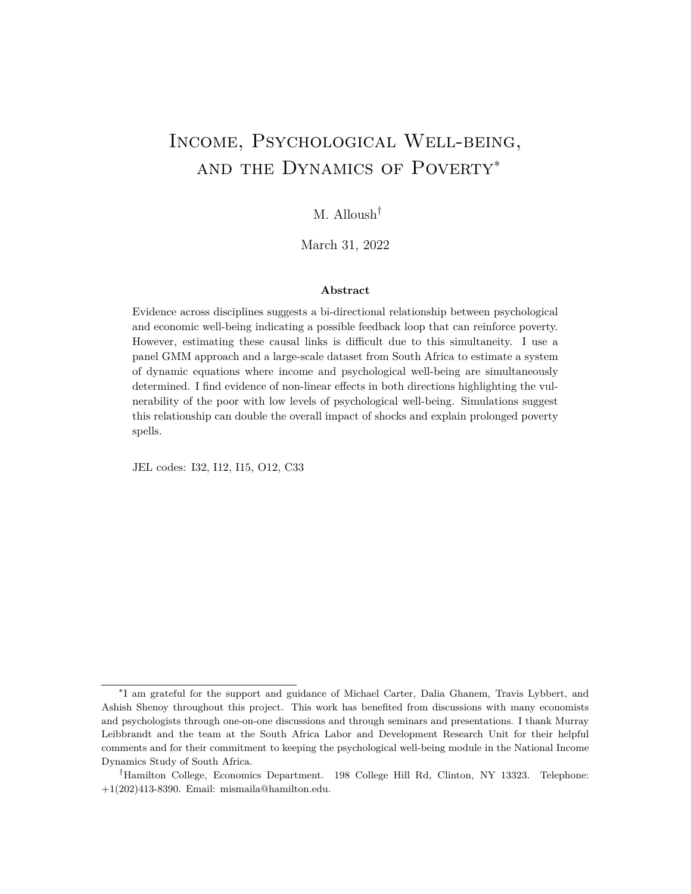- Headey, Bruce, Jonathan Kelley, and Alex Wearing. 1993. Dimensions of mental health: Life satisfaction, positive a ect, anxiety and depression. Social Indicators Research 29(1): 63 82.
- Holtz-Eakin, Douglas, Whitney Newey, and Harvey S. Rosen. 1988. Estimating Vector Autoregressions with Panel Data. Econometrica, 56(6): 1371 1395.
- Hsiao, Cheng, and Qiankun Zhou. 2015. Statistical inference for panel dynamic simultaneous equations models. Journal of Econometrics, 189(2): 383 396.
- Hubbard, Nicholas A., Joanna L. Hutchison, Monroe Turner, Janelle Montroy, Ryan P. Bowles, and Bart Rypma. 2016. Depressive thoughts limit working memory capacity in dysphoria. Cognition and Emotion, 30(2): 193209.
- Hugo, Charmaine J., Dorothy E L Bosho, Annelene Traut, Nompumelelo Zungu-Dirwayi, and Dan J. Stein. 2003. Community attitudes toward and knowledge of mental illness in South Africa. Social Psychiatry and Psychiatric Epidemiology 38(12): 715 719.
- Johnes, G, and J Johnes. 2004. International Handbook on the Economics of Education. Knowledge Creation Di usion Utilization, 28(6): 1578 1580.
- Kahneman, Daniel, and Angus Deaton. 2010. High income improves evaluation of life but not emotional well-being. Proceedings of the National Academy of Sciences 07(38): 16489 93.
- Leibbrandt, Murray, Arden Finn, and Ingrid Woolard. 2012. Describing and decomposing post-apartheid income inequality in South Africa. Development Southern Africa 29(1): 1934.
- Lindqvist, Erik, Robert Östling, and David Cesarini. 2020. Long-run eects of lottery wealth on psychological well-being. The Review of Economic Studies, 87(6): 2703 2726.
- Lund, Crick, Kate Orkin, Marc Witte, Thandi Davies, Johannes Haushofer, Judy Bass, and V Patel. 2020. Economic impacts of mental health interventions in low and middle-income countries: a systematic review and meta-analysis. Working paper.
- Lund, Crick, Mary De Silva, Sophie Plagerson, Sara Cooper, Dan Chisholm, Jishnu Das, Martin Knapp, and Vikram Patel. 2011. Poverty and mental disorders: Breaking the cycle in low-income and middle-income countries. The Lancet, 378(9801): 1502 1514.
- Macours, Karen, Norbert Schady, and Renos Vakis. 2012. Cash Transfers, Behavioral Changes, and Cognitive Development in Early Childhood: Evidence from a Randomized Experiment. American Economic Journal: Applied Economics, 4(2): 247273.
- Magnac, Thierry. 2000. Subsidised Training and Youth Employment : Distinguishing Unobserved Heterogeneity from State Dependence in Labour Market Histories.The Economic Journal, 110(466): 805837.
- Marcus, Jan. 2013. The eect of unemployment on the mental health of spouses Evidence from plant closures in Germany. Journal of Health Economics 32(3): 546 558.
- McGuire, Joel, Caspar Kaiser, and Anders M Bach-Mortensen. 2022. A systematic review and meta-analysis of the impact of cash transfers on subjective well-being and mental health in low-and middle-income countries. Nature Human Behaviour, 112.
- McInerney, Melissa, Jennifer M. Mellor, and Lauren Hersch Nicholas. 2013. Recession depression: Mental health eects of the 2008 stock market crash.Journal of Health Economics, 32(6): 10901104.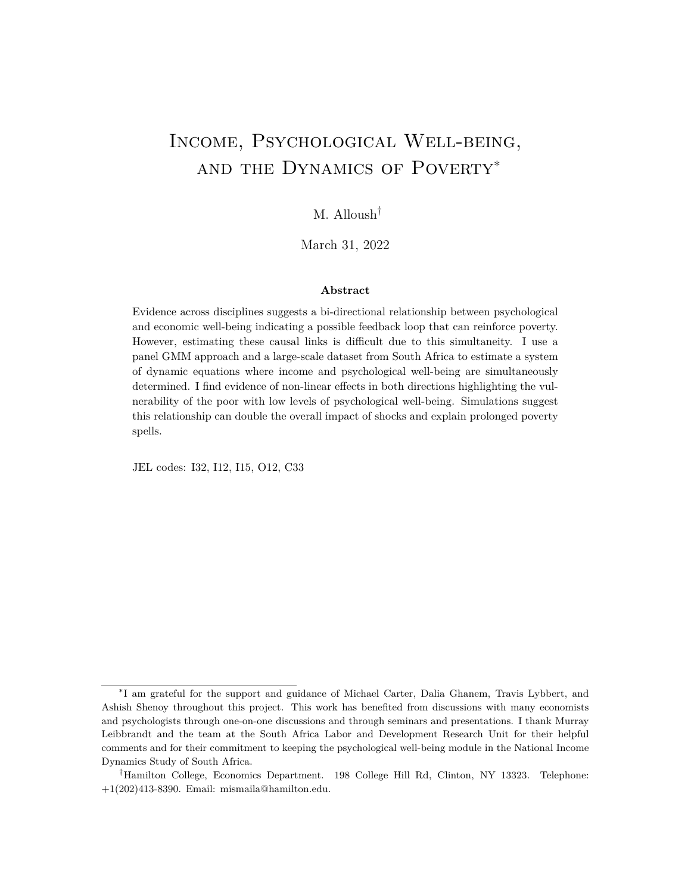- Meghir, Costas, and Luigi Pistaferri. 2004. Income Variance Dynamics and Heterogeneity. Econometrica, 72(1): 132.
- Myer, Landon, Joalida Smit, Liezel Le Roux, Siraaj Parker, Dan J Stein, and Soraya Seedat. 2008. Common mental disorders among HIV-infected individuals in South Africa: prevalence, predictors, and validation of brief psychiatric rating scales.AIDS patient care and STDs, 22(2): 147 158.
- Ormel, Johan, Tineke Oldehinkel, Els Brilman, and Wim v Brink. 1993. Outcome of Depression and Anxiety in Primary Care. Archives of General Psychiatry, 50(10): 759.
- Oswald, Andrew J, Eugenio Proto, and Daniel Sgroi. 2015. Happiness and productivity. Journal of labor economics 33(4): 789 822.
- Ozer, Emily J., Lia C H Fernald, Ann Weber, Emily P. Flynn, and Tyler J. VanderWeele. 2011. Does alleviating poverty aect mothers' depressive symptoms? A quasiexperimental investigation of Mexico's Oportunidades programme. International Journal of Epidemiology, 40(6): 1565 1576.
- Patel, Vikram, Benedict Weobong, Helen A Weiss, Arpita Anand, Bhargav Bhat, Basavraj Katti, Sona Dimidjian, Ricardo Araya, Steve D Hollon, Michael King, et al. 2017. The Healthy Activity Program (HAP), a lay counsellor-delivered brief psychological treatment for severe depression, in primary care in India: a randomised controlled trial.The Lancet, 389(10065): 176185.
- Peng, Lizhong, Chad D. Meyerhoefer, and Samuel H. Zuvekas. 2016. The Short-Term Eect of Depressive Symptoms on Labor Market Outcomes.Health Economics, 19(11).
- Pilkonis, Paul A., Lan Yu, Nathan E. Dodds, Kelly L. Johnston, Catherine C. Maihoefer, and Suzanne M. Lawrence. 2014. Validation of the depression item bank from the Patient-Reported Outcomes Measurement Information System (PROMIS® ) in a three-month observational study. Journal of Psychiatric Research, 56: 112119.
- Radlo, Lenore Sawyer. 1977. The CES-D Scale: A Self-Report Depression Scale for Research in the General Population. Applied Psychological Measurement1(3): 385 401.
- Ran, Mao Sheng, Meng Ze Xiang, Cecilia Lai Wan Chan, Julian Le, Peggy Simpson, Ming Sheng Huang, You He Shan, and Si Gan Li. 2003. Eectiveness of psychoeducational intervention for rural Chinese families experiencing schizophrenia - A randomised controlled trial. Social Psychiatry and Psychiatric Epidemiology 38(2): 69 75.
- Ridley, Matthew, Gautam Rao, Frank Schilbach, and Vikram Patel. 2020. Poverty, depression, and anxiety: Causal evidence and mechanisms. Science 370(6522): eaay0214.
- Samuels, Fiona, and Maria Stavropoulou. 2016. `Being Able to Breathe Again': The Eects of Cash Transfer Programmes on Psychosocial Wellbeing.The Journal of Development Studies, 52(8): 10991114.
- Santor, Darcy A., Michelle Gregus, and Andrew Welch. 2006. Eight Decades of Measurement in Depression. Measurement: Interdisciplinary Research & Perspective 4(3): 135 155.
- Saylor, C F, G L Edwards, and J A McIntosh. 1987. Children's Depression Inventory: Reliability over repeated administrations. Journal of Clinical Child ..., 16(4): 339 341.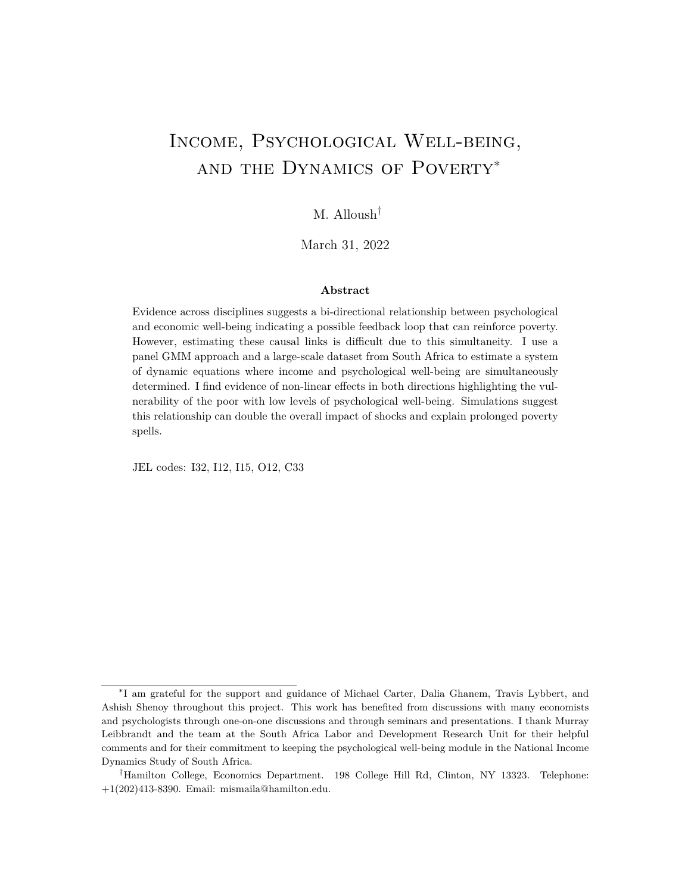- Schilbach, Frank. 2019. Alcohol and Self-Control: A Field Experiment in India. American Economic Review, 108(4): 1290 1322.
- Schilbach, Frank, Heather Schoeld, and Sendhil Mullainathan. 2016. The psychological lives of the poor. American Economic Review Paper & Proceedings 106(5): 435 440.

Sen, Amartya. 1999. Development as Freedom.Oxford Press, 150.

- Shreekumar, Advik, and Pierre-Luc Vautrey. 2022. Managing Emotions: The Eects of Online Mindfulness Meditation on Mental Health and Economic Behavior.
- Siddaway, Andy P., Alex M. Wood, and Peter J. Taylor. 2017. The Center for Epidemiologic Studies-Depression (CES-D) scale measures a continuum from well-being to depression: Testing two key predictions of positive clinical psychology. Journal of A ective Disorders, 213: 180 186.
- Smoski, Moria J., Thomas R. Lynch, M. Zachary Rosenthal, Jennifer S. Cheavens, Alexander L. Chapman, and Ranga R. Krishnan. 2008. Decision-making and risk aversion among depressive adults.Journal of Behavior Therapy and Experimental Psychiatry, 39(4): 567 576.
- Snyder, Hannah R. 2013. Major depressive disorder is associated with broad impairments on neuropsychological measures of executive function: a meta-analysis and review.Psychological bulletin, 139(1): 81 132.
- Spijker, J, R Graaf, R V Bijl, a T F Beekman, J Ormel, and W a Nolen. 2004. Functional disability and depression in the general population. Results from the Netherlands Mental Health Survey and Incidence Study (NEMESIS). Acta psychiatrica Scandinavica, 110(3): 20814.
- Steele, Fiona, Robert French, and Mel Bartley. 2013. Adjusting for selection bias in longitudinal analyses using simultaneous equations modeling: the relationship between employment transitions and mental health. Epidemiology, 703711.
- Steel, Zachary, Claire Marnane, Changiz Iranpour, Tien Chey, John W. Jackson, Vikram Patel, and Derrick Silove. 2014. The global prevalence of common mental disorders: A systematic review and meta-analysis 1980-2013.International Journal of Epidemiology.
- Stevenson, Betsey, and Justin Wolfers. 2013. Subjective Well-Being and Income: Is There Any Evidence of Satiation? American Economic Review: Papers & Proceedings103(1033): 598 604.
- Stock, James H., and Jonathan H. Wright. 2000. GMM with weak identi cation. Econometrica, 68: 10551096.
- Strulik, Holger. 2019. An economic theory of depression and its impact on health behavior and longevity. Journal of Economic Behavior & Organization, 158: 269 287.
- Wood, Alex M., Peter J. Taylor, and Stephen Joseph. 2010. Does the CES-D measure a continuum from depression to happiness? Comparing substantive and artifactual models.Psychiatry Research, 177(1-2): 120 123.
- Yechiam, Eldad, Jerome R Busemeyer, and Julie C Stout. 2004. Using Cognitive Models to Map Relations between Neuropsychological Disorders and Human Decision Making Decits. Psychological Science 16(12): 973 978.
- Zhang, Wendy, Nadia O'Brien, Jamie I. Forrest, Kate A. Salters, Thomas L. Patterson, Julio S G Montaner, Robert S. Hogg, and Viviane D. Lima. 2012. Validating a shortened depression scale (10 item CES-D) among HIV-Positive people in British Columbia, Canada PLoS ONE, 7(7): 15.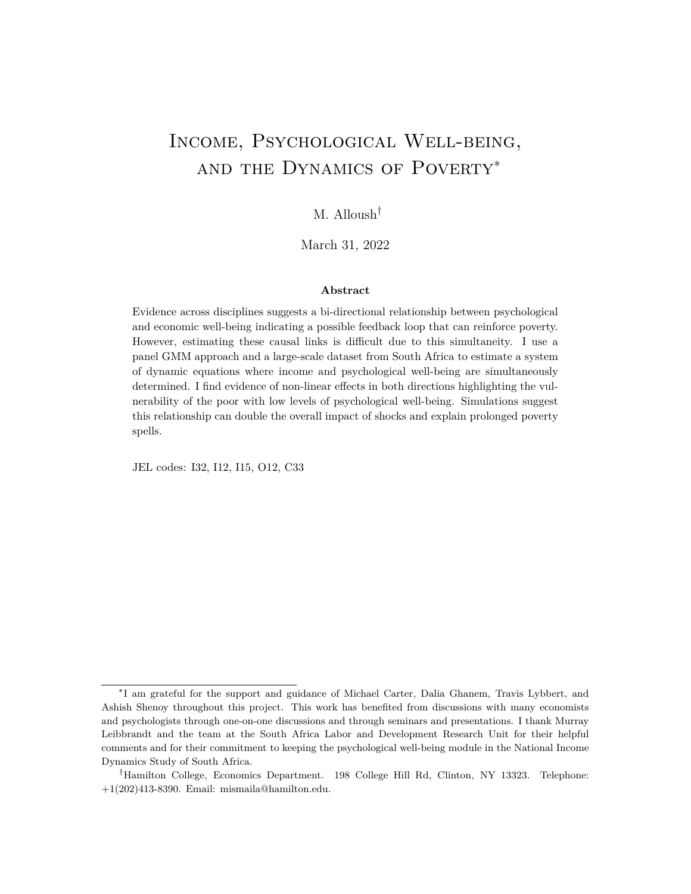## Appendix

### A. Tables

|    | In the past week                                      | Rarely<br>or<br>none of the<br>time (Less<br>than 1 day) | Some<br>or l<br>little of the<br>time<br>$(1-2)$<br>days) | Occasionally<br>or a moder-<br>ate amount<br>of the time<br>$(3-4 \text{ days})$ | Most or all<br>of the time<br>$(5-7 \text{ days})$ |
|----|-------------------------------------------------------|----------------------------------------------------------|-----------------------------------------------------------|----------------------------------------------------------------------------------|----------------------------------------------------|
| 1  | I was bothered by things that usually don't bother me | $\Omega$                                                 |                                                           | 2                                                                                | 3                                                  |
| 2  | I felt depressed                                      | 0                                                        |                                                           | 2                                                                                | 3                                                  |
| 3  | I felt lonely                                         | 0                                                        |                                                           | 2                                                                                | 3                                                  |
| 4  | I had trouble keeping my mind on what I was doing     | $\Omega$                                                 |                                                           | $\mathcal{P}$                                                                    | 3                                                  |
| 5  | I felt that everything I did was an e ort             | O                                                        |                                                           | 2                                                                                | 3                                                  |
| 6  | I felt hopeful about the future                       | 3                                                        | 2                                                         |                                                                                  | $\Omega$                                           |
| 7  | I felt fearful                                        | 0                                                        |                                                           | 2                                                                                | 3                                                  |
| 8  | My sleep was restless                                 | 0                                                        |                                                           | 2                                                                                | 3                                                  |
| 9  | I was happy                                           | 3                                                        | 2                                                         |                                                                                  | 0                                                  |
| 10 | could not get going                                   | O                                                        |                                                           | 2                                                                                | 3                                                  |

### Table A1: CES-D 10 Questionnaire

Table A2: Comparison of Wave 1 Sample vs Balanced Sample

|                             | Wave 1 Sample  | <b>Balanced Sample</b> |
|-----------------------------|----------------|------------------------|
| VARIABLES - Wave 4          | Mean (SD)      | Mean (SD)              |
| Household Income Per Capita | 2,987 (6,116)  | 2,328 (5,531)          |
| Food Expenditure Per Capita | 460 (507)      | 375 (401)              |
| Individual Income           | 3,276 (10,337) | 2,699 (9,169)          |
| CES-D score                 | 7.92 (4.76)    | 8.05(4.65)             |
| <b>Household Size</b>       | 4.64(3.2)      | 5.01(3.14)             |
| Female                      | 0.60(0.49)     | 0.63(0.48)             |
| Age                         | 37.03 (15.9)   | 36.53 (15.45)          |
| <b>Observations</b>         | 16,758         | 9,793                  |

Notes: This table provides some descriptive statistics of the sample used in this paper compared to the Wave 4 NIDS sample. Wave 4 NIDS sample excludes anyone under the age of 21 to be comparable to the study sample. The sample in this study include individuals who completed the individual section of the survey including the CES-D section for all four rounds of NIDS. The two are comparable, however the sample used in this study appears to be slightly poorer on average and older although no dierence is statistically signi cant.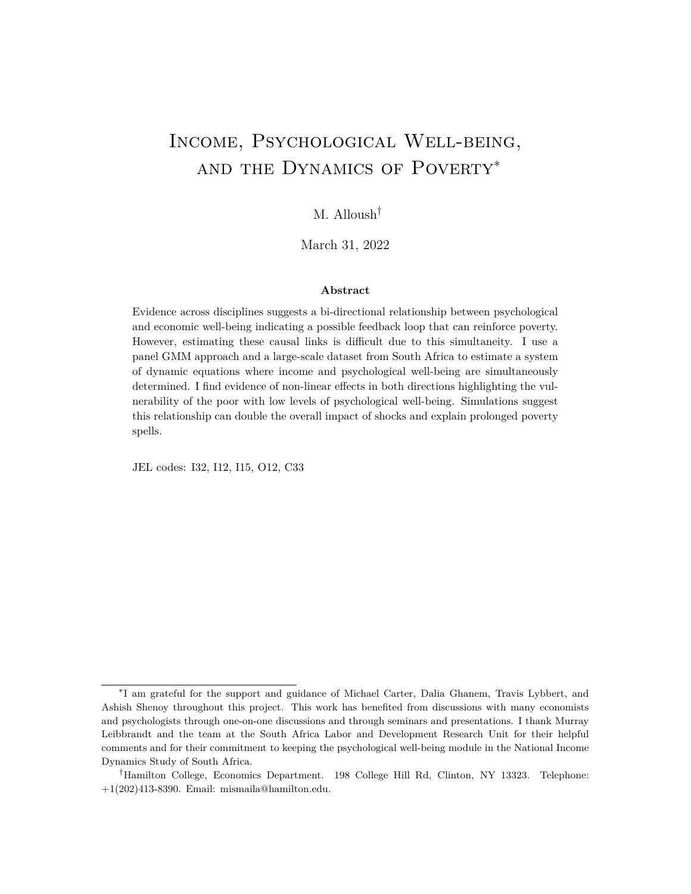|                                       |                       | 5%<br>0.5%<br>None    |                       |                        |                       |                       |
|---------------------------------------|-----------------------|-----------------------|-----------------------|------------------------|-----------------------|-----------------------|
|                                       | (1)                   | (2)                   | (3)                   | (4)                    | (5)                   | (6)                   |
| Dependent Variable: Individual Income |                       |                       |                       |                        |                       |                       |
| $CES-Dt$                              | $-1.81***$<br>(0.57)  | $-2.66**$<br>(0.82)   | $-2.22***$<br>(0.81)  | $-4.50***$<br>(1.59)   | $-4.95$<br>(3.47)     | $-2.41$<br>(3.48)     |
| Dependent Variable: CES-D             |                       |                       |                       |                        |                       |                       |
| HH Income Per Capitat                 | $-0.36***$<br>(0.099) | $-0.46***$<br>(0.13)  | $-0.48***$<br>(0.098) | $-0.36***$<br>(0.082)  | $-0.14***$<br>(0.038) | $-0.099**$<br>(0.050) |
| HH Income Per Capitat <sup>2</sup>    | $0.005***$<br>(0.002) | $0.0044**$<br>(0.002) | $0.003***$<br>(0.001) | $0.0021***$<br>(0.000) | $0.00*$<br>(0.000)    | $0.00*$<br>(0.000)    |
| Controls                              | Yes                   | Yes                   | Yes                   | Yes                    | Yes                   | Yes                   |
| Observations                          | 5,645                 | 5,645                 | 6,860                 | 6,860                  | 7,103                 | 7,103                 |

Table A3: GMM Estimates are robust to di erent outlier trimming.

Cluster robust standard errors in parentheses: \*\*\*  $p < 0.01$ , \*\*  $p < 0.05$ , \*  $p < 0.1$ . Notes: Income numbers are in 100 South African Rands. Controls include lagged dependent variables, household size, marital status, and number of children in the household. Each pair of regression results use two-stage GMM for the study sample using two approaches with di erent instrument matrices that are consistent under two slightly dierent assumptions (A and B). The results are consistent to dierent levels of trimming for outliers. The main paper trims to top and bottom 2.5% of changes in household income per capita and individual income.

| <b>Study Sample</b><br>(1) | Including Wave 5<br>(2) |
|----------------------------|-------------------------|
| $-1.972$<br>(0.782)        | $-2.98$<br>(1.75)       |
| Yes                        | Yes                     |
|                            | 0.38<br>1.00<br>0.33    |
|                            |                         |

Table A4: Systems GMM Results (Blundell & Bond (1998)): Eect of CES-D on Individual Income

Cluster robust standard errors in parentheses. Notes: Income numbers are in 100 South African Rands. Controls include household size, number of children per household, marital status, and wave xed e ects. Similar results using methods that are more robust to the lagged levels being weak instruments for rst di erences. In addition, using data from Wave 5 allows me to test for serial correlation: I nd no evidence of serial correlation and similar results.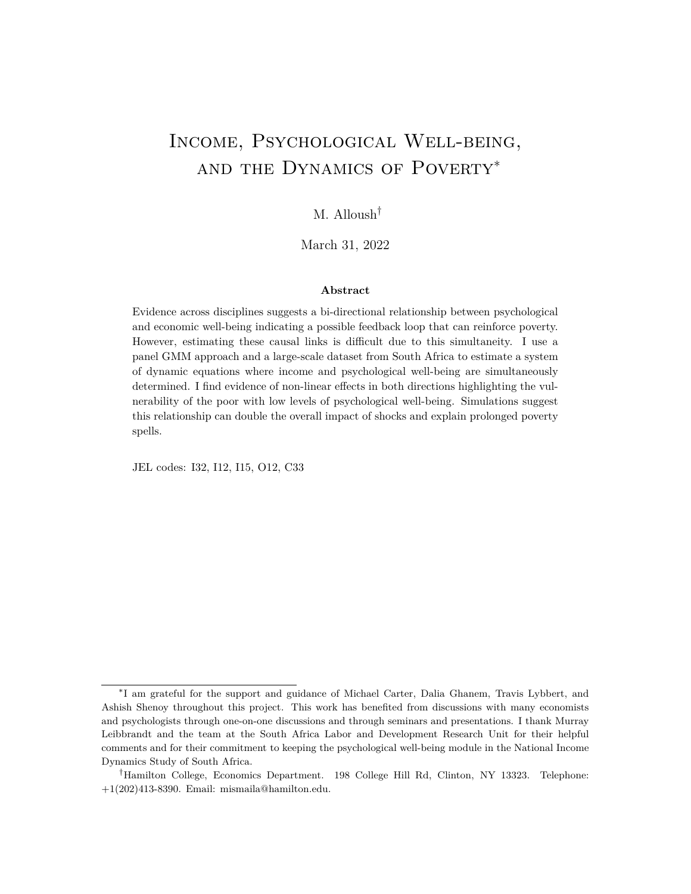| CES-D                                                         |        | <b>Study Sample</b> | Including Wave 5  |                      |
|---------------------------------------------------------------|--------|---------------------|-------------------|----------------------|
|                                                               | (1)    | (2)                 | (3)               | (4)                  |
| $HH$ Income Per Capita $_{t}$ -0.18                           | (0.07) |                     |                   | $-0.47$<br>(0.0014)  |
| Food Exp Per Capita                                           |        | $-0.80$<br>(0.37)   |                   |                      |
| Wealth Index                                                  |        |                     | $-2.54$<br>(1.04) |                      |
| Controls                                                      | Yes    | Yes                 | Yes               | Yes                  |
| $AR(2)$ p-value<br>Sargan test p-value<br>Hansen test p-value |        |                     |                   | 0.32<br>1.00<br>0.02 |

Table A5: Systems GMM Results (Blundell & Bond (1998)): E ect of Economic Well-being on CES-D

Cluster robust standard errors in parentheses. Notes: Income numbers are in 100 South African Rands. Controls include household size, number of children per household, marital status, and wave xed eects. Similar results using methods that are more robust to the lagged levels being weak instruments for rst dierences. In addition, using data from Wave 5 allows me to test for serial correlation: I nd no evidence of serial correlation and similar results.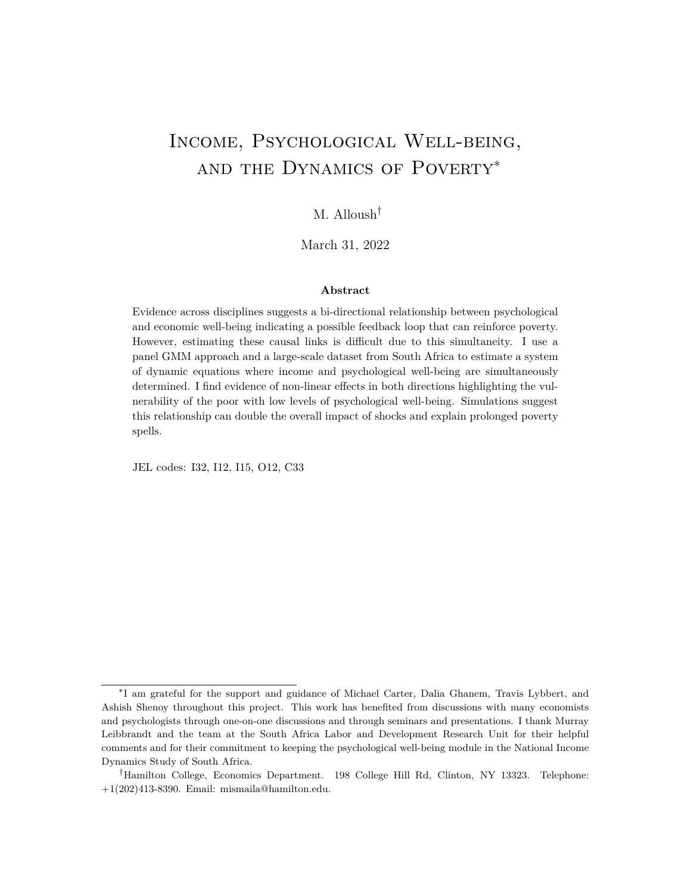|                                                 | $Z_{i,t}^{\mathsf{A}}$ | $Z_{i,t}^B$       |
|-------------------------------------------------|------------------------|-------------------|
|                                                 | (1)                    | (2)               |
| Dependent Variable: Household Income per Capita |                        |                   |
| $CES-Dt$                                        | $-0.38$<br>(0.72)      | -1.58<br>(2.11)   |
| Dependent Variable: CES-D                       |                        |                   |
| HH Income Per Capita $_1$                       | $-0.27$<br>(0.099)     | $-0.28$<br>(0.09) |
| HH Income Per Capita $t^2$                      | 0.004<br>(0.001)       | 0.004<br>(0.001)  |
| Controls                                        | Yes                    | Yes               |
| Observations                                    | 6,281                  | 6,281             |

Table A6: GMM Estimates when using household income per capita in both equations.

Cluster robust standard errors in parentheses. Notes: Income numbers are in 100 South African Rands. Controls include lagged dependent variables, household size, marital status, and number of children in the household. Under either assumption, using household income per capita in both equations shows estimates that are consistent with results in the main paper; however, one's own psychological well-being does not aect overall household income as it does to one's individual income.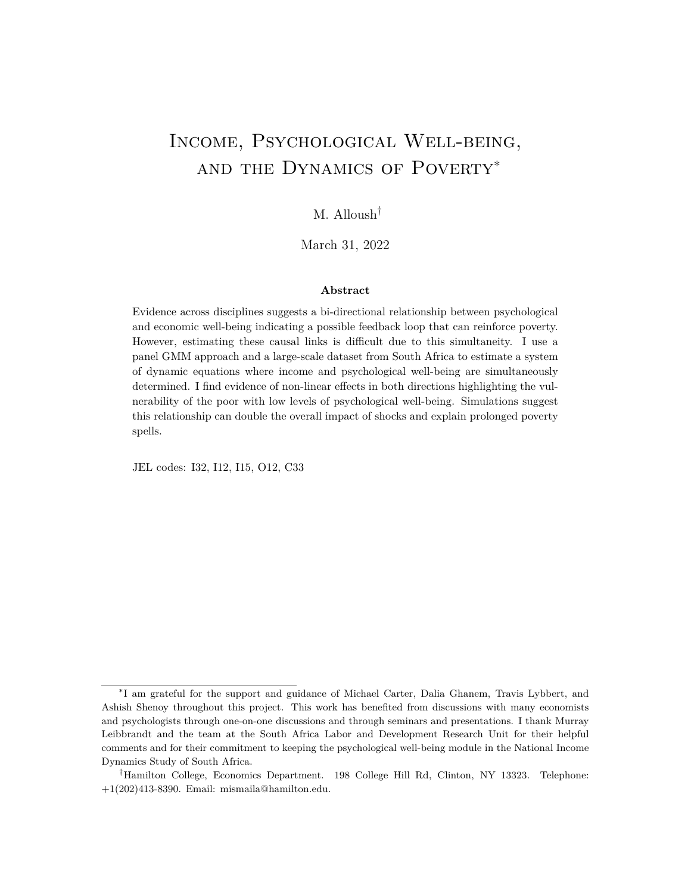| Table A7: GMM Estimates when using indi- |  |
|------------------------------------------|--|
| vidual income in both equations.         |  |

|                                       | $Z_{i,t}^{\mathsf{A}}$ | $Z_{i,t}^B$        |
|---------------------------------------|------------------------|--------------------|
|                                       | (1)                    | (2)                |
| Dependent Variable: Individual Income |                        |                    |
| $CES-Dt$                              | $-1.77$<br>(1.03)      | $-6.23$<br>(1.40)  |
| Dependent Variable: CES-D             |                        |                    |
| Individual Income +                   | $-0.05$<br>(0.04)      | $-0.10$<br>(0.036) |
| Controls                              | Yes                    | Yes                |
| Observations                          | 6.281                  | 6,281              |

Cluster robust standard errors in parentheses. Notes: Income numbers are in 100 South African Rands. Controls include lagged dependent variables, household size, marital status, and number of children in the household. Under either assumption, using household income per capita in both equations shows estimates that are consistent with results in the main paper.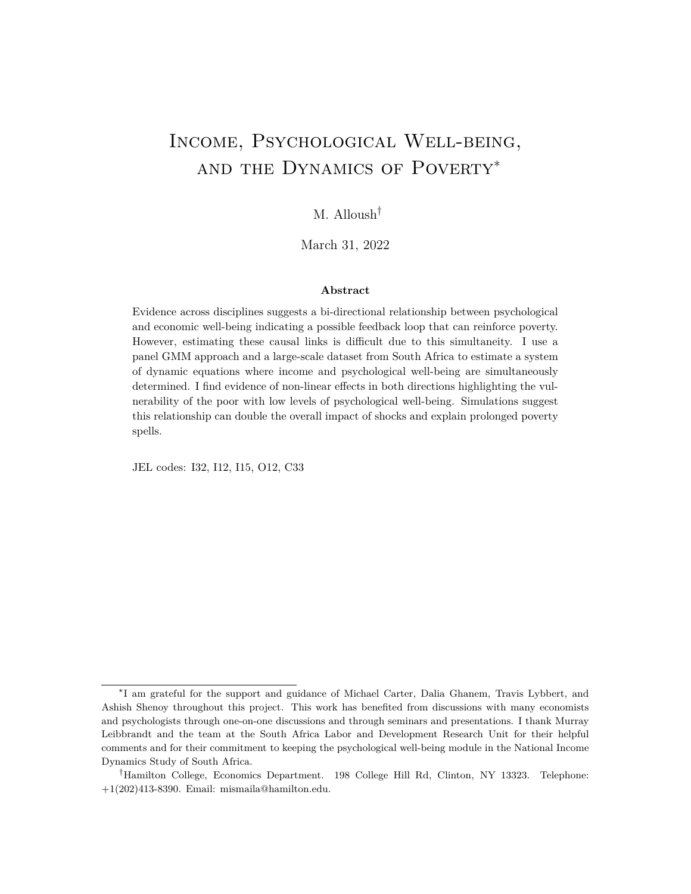B. Figures

(a) No simultaneous causality

(b) Estimated system of dynamic simultaneous equations

Figure B1: Simulations: Income CDFs after 10 years. Top (a) shows income at time 0 and after 5 periods; if CES-D plays no role then initial levels of CES-D will not a ect the distribution of income over time. In the lower part of the Figure (b), the full system of equations estimated above shows that when psychological well-being plays a role, those who randomly begin with lower levels of psychological well-being will have higher rates of poverty in the future.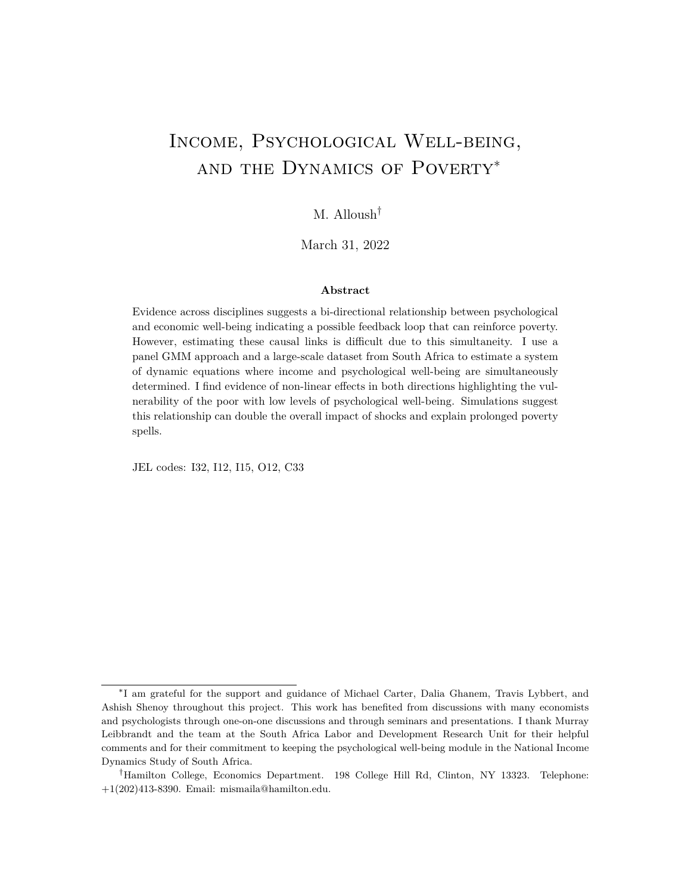### C. Alternative Instrument for Income

In this appendix, I use an alternative instrumental variable approach to estimate the e ect of income on CES-D. The results are similar to those estimated using the GMM panel approach. This approach requires di erent assumptions and shows very similar results. For important questions that are unlikely to be answered with experiments (natural or otherwise) applying a multitude of dierent approaches requiring dierent assumptions and getting qualitatively similar results is important and a second-best approach (Currie and Tekin, 2012). Uniformity of results across methods suggests condence in the core results.

While I am able to do this for income, it is di cult to nd clearly relevant and exogenous instrumental variables for psychological well-being are not readily available. Frijters, Johnston and Shields (2014) use deaths of friends outside of the household with no nancial ties as an instrumental variables for psychological well-being while controlling for individual xed eects with a panel. This instrument is not necessarily valid as there are potential avenues through which the death of a friend could aect an individual's income. In Alloush and Bloem (2022), we show using the NIDS data that neighborhood violence aects CES-D scores. However, changes in neighborhood violence can potentially aect income directly and this may be a mechanism through which psychological well-being is aected.

### C.1 Robustness Check: Alternative Instrument for Income

To check for the robustness of the estimates of the impact of income on psychological wellbeing using the panel GMM approach, I use an alternative estimating the e ect of household income on CES-D scores. Speci cally, I use eligibility for the South Africa's Older Person's Grant a cash transfer program that individuals become eligible for when they turn 60. I do so by restricting the sample to households with economically inactive individuals in narrow windows around the age 60. This approach is a local randomization approach used as the main identi cation strategy in Alloush and Wu (forthcoming) to estimate the eect of income on life satisfaction.<sup>49</sup> It is essentially a fuzzy regression discontinuity design with a continuous treatment (household income per capita); however, the running variable (age of eligible household member) is discrete, resulting in a small number of mass points around the threshold. Thus I use an approach akin to local randomization (Cattaneo, Idrobo and Titiunik, forthcoming).  $50$  While households with elderly living in it are di erent from those with no people over 60, I posit that to an individual having a economically inactive 58-year

<sup>49</sup>While life satisfaction and mental health are related, studies have shown di erent e ects of income on either (Lindqvist, Östling and Cesarini, 2020).

 $50$ See discussion in Cattaneo, Idrobo and Titiunik (forthcoming): with a small number of mass points around the cuto, the sample size in continuity-based approaches is essentially the number of mass points, which in this case is very small. Cattaneo, Idrobo and Titiunik (forthcoming) suggest local randomization approaches as more appropriate for this type of data.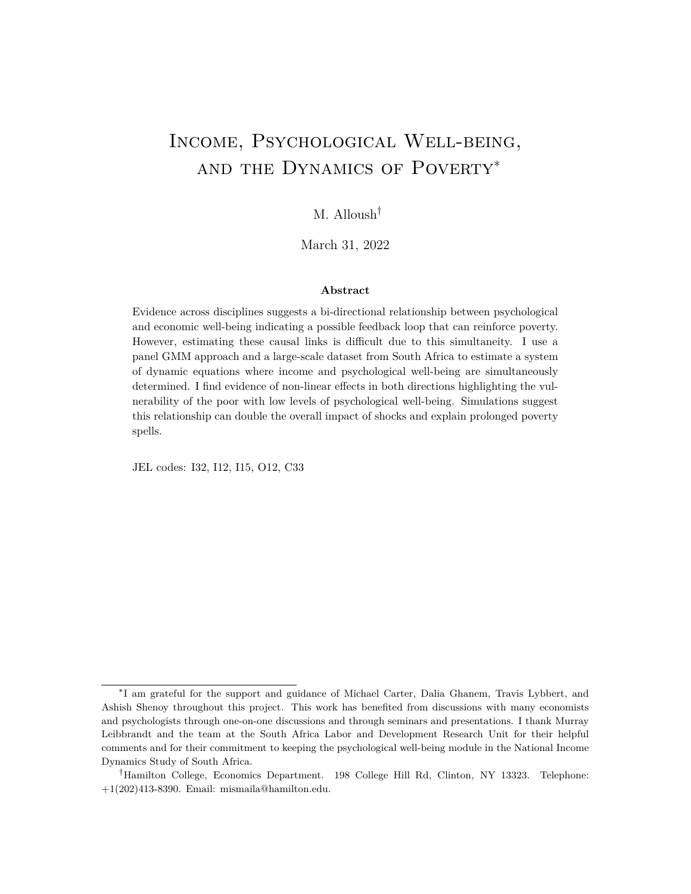|                                     |                                     |                   | All Members       |                   | <b>Indirect Recipients</b> |                   |                   |
|-------------------------------------|-------------------------------------|-------------------|-------------------|-------------------|----------------------------|-------------------|-------------------|
|                                     |                                     | (1)               | (2)               | (3)               | (4)                        | (5)               | (6)               |
| Age Range<br>54-65<br>$N = 19,093$  | $Log(HH$ Income Per $_{i,t}$ )      | $-1.53$<br>(0.59) | $-1.99$<br>(0.82) | $-2.40$<br>(0.64) | $-1.21$<br>(0.49)          | $-1.26$<br>(0.55) | $-1.05$<br>(0.83) |
| Age Range<br>55-64<br>$N = 16,462$  | $Log(HH$ Income Per $_{i,t}$ )      | $-1.71$<br>(0.68) | $-2.34$<br>(0.91) | $-2.88$<br>(0.74) | $-0.99$<br>(0.52)          | $-1.15$<br>(0.59) | $-1.56$<br>(0.94) |
| Age Range<br>56-63<br>$N = 13,691$  | $Log(HH$ Income Per <sub>it</sub> ) | $-1.71$<br>(0.80) | $-1.98$<br>(0.96) | $-2.40$<br>(0.81) | $-0.88$<br>(0.59)          | $-0.81$<br>(0.64) | $-1.07$<br>(0.97) |
| Age Range<br>57-62<br>$N = 10,724$  | $Log(HH$ Income Per <sub>it</sub> ) | $-1.91$<br>(0.94) | $-2.20$<br>(1.05) | $-2.60$<br>(1.06) | $-1.41$<br>(0.76)          | $-1.72$<br>(0.74) | $-1.35$<br>(1.24) |
| Age Range<br>58-61<br>N=7,352       | Log(HH Income Per <sub>it</sub> )   | $-2.57$<br>(1.35) | $-2.67$<br>(1.57) | $-2.89$<br>(1.72) | $-2.28$<br>(1.18)          | $-1.93$<br>(1.05) | $-2.59$<br>(2.37) |
| Controls<br>Individual Fixed E ects |                                     |                   | X                 | X<br>X            |                            | X                 | X<br>X            |

### Table C1: Restricted Samples all and non-recipient Results

Notes: Standard errors clustered at the original (i.e., wave 1) sampling cluster area are presented in parentheses. \*\*\*  $\alpha$  0.01, \*\* p< 0.05, \* p< 0.1. In these regressions, I control for wave and district xed e ects independently.

old member in the household is similar to having an economically inactive 62-year old who was also inactive at 58 .<sup>51</sup> After restricting the sample in this way in narrow windows around age 60, I use the number of relatives eligible for the grant (due to their age) as an instrument for household income and estimate the following equation:

$$
d_{i,t} = 0 + 1h_{i,t} + t + Qx_{i,t} + i,t
$$

As before,  $d_{i,t}$  is the CES-D score,  $h_{i,t}$  is household income per capita,  $_t$  is a wave xed e ect,  $x_{i,t}$  is a vector of time varying individual and household characteristics including household size, number of children in the household, marital status, age (cubic), gender, race, and education.

The estimated coe cients are shown in Table C1. I show results for all members of the household and speci cally for indirect recipients (other members living in the household). In addition, I show results for di erent window sizes around the age of  $60<sup>52</sup>$  The results again predict that an increase in household income per capita decreases an individual's CES-D score reecting a decrease in depressive symptoms. Moreover, the point estimates

 $51$  use the panel to impose this restriction.

 $52$ It is important to note that this analysis is restricted to households with individuals who are around the age of 60 and are economically inactive. In addition, for those above 60, I drop those who were active in previous waves.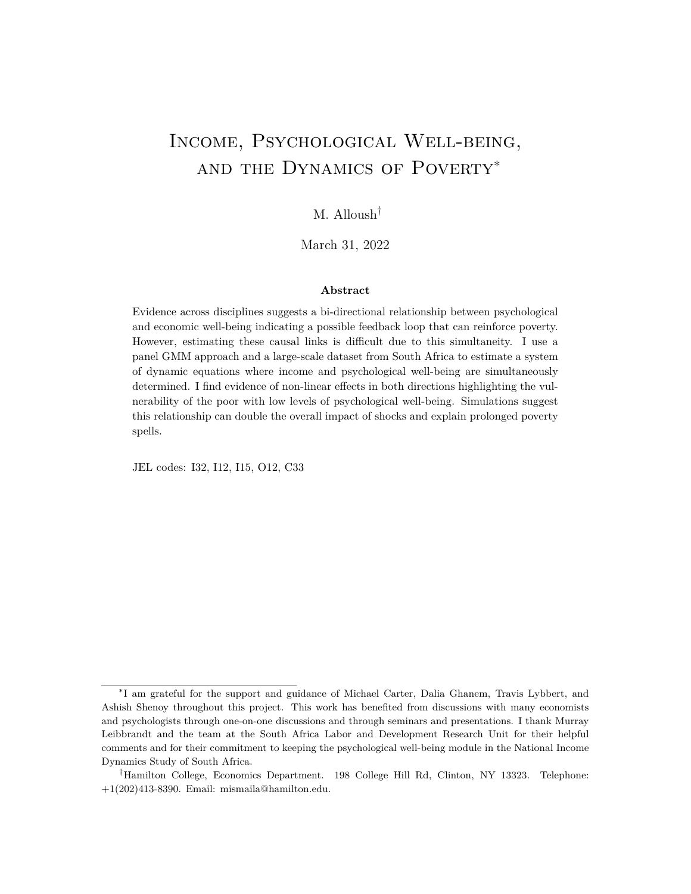are very similar in magnitude to the point estimates (Table 2 and Table 5) calculated using the dynamic panel GMM approach above. Results from the rst stage of the IV regressions producing the estimates in Column 3 suggest that having a grant eligible (above age 60) individual in the household increases household income per capita by 17%. A 17% change in household income per capita is estimated to decrease CES-D scores by approximately 0.3 points.<sup>53</sup>

The results in Columns (4)-(6) show the estimated eects on the non-recipient sample. The results are not as large or statistically signi cant, but show an overall pattern on decrease in depressive symptoms due to increase in household income from the Older Person's Grant.

In this section, I provide an alternative method of estimating the eect of income on depressive symptoms. This approach requires assumptions and has limitations in terms of interpretation and generalizability. However, the point estimates are similar to those estimated using the GMM approach in the main paper. While I am unable to similarly estimate the eect of changes in CES-D on individual income, the uniformity in the estimates for the other equation suggests gives con dence in the GMM approach.

<sup>53</sup> Details on this method and the increase in economic well-being due to the old age grant can be found in Alloush and Wu (forthcoming). In addition, more detailed discussion on local randomization approaches in regression discontinuity designs can be found in Cattaneo, Idrobo and Titiunik (forthcoming).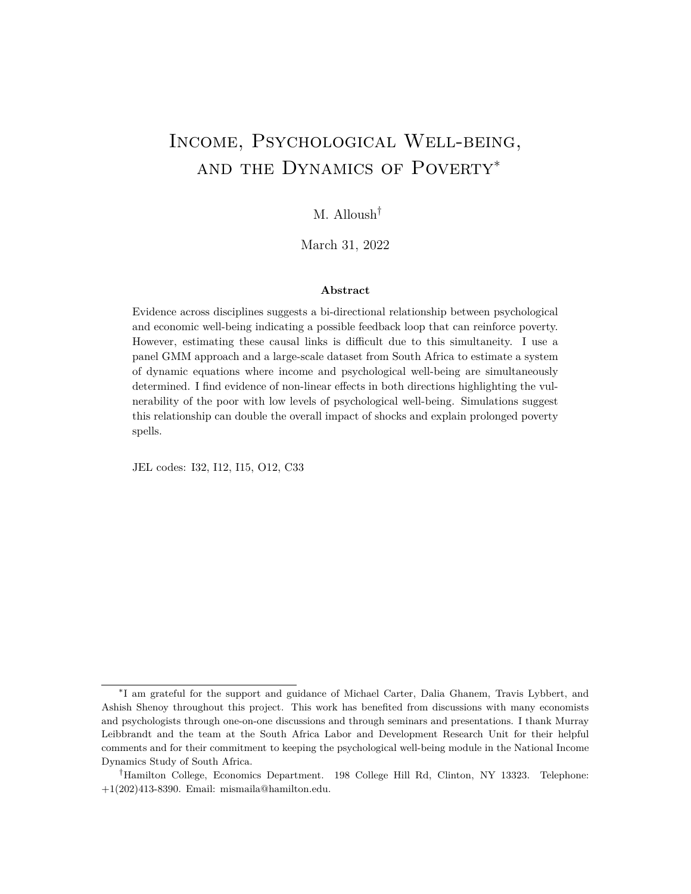## D. Econometric Approach: Proofs and Illustration (for online publication only)

The main di culty in empirically unpacking the relationship between income and poverty on one hand and psychological well-being and mental health on the other is the bi-directionality of this relationship: there are potentially causal impacts in both directions. Many relationships that we are interested in studying as economists may potentially exhibit this bi-directionality. Examples include income and health at the individual level, attitudes and laws at the community level, electricity access and poverty at the regional level, and institutions and GDP growth at the country level to name a few. While this bi-directional causation makes empirical identi cation di cult, it also can make the implications of this relationship all the more important. Simultaneous bi-directionality can imply a feedback loop that if strong enough can put the unit of interest (individuals/households/communities/regions /countries) on vicious or virtuous cycles.

The increasing availability of panel data especially at the individual and household levels allows us to use the added information that repeated observations give us to answer important economic questions where it is dicult to nd cross-sectional instrumental variables or natural experiments and that cannot (or in a lot of cases should not) be answered experimentally. In this extended appendix, I adapt panel data methods (Holtz-Eakin, Newey and Rosen, 1988; Arellano and Bond, 1991; Anderson and Hsiao, 1982) where lagged levels are e ectively used as instrumental variables to estimate a system of simultaneous and dynamic equations. This extension to panel data methods requires assumptions on the dynamic process that includes at most rst-order moving average serial correlation in shocks and a minimum of four rounds of data. I discuss this method using income and psychological well-being as the two variables of interest, however, the method can be generalized to any number of variables that are persistent over time and are potentially simultaneous.

### D.1 System of Equations

As discussed, the main source of endogeneity when studying the relationship between mental health and income is simultaneity. Psychological well-being may have an impact on an individual's own earnings, but at the same time, income or the level of economic wellbeing can aect their psychological well-being. This type of potentially simultaneous bidirectional causality is common in economics as well as in other disciplines (psychology, evolutionary biology, etc...). Conceptually, this bi-directional relationship can be described using a system of simultaneous equations as follows:

$$
y_{i,t} = f(d_{i,t}) + e_{i,t}
$$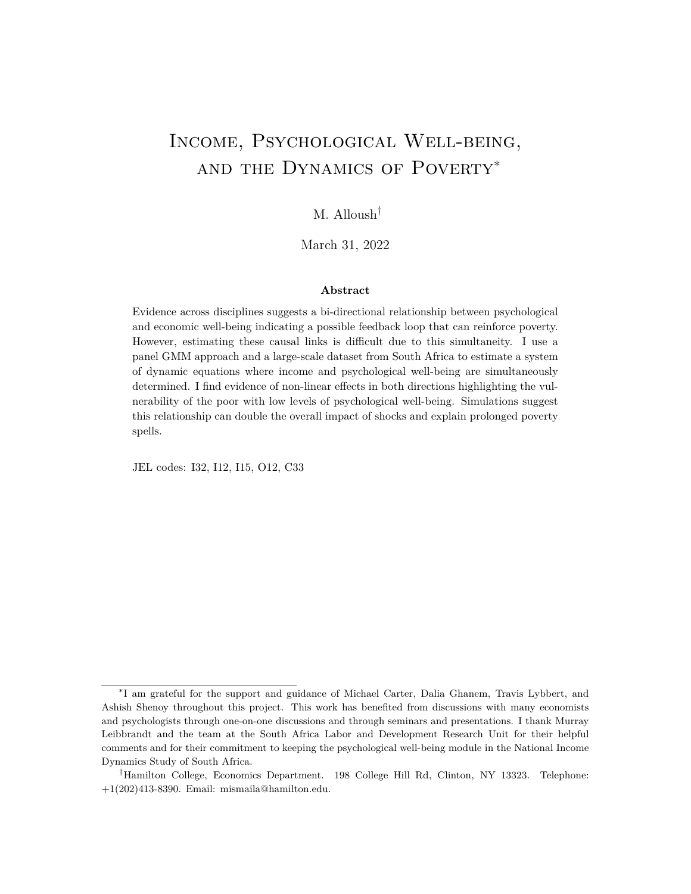$$
d_{i,t} = g(y_{i,t}) + u_{i,t}
$$

where  $y_{i,t}$  is income andd<sub>i,t</sub> is a measure of psychological well-being for individual in time t.<sup>54</sup>  $e_{i,t}$  and  $u_{i,t}$  are the unobserved error terms for their respective equations. Importantly, I assume that both variables are state dependent they exhibit some level of persistence and are not completely determined independently in each period. I add a lag of the dependent variable to both equations to take into account this state dependence resulting in the following dynamic simultaneous system of equations:

$$
y_{i,t} = f(d_{i,t}, y_{i,t-1}) + e_{i,t}
$$
  

$$
d_{i,t} = g(y_{i,t}, d_{i,t-1}) + u_{i,t}
$$

I also want to allow for individual xed eects which can be a source of omitted variable bias if not taken into account. I insert  $\frac{1}{1}$  and  $\frac{1}{1}$  as additive individual xed eects in their respective equations. When estimating the system of equations, I can easily ad $\boldsymbol{\mathsf{a}}_{i,t}$ : a vector of exogenous time varying individual characteristics for individual i at time t, however, to illustrate the estimation approach in a simple way, I will ignore  $x_{i,t}$  beyond the equations below:

$$
y_{i,t} = f(d_{i,t}, y_{i,t-1}, x_{i,t}) + i + e_{i,t}
$$
  

$$
d_{i,t} = g(y_{i,t}, d_{i,t-1}, x_{i,t}) + i + u_{i,t}
$$

I consider only parametric speci cations for  $f(.)$  and  $g(.)$ . To outline and justify the proposed estimation approach that extends panel data methods to estimate a system of dynamic simultaneous equations, I present a simple linear form of the above system of equations:

$$
y_{i,t} = -1d_{i,t} + 1y_{i,t} + t + e_{i,t}
$$
  

$$
d_{i,t} = 2y_{i,t} + 2d_{i,t} + t + t + u_{i,t}
$$

The individual xed e ects i and i are likely important determinants of both income and psychological well-being. I can control for these individual xed eects by rst-dierencing both equations as such:

$$
Dy_{i,t} = 10d_{i,t} + 10y_{i,t} + 10e_{i,t}
$$
 (5)

$$
Dd_{i,t} = 2Dy_{i,t} + 2Dd_{i,t} + Du_{i,t}
$$
 (6)

In this rst-di erences system of simultaneous dynamic equations, I am interested in estimating the coe cients on four variables, namely  $1, 2, 1$ , and  $2$ . Two of these vari-

<sup>&</sup>lt;sup>54</sup>I use income and psychological well-being throughout as they are the two variables I am interested in in this paper, however the method I outline can be applied to any two simultaneous and persistent variables.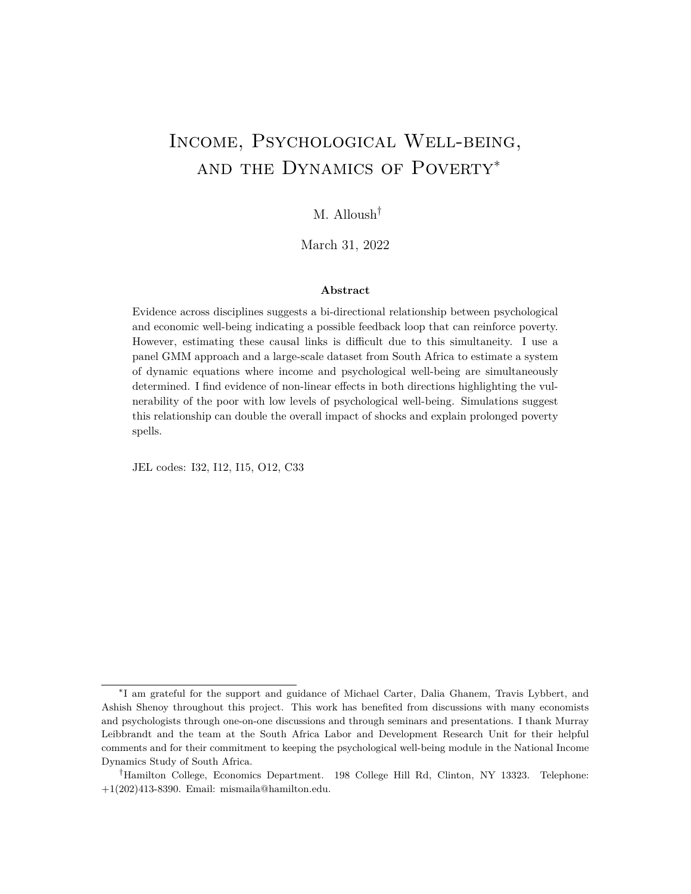ables are assumed to be endogenou ${\sf D} \frak{q}_{i,t}$  in equation 6 and  $\sf Dy_{i,t}$  in equation 7) and the dependent variable lags  $Dy_{i,t-1}$  and  $Dd_{i,t-1}$ ) are endogenous due to the rst di erencing.<sup>55</sup> By considering each single equation separately, dynamic panel data methods (commonly referred to as Arellano-Bond methods $5^6$  suggests that, assuming sequential exogeneity and that the error terms  $e_{i,t}$  and  $u_{i,t}$  are serially uncorrelated, the lagged levels $y_{i,t}$   $z, y_{i,t}$   $z, ...$ and  $d_{i,t}$  <sub>2</sub>,  $d_{i,t}$  <sub>3</sub>, ... may be used as instruments to estimate the parameters of the equation (2.1); the same set of instruments may be used to estimate equation (7) as well (Anderson and Hsiao, 1982; Arellano and Bond, 1991; Holtz-Eakin, Newey and Rosen, 1988). With a minimum of three observations per unit  $(T \ 3)$ , the resulting estimator is consistent with large N. Despite not always achieving asymptotic e ciency, the estimates are consistent under very general conditions such as conditional and time series heteroskedasticity, correlation between the individual xed eect and the error terms, and predetermined initial conditions.<sup>57</sup>

The intuition behind this estimation strategy is as follows: after controlling for individual xed eects, lagged income, psychological well-being, and other time varying individual characteristics, what remains in the error terms is randomassuming no serial correlation. The lagged levels are correlated with the rst di erences thus relevant, and are uncorrelated with the remaining error termsand thus valid instrumental variables.

This method has been rened to increase its e ciency and robustness<sup>8</sup>. It has also been used in numerous studies with panel datasets over the years especially with income. Some persistence in income and the assumption that lagged income is a sucient statistic that summarizes earlier states of income make it ideal for this kind of estimation.

### D.2 Extending Arellano-Bond

Below, I derive the conditions necessary to extend this dynamic panel data method to estimate a system of dynamic simultaneous equations shown above. The assumption of

<sup>&</sup>lt;sup>55</sup>Right hand side variable Dy<sub>i,t</sub> and its regressor Dy<sub>i,t 1</sub> in equation (6) share a common variable y<sub>i,t 1</sub> making the regressor correlated with the error term  $De_{i,t}$ . Similarly for  $Dd_{i,t}$  and its regressor  $Dd_{i,t-1}$  and the error term  $Du_{i,t}$  in equation (2.2).

<sup>&</sup>lt;sup>56</sup>The rst to propose this type of approach where lagged level values would be used as instruments for rst-dierenced dynamic equations were Anderson and Hsiao (1982). This work was further developed by Holtz-Eakin, Newey and Rosen (1988) and later Arellano and Bond (1991). A number of dierent re nements were made over the years that suggested that additional moment conditions can be imposed in a GMM framework (Arellano & Bover, 1990; 1995; Ahn & Schmidt, 1995; Blundell & Bond, 1998).

<sup>&</sup>lt;sup>57</sup> For more see Chapter 6 in Arellano (2003).

<sup>58</sup> Additional moment conditions are available under more restrictive assumptions on initial conditions, heteroskedasticity, stationarity, and correlation between the error terms and the individual xed eect. These additional assumptions can make the estimation robust to models with autoregressive coe cients outside the unit root, for example.

 $59$  For more on dynamic systems of equations and consistency of the estimations using GMM approaches, see Hsiao and Zhou (2015): A GMM approach is consistent for a xed T and large N.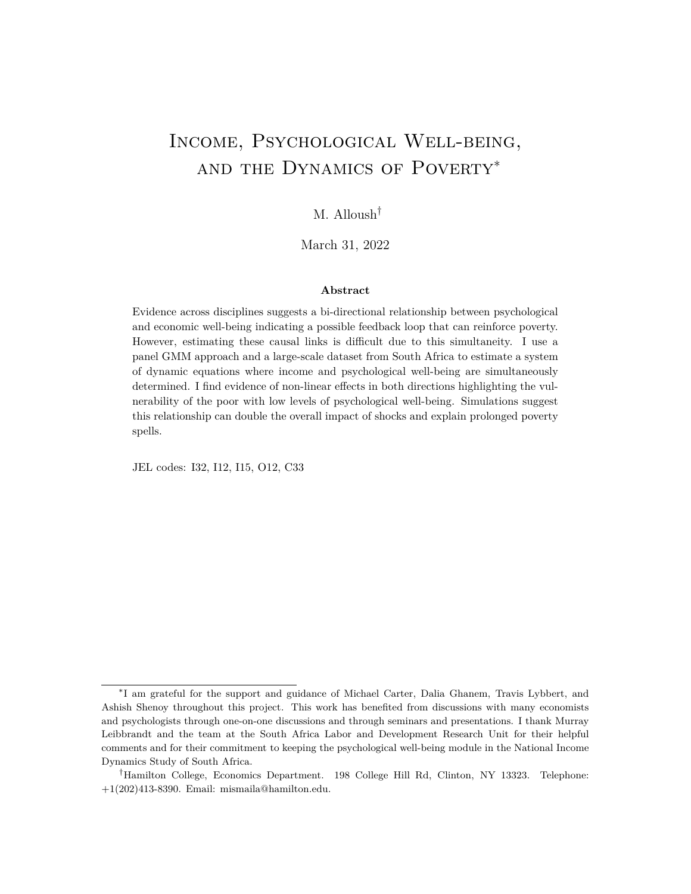sequential exogeneity that is typical when using Arellano-Bond methods to estimate the coe cients of a single dynamic equation is inherently violated due to simultaneous bidirectionality and state-dependence. Sequential exogoneity assumes the following  $\mathbf{g}_{\theta,t}$ and  $u_{i,t}$ :

$$
E [e_{i,t} j y_{i,t-1}, y_{i,t-2}, y_{i,t-3}, \dots; d_{i,t}, d_{i,t-1}, d_{i,t-2}, \dots] = 0
$$

and

$$
E[U_{i,t}j]y_{i,t}, y_{i,t-1}, y_{i,t-2}, \dots; d_{i,t-1}, d_{i,t-2}, d_{i,t-3}, \dots] = 0
$$

Because of bi-directionality,  $d_{i,t}$  cannot be uncorrelated with  $e_{i,t}$ : a shock to  $y_{i,t}$  will a ect  $d_{i,t}$  because of the simultaneity. The same is true fo $y_{i,t}$  and  $u_{i,t}$ . I show below that with a larger minimum number of observations per unit  $(T \ 4)$ , sequential exogeneity can be relaxed and the coe cients of the following system of dynamic simultaneous equations:

$$
Dy_{i,t} = 10d_{i,t} + 10y_{i,t} + 10e_{i,t}
$$
  

$$
Dd_{i,t} = 2Dy_{i,t} + 2Dd_{i,t} + 10u_{i,t}
$$

can be estimated consistently with the moment conditions implied by lagged levels of  $y_{i,t}$ and  $d_{i,t}$  under certain assumptions.

With  $T = 4$ , I can estimate the system of equations above under two di erent assumptions on the error terms  $e_{i,t}$  and  $u_{i,t}$ . The rst, I refer to as Assumption A, implies more moment conditions which is preferred with limited data, the other Assumption B is less restrictive and the assumptions required for consistent estimation allow for more exible relationships between the two variables across time. With  $T > 4$ , the assumptions can be relaxed even further; I discuss this brie y in appendix Section D.2.3.

### D.2.1 Assumption A

The system of simultaneous dynamic equations can be estimated under the following somewhat restrictive assumptions on the error terms:

$$
E [e_{i,t} j y_{i,t-2}, y_{i,t-3}, \dots; d_{i,t-1}, d_{i,t-2}, \dots] = 0
$$

and

$$
E[U_{i,t} \; j \; y_{i,t-1}, y_{i,t-2}, \dots; d_{i,t-2}, d_{i,t-3}, \dots] = 0
$$

Proposition . If Assumption A holds, then it implies the following moment condition that identi es the system of equations  $(2.1)$  and  $(2.2)$  above:

$$
E \quad Z_{i,t}^A{}^0 D U_{i,t} = 0
$$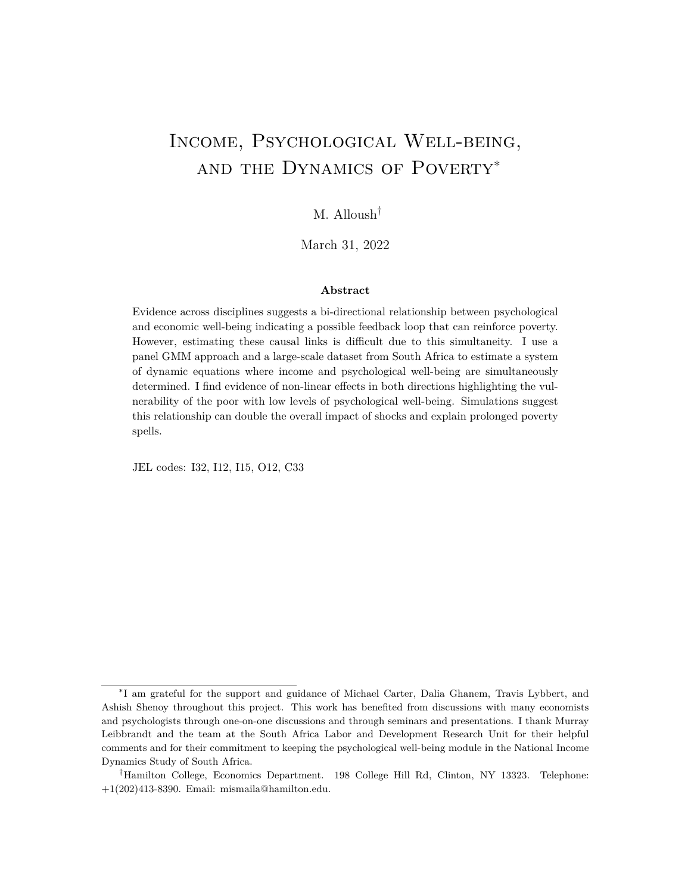Figure D1: Dynamic process allowed by Assumption A rules out direct e ects from  $y_{i,t}$  1 (d<sub>i,t 1</sub>) on d<sub>i,t</sub> (y<sub>i,t</sub>).

where

| $Z_{i,t}^{A} = \begin{bmatrix} d_{i,t} & 2 & d_{i,t} & 3 & y_{i,t} & 3 & 0 & 0 & 0 \ 0 & 0 & 0 & d_{i,t} & 3 & y_{i,t} & 2 & y_{i,t} & 3 \end{bmatrix}$ |  |  |  |
|---------------------------------------------------------------------------------------------------------------------------------------------------------|--|--|--|

and  $U_{i,t}$  is a vector of the unobserved error terms $s_{i,t}$  and  $u_{i,t}$ .

Under Assumption A and with  $T = 4$ , the lags provide six moment conditions to identify four coe cients in the system of equations. For Assumption A to hold, the  $e_{1,t}$  may not be correlated with  $y_{i,t-2}$  and  $d_{i,t-1}$  and further lags of these variables, and  $u_{i,t}$  may not be correlated with  $y_{i,t+1}$  and  $d_{i,t+2}$  and further lags of these variables. This is a weaker condition than sequential exogeneity, but estimation requires a larger minimumT. The simultaneity of the equations also inherently implies that both error terms cannot be serially correlated.<sup>60</sup> After controlling for state dependence through the lagged dependent variable, individual xed e ects, and observable time varying characteristics, the remaining unobserved errors may not be correlated across time. E ectively, this assumption means that a shock to income in one period can aect income next period through state dependence, but it cannot aect the likelihood of shocks in the next period. Similarly for shocks to psychological well-being.

What does Assumption A imply on the relationship between y<sub>i</sub>, d<sub>i</sub>, and their lags? Figure A1 below shows the relationships that are allowed under assumption A. It rules out direct e ects from  $y_{i,t-1}$  (d<sub>i,t 1</sub>) on d<sub>i,t</sub> (y<sub>i,t</sub>) the lag of the simultaneous variable can only a ect the variable of interest through the lagged dependent and the current simultaneous variable.

The time between waves and the way data is collected may make this assumption more plausible. Monthly income data for an individual is unlikely to satisfy these conditions. For one, serial correlations in shocks to income will violate these assumptions. However, data on income in the last month for an individual collected in yearly intervals more plausibly

 $60$ The error terms may be correlated with each other within the same time period.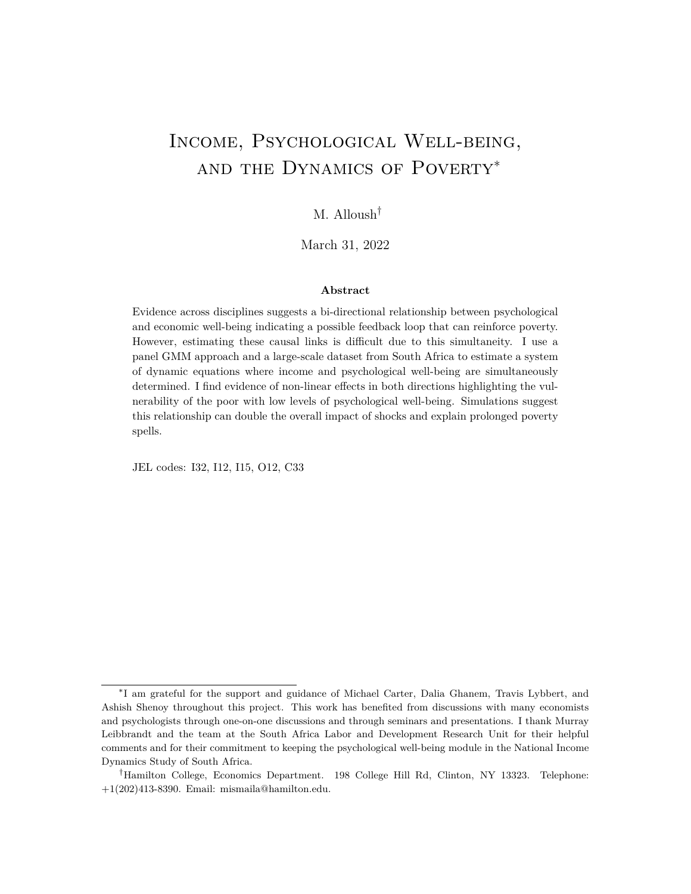satis es these assumptions.

To show that Assumption A implies the moment condition, assume $\rm z_{i,t}^{1} = -d_{i,t-2} - d_{i,t-3} - y_{i,t-3}$ and  $z_{i,t}^2 = -d_{i,t-3} - y_{i,t-2} - y_{i,t-3}$ . I expand the left hand side of the equation below:

$$
E\ \begin{bmatrix} z_{i,t}^{1 & 0} & 0 & 0 & 0 \\ 0 & z_{i,t}^{2 & 0} & Du_{i,t} & 0 \\ 0 & z_{i,t}^{2 & 0} & Du_{i,t} & 0 \end{bmatrix}^{H} = E\ \begin{bmatrix} z_{i,t}^{1}^{1} \text{D}e_{i,t} & 0 & 0 & 0 \\ z_{i,t}^{2} \text{D}u_{i,t} & 0 & 0 & 0 \\ 0 & 0 & 0 & 0 & 0 \\ 0 & 0 & 0 & 0 & 0 \end{bmatrix}^{H} = E\left[z_{i,t}^{1}^{0}e_{i,t} & z_{i,t}^{1}^{1}e_{i,t} & 0\right]^{H}
$$

Distributing further and applying the law of iterated expectations gives:

20  
\n
$$
d_{i,t-2}E [e_{i,t} j d_{i,t-2}] \n d_{i,t-2}E [e_{i,t-1} j d_{i,t-2}] \n 13
$$
\n6  
\n6  
\n6  
\n6  
\n6  
\n6  
\n6  
\n6  
\n6  
\n7  
\n8  
\n9  
\n10  
\n11  
\n13  
\n14  
\n15  
\n16  
\n17  
\n18  
\n19  
\n10  
\n11  
\n13  
\n14  
\n15  
\n16  
\n17  
\n18  
\n19  
\n10  
\n11  
\n13  
\n25  
\n27  
\n38  
\n4  
\n5  
\n5  
\n5  
\n6  
\n6  
\n7  
\n7  
\n8  
\n9  
\n16  
\n17  
\n18  
\n19  
\n10  
\n11  
\n12  
\n13  
\n14  
\n15  
\n16  
\n17  
\n18  
\n19  
\n10  
\n11  
\n12  
\n13  
\n14  
\n15  
\n16  
\n17  
\n18  
\n19  
\n10  
\n11  
\n12  
\n13  
\n14  
\n15  
\n16  
\n17  
\n18  
\n19  
\n10  
\n11  
\n12  
\n13  
\n14  
\n15  
\n16  
\n17  
\n18  
\n19  
\n10  
\n11  
\n12  
\n13  
\n14  
\n15  
\n16  
\n17  
\n18  
\n19  
\n10  
\n11  
\n12  
\n13  
\n14  
\n15  
\n16  
\n17  
\n19  
\n10  
\n11  
\n12  
\n13  
\n14  
\n15  
\n16  
\n17  
\n18  
\n19  
\n10  
\n11  
\n12  
\n13  
\n14  
\n15  
\n16  
\n17  
\n18  
\n19  
\n10  
\n11  
\n12  
\n13  
\n14  
\n15  
\n16  
\n17  
\n18  
\n19  
\n10  
\n11  
\n12  
\n13  
\n14  
\

It is clear that under Assumption A, each term in the vector above would be equal to zero. Furthermore, with six moment conditions and four coe cients in the system of equations we are overidenti ed. A test of overidentifying restrictions can provide information on the validity of these lagged levels as instruments for the rst dierences. Simulation results (shown in Section D.2.3) verify that under an error structure and dynamic process that satis es assumption A, using a two-step GMM and instruments matrix  $Z_{i,t}^{A}$  leads to consistent estimates of the coe cients  $1, 2, 1, 3$ 

### D.2.2 Assumption B

With  $T = 4$ , the coe cients of the system of dynamic simultaneous equations can also be identi ed under the following less restrictive assumptions:

$$
E [e_{i,t} j y_{i,t-2}, y_{i,t-3}, \dots; d_{i,t-2}, d_{i,t-3}, \dots] = 0
$$

and

$$
E[U_{i,t} \; j \; y_{i,t-2}, y_{i,t-3}, \dots; d_{i,t-2}, d_{i,t-3}, \dots] = 0
$$

Proposition . If Assumption B holds, then it implies the following moment condition that identi es the system of equations  $(2.1)$  and  $(2.2)$  above:

$$
E \quad Z_{i,t}^B \, {}^0\! DU_{i,t} \quad = \quad 0
$$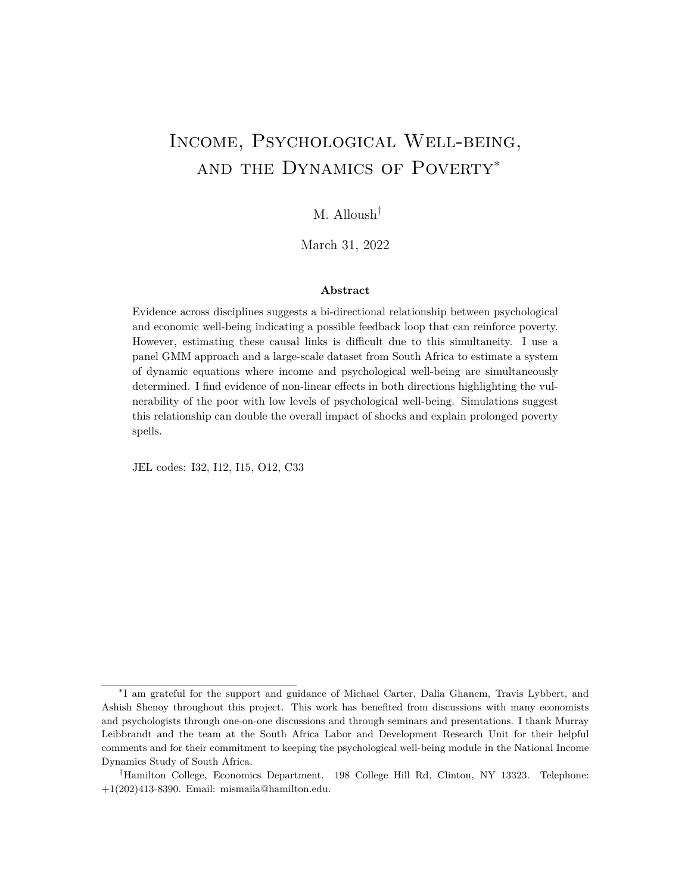*where*

$$
Z_{i,t}^{B} = \begin{array}{ccccc} d_{i,t-3} & y_{i,t-3} & 0 & 0 \\ 0 & 0 & d_{i,t-3} & y_{i,t-3} \end{array}
$$

In addition,  $Z_{i,t}^{B}$  also provides moment conditions to identify the coe cients under the more *restrictive set of Assumptions A.*

The proof follows the same logic as the proof for  $Z_{i,t}^A$ . Expanding  $E \, Z_{i,t}^B \, D U_{i,t}$  and applying the law of iterated expectations gives the following:

$$
d_{i,t-3}E[e_{i,t} | d_{i,t-3}] - d_{i,t-3}E[e_{i,t-1} | d_{i,t-3}]
$$
  
\n
$$
E \t y_{i,t-3}E[e_{i,t} | y_{i,t-3}] - y_{i,t-3}E[e_{i,t-1} | y_{i,t-3}]
$$
  
\n
$$
d_{i,t-3}E[u_{i,t} | d_{i,t-3}] - d_{i,t-3}E[u_{i,t-1} | d_{i,t-3}]
$$
  
\n
$$
y_{i,t-3}E[u_{i,t} | y_{i,t-3}] - y_{i,t-3}E[u_{i,t-1} | y_{i,t-3}]
$$

which holds under both Assumption A and B. Four moments allow for the estimation of the four coefficients of interest and we are just identified. $61$ 

Under Assumption B, the error terms may be first-order moving-average serially correlated.<sup>62</sup> Assuming this type of first-order serial correlation is common in the literature on yearly income dynamics and state dependence of income and employment (Guvenen, 2007; Meghir and Pistaferri, 2004; Magnac, 2000).<sup>[63](#page-0-0)</sup> Moreover, the error terms  $e_{i,t}$  and  $u_{i,t}$  may be correlated with  $U_{i,t-1}$  and  $e_{i,t-1}$ , respectively. Under assumption B, twice lagged levels (and further) can only affect  $y_t$  and  $d_t$  through  $y_{t-1}$  and  $d_{t-1}$ . A visual representation of the implied dynamic processes under Assumptions B is shown in Figure A2.

Throughout the paper, I show, where appropriate, estimates based on both Assumptions A and B. If the results are not different under Assumption B, this would indicate that they are robust to first-order serial correlation. To test if the results under the two sets of assumptions are different, a Hausman-type test should be conducted. Neither regression gives results that are efficient, thus, when testing for the statistical significance of the difference of the estimates, the variance of the difference can be estimated using a bootstrap. If the difference is not statistically significantly different from zero, this would suggest, albeit indirectly, that the error terms are not strongly serially correlated. This is under the assumption that the dataset has four waves of data  $(T = 4)$ ; after taking the first difference and using lagged levels *t* − 2 and *t* − 3 as instruments, this effectively means that

 $61$ Removing the lagged  $t - 2$  level variables from the matrix of instruments allows for less restrictive assumptions on the error terms.

 $^{62}$ In a moving-average serial correlation,  $e_{i,t}$  is correlated with  $e_{i,t-1}$  but this correlation breaks down with *ei*,*t*−2. An autoregressive serial correlation implies a decaying correlation such that *ei*,*<sup>t</sup>* and *ei*,*t*−<sup>2</sup> are still correlated. This would violate the assumptions needed to for this approach (and typical Arellano-Bond approaches) to be consistent and no lags would be proper instruments.

<sup>&</sup>lt;sup>63</sup>The time periods considered are often of higher frequency. The time between each wave in this paper is two years – and income is reported for the past month – making serial correlation such as this less likely.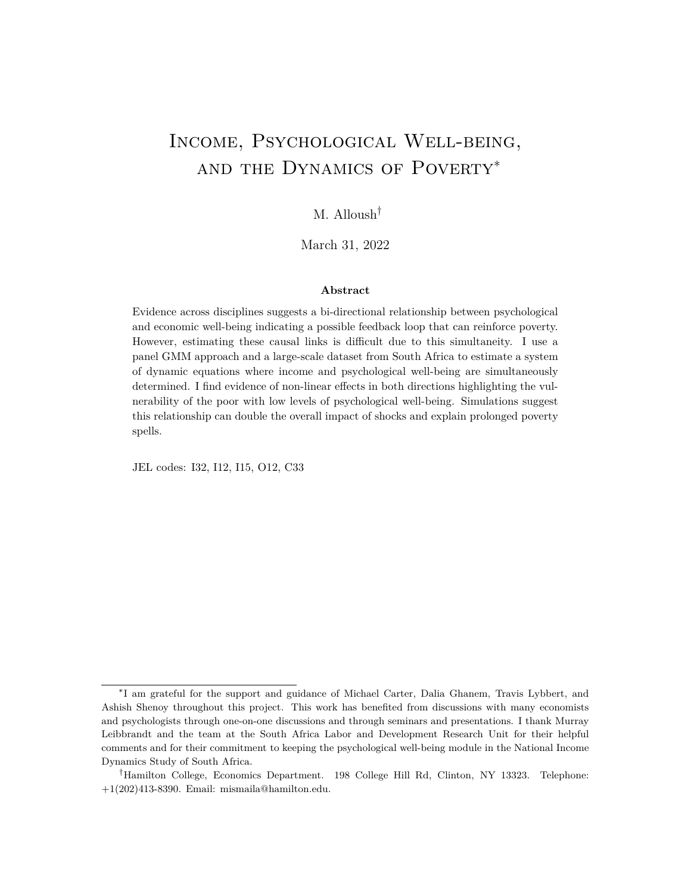Figure D2: Dynamic process allowed by Assumption B. Assumptions A and B imply slightly different dynamic processes. Under the less restrictive assumption B, the assumptions do not allow for direct effects across 2 time periods. Income and psychological well-being in time *t* − 2 can only affect income and psychological well-being in time *t* through income and psychological well-being in time *t* − 1.

we have one observation per individual. This means that we cannot directly test for serial correlation which is an important and obvious violation of Assumption A. When using  $Z_{i,t}^A$ , a test of overidentifying restrictions can give information on the validity of the instruments.

### **D.2.3** Assumptions when  $T > 4$

With additional waves  $(T > 4)$ , we can test directly for serial correlation, the weaker Assumption B would be over-identified, we have more power, and would be able to identify the system under even weaker assumptions that allow for additional orders of moving average serial correlation. I illustrate some these properties using simulations in the next section.

Suppose  $T > 4$ . The weakest assumption we can impose and be over-identified in estimated a system of dynamic simultaneous equations is:

$$
E \, e_{i,t} \, y_{i,t-(T-2)}, y_{i,t-(T-1)}, \ldots; d_{i,t-(T-2)}, d_{i,t-(T-1)}, \ldots = 0
$$

and

$$
E \, u_{i,t} \, y_{i,t-(T-2)}, y_{i,t-(T-1)}, \ldots; a_{i,t-(T-2)}, a_{i,t-(T-1)}, \ldots = 0
$$

and just identified:

$$
E \, e_{i,t} \, y_{i,t-(T-1)}, \ldots; d_{i,t-(T-1)}, \ldots = 0
$$

and

$$
E \, u_{i,t} \, y_{i,t-(T-1)}, \ldots; d_{i,t-(T-1)}, \ldots = 0
$$

However, in most circumstances, it is unnecessary to relax the assumptions to this level. With increasing T, these lags case will likely suffer from weak instruments problems. With assumptions similar to A or B, we can estimate the system with more observations (added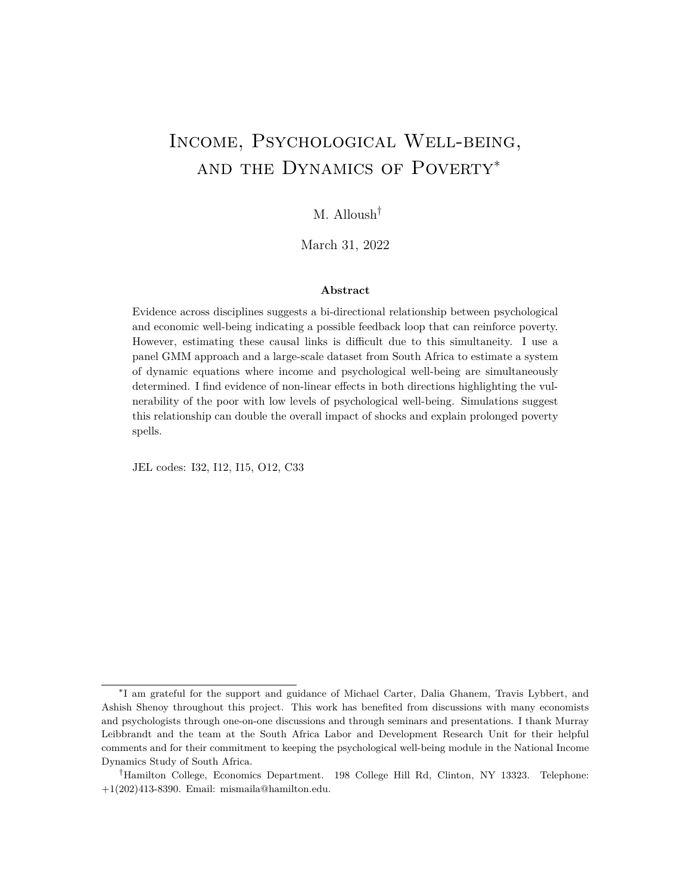observations per individual).

With additional assumptions on initial conditions and stationarity, conditional and time series heteroskedasticity, and correlation between the error terms and the individual fixed effects (or lack thereof), additional moment conditions would improve the efficiency of this estimation approach.

### **D.3 Monte Carlo Simulations**

In this section, I use the following set of simultaneous equations:

$$
y_{i,t} = -0.5d_{i,t} + 0.7y_{i,t-1} + i + e_{i,t}
$$
  

$$
d_{i,t} = -0.45y_{i,t} - 0.35d_{i,t-1} + i + u_{i,t}
$$

to conduct a Monte Carlo simulation to illustrate the consistency of this econometric approach.  $y_{i,0}$  and  $d_{i,0}$  are independently drawn from a  $N(0, 1)$  distribution. *i* and *j* are individual fixed effects randomly and independently drawn from a uniform[-1,1] distribution. From these initial conditions, I use the dynamic equations above to generate four rounds of data where the error terms are constructed as such:

$$
e_{i,t} = e^{z_{i,t-1}^{e}} + z_{i,t-1}^{u} + z_{i,t}^{e}
$$
  

$$
u_{i,t} = u^{z_{i,t-1}^{u}} + z_{i,t-1}^{e} + z_{i,t}^{u}
$$

where  $z_{i,t}^e$  and  $z_{i,t}^u$  are randomly drawn from an  $N(0, 1)$  distribution and with a correlation of  $-0.25$ . This defines the within-period covariance between  $e_{i,t}$  and  $u_{i,t}$ . contributes to the moving-average serial correlation in error terms and is the correlation between  $e_{i,t}$ and  $U_{i,t\pm1}$ .

I use the data  $(T = 4)$  created under the above data generating process to estimate the coefficients of the following equations:

$$
Dy_{i,t} = 1Dd_{i,t} + 1Dy_{i,t-1} + De_{i,t}
$$
  

$$
Dd_{i,t} = 2Dy_{i,t} + 2Dd_{i,t-1} + Du_{i,t}
$$

using a two step GMM and two different instrument matrices  $Z_{i,t}^A$  and  $Z_{i,t}^B$  where

$$
Z_{i,t}^A = \begin{array}{cccc} d_{i,t-2} & d_{i,t-3} & y_{i,t-3} & 0 & 0 & 0 \\ 0 & 0 & 0 & d_{i,t-3} & y_{i,t-2} & y_{i,t-3} \end{array}
$$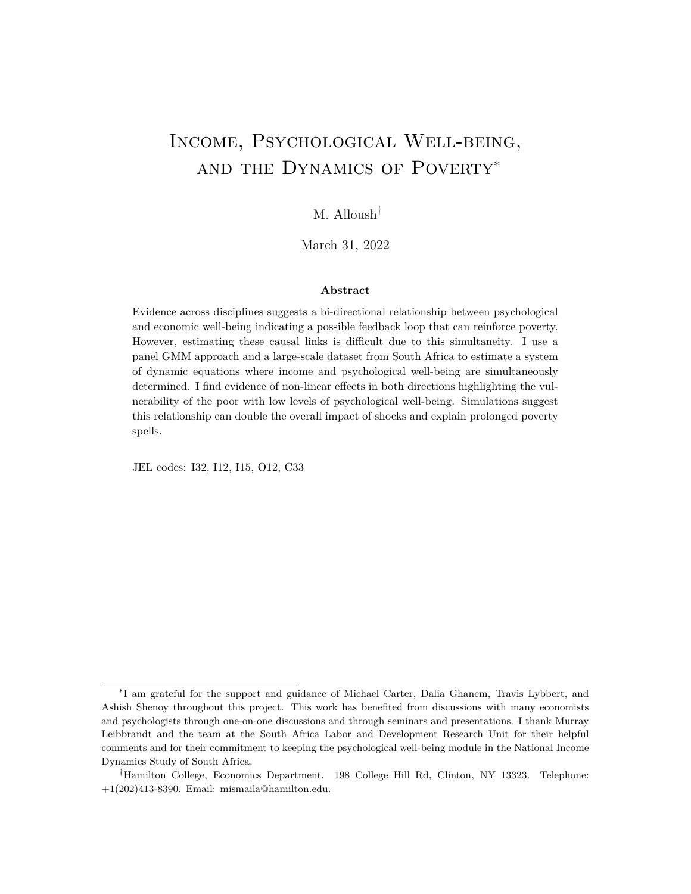$$
Z_{i,t}^{B} = \begin{array}{ccc} d_{i,t-3} & y_{i,t-3} & 0 & 0 \\ 0 & 0 & d_{i,t-3} & y_{i,t-3} \end{array}
$$

Below, I compare the consistency of using these two instrument matrices under different conditions.

### **D.3.1 No Serial Correlation**

Correlation between error terms in the same *t* ( ) does not affect consistency and in the throughout all the simulation results below I assume that  $= -0.4$ . Table [D1](#page-56-0) shows summary results when there is no serial correlation in the error terms ( $e = 0$  and  $u = 0$ ), and = 0. Using either instruments matrix  $Z_{i,t}^A$  or  $Z_{i,t}^B$  is consistent and the bias and standard deviation of the Monte Carlo estimates of the four coefficients of interest are decreasing with *N*. It is evident (in the top half of the table) that as *N* increases, bias and variance of the estimated coefficients is decreasing and going to 0—bias and *ssd* in the table of each coefficient is decreasing with *N*.

We have two measures of the standard error of the estimates: by taking the standard deviation of the simulated coefficients and by averaging the standard error of the estimate. We see in column 4 that the *se*/*ssd* ratio is inching towards 1 with larger sample sizes, suggesting that we have a consistent estimator of the finite-sample variance.<sup>[64](#page-0-0)</sup> The simulation results suggest that the test is consistent against fixed alternatives as the probability of rejecting the null of 0 with a test of size 0.05 and 0.1 goes to 1 as *N* increases. Under these conditions, using  $Z_{i,t}^A$  strictly dominates in terms of power rejecting the null of zero with smaller *N*.

In the bottom half of Table [D1,](#page-56-0) I show results of using this estimation approach when there is no simultaneity:  $_1 = 0$  and  $_2 = 0$ . The estimation approach is consistent under these conditions with either instruments matrix. Again, using matrix  $Z_{i,t}^A$  that has more instruments has more power in rejecting the null for the lagged dependent terms. Importantly, for the coefficients that are equal to zero, this approach rejects the null of zero at about the size of the test (0.05 and 0.10).

Table [D2](#page-57-0) shows results for similar conditions with respect to serial correlation, only the random variables and the unobserved error/shock terms are calibrated to look more like the data for income and psychological well-being in South Africa. We can see that the estimation approach under the condition of no serial correlation is consistent and the tests are well-behaved.

and

 $64$ In these simulations, I do not assume that the process is stationary; the observations of *y* and *d* are not necessarily in their long-run equilibrium means and standard deviations. With stationarity, these ratios are close to 1 even in small sample sizes.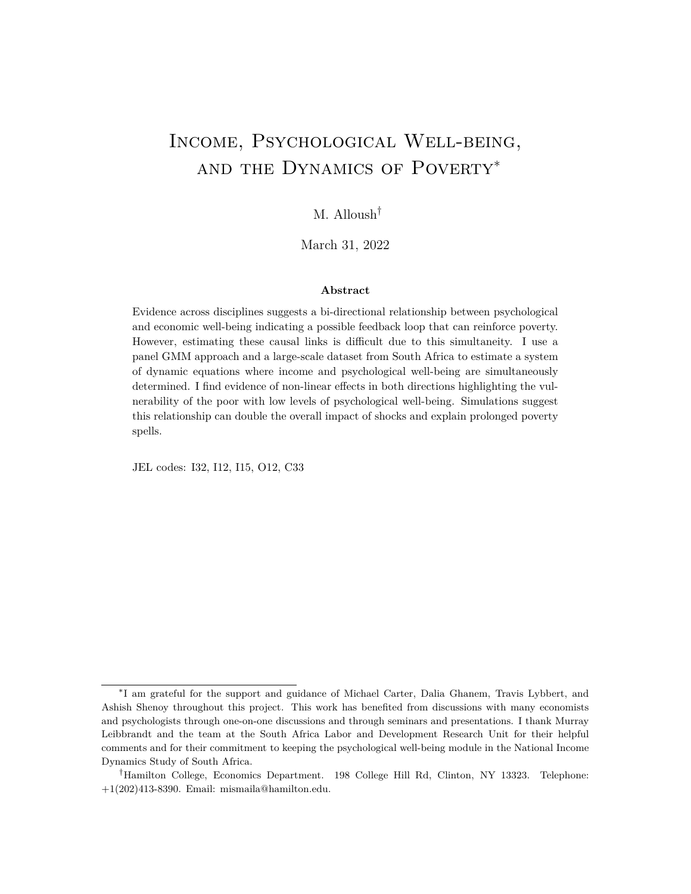### **D.3.2 First-Order Serial Correlation**

In Table [D3,](#page-58-0) I add first-order moving-average serial correlation to both error terms. I do so by setting = 0.3. Under these conditions, only estimation using  $Z_{i,t}^B$  will be consistent. In Table [D3,](#page-58-0) we can see that the bias when using  $Z_{i,t}^A$  does is not decreasing to zero with N. On the other hand, using  $Z_{i,t}^B$  is consistent and the bias and the standard deviation of the Monte Carlo estimates of the coefficients of the system of equations is decreasing to zero with increasing *N*.

In the lower half of Table [D3,](#page-58-0) we can see that under conditions of first-order serial correlation, even if the true data generating process has no simultaneity  $(1)$  and  $2$  are zero) using  $Z_{i,t}^A$  will be not be consistent. This is due to the within period correlation between the two error terms.<sup>[65](#page-0-0)</sup> Importantly, when using  $Z_{i,t}^B$  the test is well-behaved and this approach rejects the null at about the size of the test.

### **D.3.3 Cross-Error Serial Correlation**

The results in Table [D4](#page-59-0) show that if, in addition to first-order serial correlation, which effectively introduces correlation across the two error terms over time is not equal to zero, then using  $Z_{i,t}^A$  will not be consistent even when there is no simultaneous causality ( $\tau_1$  and <sup>2</sup> are zero).

Using matrix  $Z_{i,t}^B$ , however, is consistent and the estimated coefficients have bias and standard deviation of the estimates that go to zero as *N* increases.

### **D.3.4 Higher Order Serial Correlation and** *T >* 4

Moving-average serial correlation of an order more than one would create bias with the two approaches suggested here when  $T = 4$ . This is not shown in the simulations but is obvious from both assumption A and B. In this case, having *T >* 4 would allow us to estimate the system. Table [D5](#page-60-0) shows results when the moving average serial correlation is of order 2, there is cross correlation in error terms both concurrently and over 1 time period. Having further lags allows for consistent estimators by starting with further lags.

### **D.4 Conclusion**

This appendix provides an extension of dynamic panel data methods which shows that with more observations per individual—at least four, a system of simultaneous dynamic equations can be estimated using lagged levels as instruments for first differences. I show that with  $T =$ 

 ${}^{65}$ If = 0 and there is first-order moving-average serial correlation, using  $Z_{i,t}^{A}$  will be consistent under conditions of no simultaneity. Under these conditions, despite the bias of  $\mathbb{Z}_{i,t}^{\mathcal{A}}$ , it can still be useful in showing that there is simultaneity.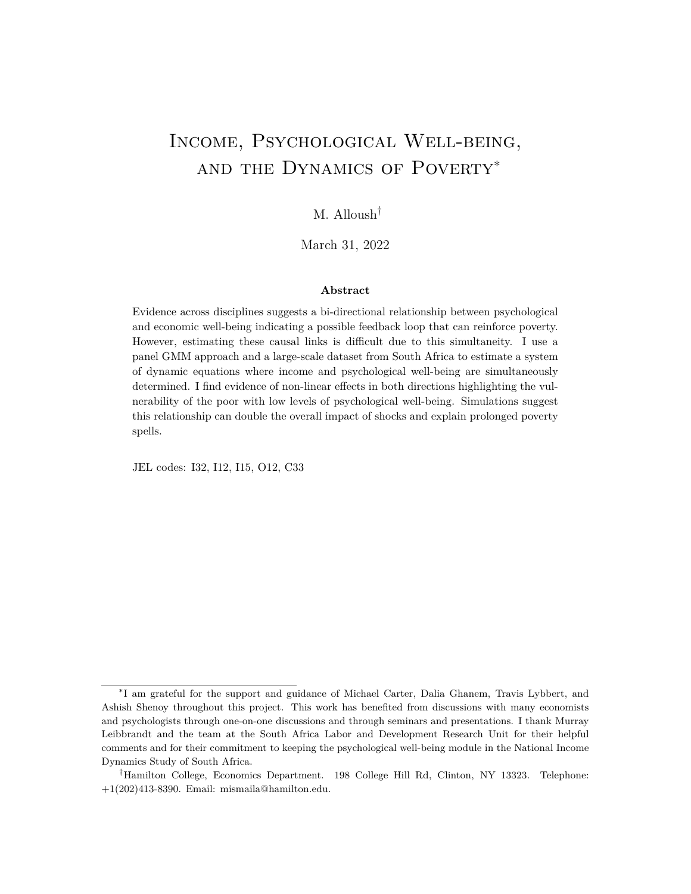4, two approaches can be consistent depending on the data generating process. Through proofs and simulations, I show that, overall, using  $Z_{i,t}^B$  is more robust to different conditions, however, under conditions of no serial correlation in shocks, the approach that uses  $Z_{i,t}^A$  is consistent and more powerful. Even with if first-order moving-average serial correlation is suspected, the simulations show that  $Z_{i,t}^A$  can be useful in informing us about the existence of simultaneous bi-directional causality.

<span id="page-56-0"></span>

|                     |                       |                                  |                         | $\epsilon = 0$          | $U = 0$ ,               | $= -0.4$ .              | $= 0$                                         |                          |                         |                         |                         |  |
|---------------------|-----------------------|----------------------------------|-------------------------|-------------------------|-------------------------|-------------------------|-----------------------------------------------|--------------------------|-------------------------|-------------------------|-------------------------|--|
|                     |                       | $Z_{i,t}^A$                      |                         |                         |                         |                         |                                               | $Z_{i,t}^B$              |                         |                         |                         |  |
|                     | N                     | bias                             | ssd                     | $\frac{sse}{ssd}$       | $\mathbf{p5}$           | p10                     | bias                                          | ssd                      | $rac{sse}{ssd}$         | $\mathbf{p5}$           | p10                     |  |
| $1 = -0.5$          | 500<br>1,000<br>2,000 | 0.010<br>0.006<br>0.002          | 0.173<br>0.122<br>0.080 | 0.952<br>0.949<br>1.017 | 0.829<br>0.967<br>0.999 | 0.877<br>0.980<br>1.000 | Main Equation<br>0.114<br>0.236<br>0.002      | 4.140<br>6.761<br>0.134  | 1.666<br>0.753<br>0.954 | 0.681<br>0.755<br>0.910 | 0.722<br>0.800<br>0.935 |  |
| $1 = 0.7$           | 500<br>1,000<br>2,000 | $-0.019$<br>$-0.009$<br>$-0.004$ | 0.214<br>0.147<br>0.101 | 0.970<br>0.992<br>1.019 | 0.921<br>0.998<br>1.000 | 0.956<br>1.000<br>1.000 | 0.158<br>0.348<br>0.000                       | 7.055<br>10.241<br>0.225 | 1.652<br>0.774<br>0.896 | 0.364<br>0.776<br>0.988 | 0.536<br>0.865<br>0.995 |  |
| $2^{\circ} = -0.45$ | 500<br>1,000<br>2,000 | $-0.014$<br>$-0.013$<br>$-0.001$ | 0.470<br>0.200<br>0.138 | 0.625<br>0.938<br>0.960 | 0.584<br>0.718<br>0.859 | 0.648<br>0.784<br>0.897 | $-0.034$<br>$-0.001$<br>0.009                 | 0.720<br>0.369<br>0.216  | 0.884<br>0.858<br>0.949 | 0.430<br>0.516<br>0.630 | 0.495<br>0.595<br>0.700 |  |
| $-0.35$<br>$2 =$    | 500<br>1.000<br>2,000 | 0.000<br>$-0.001$<br>$-0.001$    | 0.050<br>0.035<br>0.024 | 1.020<br>0.970<br>0.995 | 0.989<br>1.000<br>1.000 | 0.993<br>1.000<br>1.000 | 0.017<br>0.002<br>$-0.001$                    | 0.204<br>0.127<br>0.074  | 0.930<br>0.848<br>0.954 | 0.621<br>0.907<br>0.997 | 0.720<br>0.938<br>0.997 |  |
| $1 = 0$             | 500<br>1,000<br>2,000 | 0.008<br>0.006<br>0.002          | 0.131<br>0.090<br>0.064 | 0.986<br>1.013<br>0.992 | 0.047<br>0.040<br>0.051 | 0.093<br>0.090<br>0.101 | No Simultaneity<br>$-0.004$<br>0.037<br>0.004 | 0.860<br>0.376<br>0.210  | 0.906<br>0.853<br>0.948 | 0.045<br>0.040<br>0.047 | 0.075<br>0.083<br>0.089 |  |
| $_1 = 0.7$          | 500<br>1,000<br>2.000 | $-0.040$<br>$-0.015$<br>$-0.008$ | 0.247<br>0.179<br>0.127 | 1.027<br>1.003<br>0.999 | 0.871<br>0.999<br>1.000 | 0.943<br>1.000<br>1.000 | $-0.021$<br>$-0.005$<br>$-0.004$              | 0.396<br>0.214<br>0.141  | 1.051<br>1.022<br>0.987 | 0.613<br>0.954<br>1.000 | 0.742<br>0.978<br>1.000 |  |
| $2 = 0$             | 500<br>1.000<br>2,000 | $-0.001$<br>0.002<br>0.004       | 0.259<br>0.177<br>0.122 | 0.954<br>0.976<br>0.996 | 0.056<br>0.047<br>0.040 | 0.114<br>0.103<br>0.095 | $-0.008$<br>0.005<br>0.009                    | 0.485<br>0.303<br>0.198  | 0.867<br>0.906<br>0.970 | 0.060<br>0.055<br>0.053 | 0.107<br>0.099<br>0.096 |  |
| $2 = -0.35$         | 500<br>1.000<br>2.000 | $-0.006$<br>$-0.004$<br>$-0.001$ | 0.120<br>0.084<br>0.062 | 0.986<br>0.994<br>0.953 | 0.809<br>0.962<br>0.999 | 0.869<br>0.976<br>1.000 | 0.014<br>0.005<br>0.002                       | 0.151<br>0.100<br>0.070  | 0.918<br>0.947<br>0.952 | 0.660<br>0.909<br>0.992 | 0.743<br>0.946<br>0.996 |  |

Table D1: Simulation Results 1 – No Serial Correlation

Results are based on simulations using 1,000 replications.

**N**: Number of observations

**bias**: Bias of the estimated coefficient

**ssd**: Standard Deviation of the estimated coefficients

 $\frac{SSe}{SSd}$ : Mean of the ratio of the estimated standard error to **ssd** 

**p5,p10**: Probability of rejecting null where coefficient equals 0 with test of size 5, 10.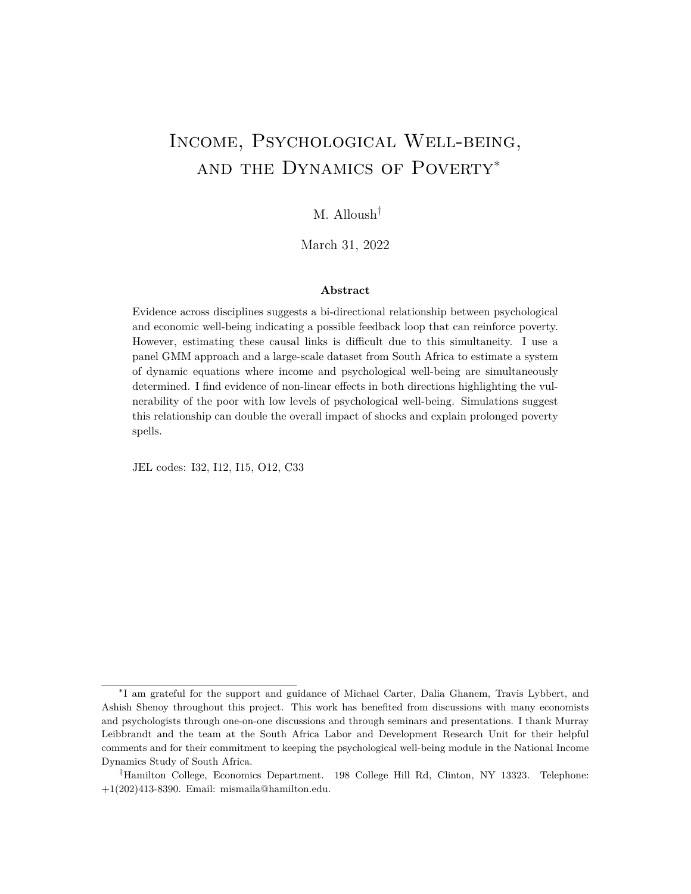<span id="page-57-0"></span>

| $_e = 0, u = 0,$<br>$= -0.4$ .<br>$= 0$ |                       |                                  |                         |                         |                         |                         |                                                |                         |                         |                         |                         |
|-----------------------------------------|-----------------------|----------------------------------|-------------------------|-------------------------|-------------------------|-------------------------|------------------------------------------------|-------------------------|-------------------------|-------------------------|-------------------------|
|                                         |                       |                                  |                         | ΖĄ,                     |                         | $Z_{i,t}^B$             |                                                |                         |                         |                         |                         |
|                                         | N                     | bias                             | ssd                     | $rac{sse}{ssd}$         | $\mathbf{p5}$           | p10                     | bias                                           | ssd                     | $rac{sse}{ssd}$         | p5                      | p10                     |
| $-0.5$<br>$1 =$                         | 500<br>1,000<br>2,000 | $-0.029$<br>$-0.015$<br>$-0.007$ | 0.257<br>0.185<br>0.127 | 0.997<br>0.978<br>1.006 | 0.607<br>0.758<br>0.944 | 0.688<br>0.833<br>0.968 | Main Equation<br>$-0.033$<br>0.020<br>$-0.005$ | 0.539<br>0.480<br>0.231 | 0.938<br>0.761<br>0.965 | 0.474<br>0.506<br>0.669 | 0.541<br>0.573<br>0.738 |
| $_1 = 0.7$                              | 500<br>1.000<br>2,000 | $-0.009$<br>$-0.005$<br>$-0.003$ | 0.117<br>0.080<br>0.057 | 0.989<br>1.013<br>1.011 | 1.000<br>1.000<br>1.000 | 1.000<br>1.000<br>1.000 | $-0.016$<br>0.005<br>$-0.006$                  | 0.211<br>0.170<br>0.094 | 0.976<br>0.864<br>0.968 | 0.945<br>0.988<br>1.000 | 0.964<br>0.993<br>1.000 |
| $-0.45$<br>$2 =$                        | 500<br>1,000<br>2,000 | $-0.003$<br>$-0.002$<br>0.000    | 0.055<br>0.035<br>0.026 | 0.916<br>1.012<br>0.981 | 1.000<br>1.000<br>1.000 | 1.000<br>1.000<br>1.000 | $-0.002$<br>$-0.001$<br>0.000                  | 0.055<br>0.035<br>0.026 | 0.951<br>1.032<br>0.989 | 0.998<br>1.000<br>1.000 | 0.999<br>1.000<br>1.000 |
| $-0.35$<br>$2 =$                        | 500<br>1,000<br>2,000 | $-0.003$<br>$-0.001$<br>0.000    | 0.036<br>0.026<br>0.018 | 1.022<br>1.009<br>1.000 | 1.000<br>1.000<br>1.000 | 1.000<br>1.000<br>1.000 | 0.000<br>0.001<br>0.001                        | 0.063<br>0.042<br>0.029 | 0.923<br>0.963<br>0.994 | 0.992<br>0.999<br>1.000 | 0.994<br>0.999<br>1.000 |
| $_1 = 0$                                | 500<br>1,000<br>2,000 | 0.013<br>0.013<br>0.005          | 0.415<br>0.285<br>0.204 | 0.979<br>1.003<br>0.986 | 0.048<br>0.047<br>0.051 | 0.095<br>0.091<br>0.105 | No Simultaneity<br>$-0.054$<br>0.075<br>0.001  | 2.082<br>1.067<br>0.625 | 0.832<br>0.867<br>0.956 | 0.040<br>0.038<br>0.043 | 0.067<br>0.080<br>0.089 |
| $_1 = 0.7$                              | 500<br>1,000<br>2.000 | $-0.010$<br>$-0.004$<br>$-0.005$ | 0.143<br>0.100<br>0.069 | 0.992<br>0.995<br>1.007 | 1.000<br>1.000<br>1.000 | 1.000<br>1.000<br>1.000 | $-0.009$<br>$-0.001$<br>$-0.001$               | 0.197<br>0.109<br>0.072 | 0.989<br>1.033<br>1.019 | 0.951<br>0.996<br>1.000 | 0.962<br>0.997<br>1.000 |
| $2 = 0$                                 | 500<br>1,000<br>2,000 | $-0.001$<br>0.000<br>0.001       | 0.057<br>0.038<br>0.027 | 0.946<br>0.987<br>1.002 | 0.055<br>0.037<br>0.042 | 0.101<br>0.086<br>0.090 | $-0.003$<br>0.000<br>0.001                     | 0.070<br>0.044<br>0.032 | 0.928<br>1.009<br>0.992 | 0.059<br>0.040<br>0.044 | 0.112<br>0.072<br>0.090 |
| $-0.35$<br>$2 =$                        | 500<br>1,000<br>2.000 | $-0.007$<br>$-0.003$<br>0.001    | 0.116<br>0.083<br>0.061 | 0.985<br>0.975<br>0.945 | 0.829<br>0.963<br>1.000 | 0.883<br>0.979<br>1.000 | 0.008<br>0.003<br>0.003                        | 0.135<br>0.091<br>0.066 | 0.918<br>0.959<br>0.947 | 0.751<br>0.944<br>0.997 | 0.811<br>0.968<br>1.000 |

TABLE D2: Simulation Results  $2$  – Calibrated Data

**N**: Number of observations

**bias**: Bias of the estimated coefficient

**ssd**: Standard Deviation of the estimated coefficients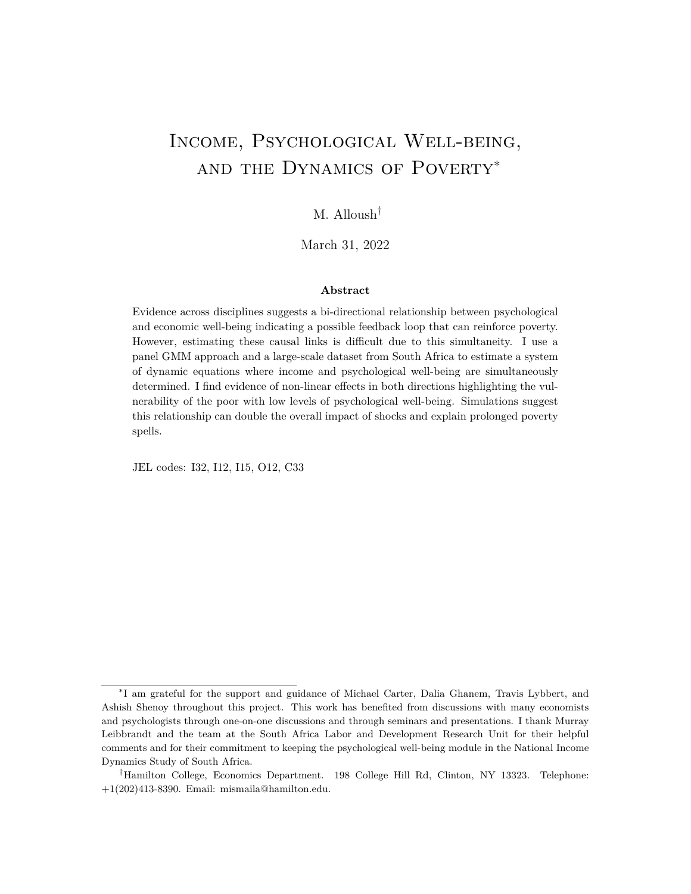<span id="page-58-0"></span>

|                     |                       |                                  |                         | $_e = 0.3, u = 0.3,$    |                         | $= -0.4$ .              | $= 0$                                            |                         |                         |                         |                         |  |
|---------------------|-----------------------|----------------------------------|-------------------------|-------------------------|-------------------------|-------------------------|--------------------------------------------------|-------------------------|-------------------------|-------------------------|-------------------------|--|
|                     |                       |                                  |                         | $Z_{i,t}^A$             |                         |                         | $Z_{i,t}^B$                                      |                         |                         |                         |                         |  |
|                     | N                     | bias                             | ssd                     | $\frac{sse}{ssd}$       | p5                      | p10                     | bias                                             | ssd                     | $rac{sse}{ssd}$         | $\mathbf{p5}$           | p10                     |  |
| $1 = -0.5$          | 500<br>1,000<br>2,000 | 0.142<br>0.341<br>0.364          | 0.976<br>0.891<br>0.462 | 0.599<br>0.532<br>0.645 | 0.349<br>0.275<br>0.256 | 0.393<br>0.319<br>0.297 | Main Equation<br>0.009<br>0.100<br>$-0.007$      | 1.556<br>2.680<br>0.274 | 0.592<br>0.430<br>0.917 | 0.451<br>0.483<br>0.603 | 0.508<br>0.560<br>0.686 |  |
| $_1 = 0.7$          | 500<br>1,000<br>2,000 | 0.010<br>0.088<br>0.093          | 0.347<br>0.313<br>0.154 | 0.608<br>0.550<br>0.694 | 0.927<br>0.992<br>1.000 | 0.944<br>0.994<br>1.000 | $-0.033$<br>0.027<br>$-0.005$                    | 0.847<br>0.751<br>0.097 | 0.845<br>0.478<br>0.929 | 0.941<br>0.985<br>0.998 | 0.958<br>0.989<br>1.000 |  |
| $-0.45$<br>$2 =$    | 500<br>1,000<br>2,000 | $-0.006$<br>$-0.002$<br>0.002    | 0.060<br>0.038<br>0.028 | 0.824<br>0.898<br>0.851 | 1.000<br>1.000<br>1.000 | 1.000<br>1.000<br>1.000 | $-0.002$<br>0.000<br>0.000                       | 0.052<br>0.033<br>0.025 | 0.960<br>1.050<br>0.981 | 1.000<br>1.000<br>1.000 | 1.000<br>1.000<br>1.000 |  |
| $-0.35$<br>$2 =$    | 500<br>1,000<br>2,000 | 0.045<br>0.029<br>0.024          | 0.087<br>0.048<br>0.028 | 0.594<br>0.761<br>0.939 | 0.947<br>0.995<br>1.000 | 0.954<br>0.995<br>1.000 | 0.002<br>0.001<br>0.001                          | 0.072<br>0.048<br>0.032 | 0.929<br>0.977<br>1.004 | 0.979<br>0.998<br>1.000 | 0.986<br>0.999<br>1.000 |  |
| $1 = 0$             | 500<br>1.000<br>2,000 | 0.475<br>0.478<br>0.475          | 0.708<br>0.476<br>0.338 | 0.952<br>0.984<br>0.969 | 0.066<br>0.134<br>0.277 | 0.159<br>0.239<br>0.410 | No Simultaneity<br>0.058<br>$-0.023$<br>$-0.024$ | 4.088<br>4.796<br>1.067 | 0.805<br>0.736<br>0.863 | 0.035<br>0.025<br>0.033 | 0.074<br>0.077<br>0.076 |  |
| $_1 = 0.7$          | 500<br>1,000<br>2,000 | $-0.001$<br>0.006<br>0.005       | 0.125<br>0.087<br>0.061 | 1.019<br>1.010<br>1.005 | 1.000<br>1.000<br>1.000 | 1.000<br>1.000<br>1.000 | $-0.013$<br>0.003<br>$-0.003$                    | 0.199<br>0.237<br>0.064 | 1.067<br>0.863<br>1.034 | 0.913<br>0.985<br>0.999 | 0.936<br>0.990<br>0.999 |  |
| $2 = 0$             | 500<br>1,000<br>2,000 | $-0.018$<br>$-0.017$<br>$-0.016$ | 0.048<br>0.033<br>0.023 | 0.956<br>0.974<br>0.992 | 0.085<br>0.092<br>0.128 | 0.146<br>0.152<br>0.214 | $-0.003$<br>0.000<br>0.001                       | 0.061<br>0.039<br>0.028 | 0.950<br>1.026<br>0.980 | 0.057<br>0.031<br>0.040 | 0.105<br>0.072<br>0.101 |  |
| $2^{\circ} = -0.35$ | 500<br>1,000<br>2,000 | 0.032<br>0.035<br>0.044          | 0.170<br>0.125<br>0.089 | 0.954<br>0.924<br>0.917 | 0.551<br>0.752<br>0.916 | 0.633<br>0.828<br>0.953 | 0.015<br>0.007<br>0.005                          | 0.194<br>0.138<br>0.095 | 0.914<br>0.904<br>0.937 | 0.510<br>0.749<br>0.928 | 0.615<br>0.833<br>0.951 |  |

TABLE D3: Simulation Results  $3$  – First-order Serial Correlation

**N**: Number of observations

**bias**: Bias of the estimated coefficient

**ssd**: Standard Deviation of the estimated coefficients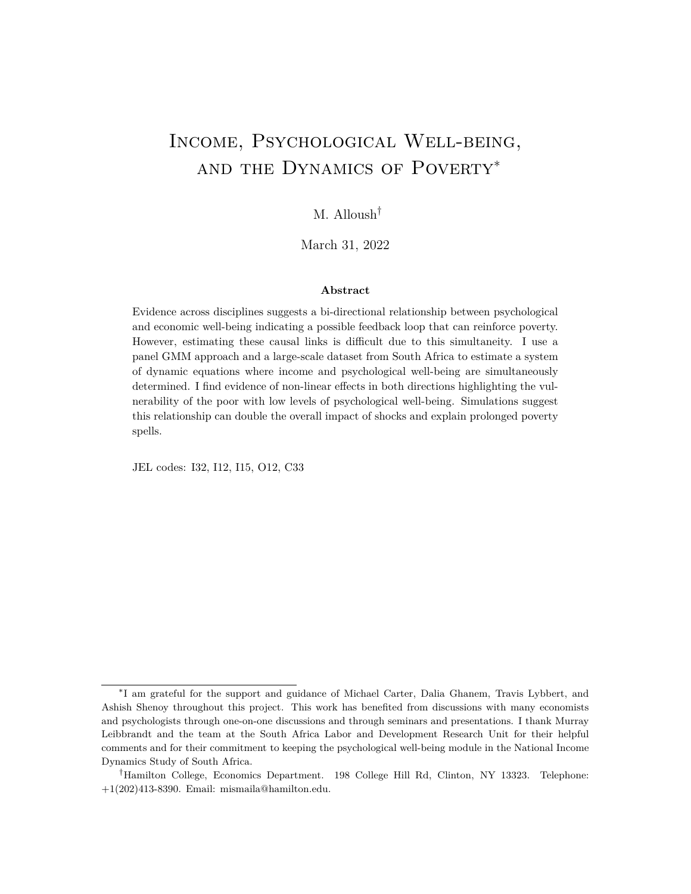|                     |                       |                                  |                         | $e = 0.3, u = 0.3,$     |                         | $= -0.4$ .              | $= -0.2$                                       |                          |                         |                         |                         |
|---------------------|-----------------------|----------------------------------|-------------------------|-------------------------|-------------------------|-------------------------|------------------------------------------------|--------------------------|-------------------------|-------------------------|-------------------------|
|                     |                       |                                  |                         | $Z_{i,t}^A$             |                         |                         |                                                |                          | $Z_{i,t}^B$             |                         |                         |
|                     | N                     | bias                             | ssd                     | $\frac{sse}{ssd}$       | $\mathbf{p}5$           | p10                     | bias                                           | ssd                      | $\frac{sse}{ssd}$       | $\mathbf{p5}$           | p10                     |
| $1 = -0.5$          | 500<br>1.000<br>2.000 | $-1.563$<br>$-1.643$<br>$-1.705$ | 0.434<br>0.324<br>0.222 | 0.590<br>0.565<br>0.595 | 0.993<br>0.999<br>1.000 | 0.996<br>0.999<br>1.000 | Main Equation<br>$-0.049$<br>0.015<br>$-0.007$ | 1.884<br>0.640<br>0.370  | 0.734<br>0.848<br>0.892 | 0.422<br>0.412<br>0.518 | 0.490<br>0.488<br>0.595 |
| $_1 = 0.7$          | 500<br>1,000<br>2,000 | $-0.550$<br>$-0.572$<br>$-0.588$ | 0.164<br>0.117<br>0.082 | 0.451<br>0.442<br>0.443 | 0.529<br>0.613<br>0.681 | 0.609<br>0.672<br>0.737 | $-0.007$<br>0.002<br>$-0.004$                  | 0.599<br>0.167<br>0.103  | 0.683<br>0.890<br>0.879 | 0.913<br>0.977<br>0.998 | 0.936<br>0.982<br>0.999 |
| $2^{\circ} = -0.45$ | 500<br>1,000<br>2,000 | $-0.048$<br>$-0.035$<br>$-0.024$ | 0.102<br>0.076<br>0.054 | 0.671<br>0.642<br>0.645 | 0.989<br>0.999<br>1.000 | 0.994<br>0.999<br>1.000 | 0.001<br>$-0.001$<br>0.001                     | 0.076<br>0.047<br>0.034  | 0.935<br>1.026<br>0.992 | 0.983<br>1.000<br>1.000 | 0.990<br>1.000<br>1.000 |
| $-0.35$<br>$2 =$    | 500<br>1,000<br>2,000 | 0.327<br>0.346<br>0.361          | 0.112<br>0.079<br>0.055 | 0.506<br>0.459<br>0.434 | 0.328<br>0.363<br>0.429 | 0.415<br>0.451<br>0.507 | 0.009<br>0.001<br>0.001                        | 0.102<br>0.067<br>0.046  | 0.915<br>0.976<br>1.000 | 0.901<br>0.993<br>1.000 | 0.920<br>0.997<br>1.000 |
| $1 = 0$             | 500<br>1,000<br>2,000 | 0.841<br>0.886<br>0.906          | 0.768<br>0.389<br>0.274 | 1.025<br>1.308<br>1.312 | 0.104<br>0.380<br>0.834 | 0.231<br>0.587<br>0.928 | No Simultaneity<br>-1.445<br>0.002<br>$-0.027$ | 31.081<br>3.108<br>1.313 | 1.891<br>0.624<br>0.752 | 0.042<br>0.034<br>0.030 | 0.085<br>0.085<br>0.079 |
| $_1 = 0.7$          | 500<br>1.000<br>2,000 | $-0.129$<br>$-0.133$<br>$-0.138$ | 0.172<br>0.095<br>0.066 | 0.860<br>1.004<br>1.012 | 0.959<br>0.998<br>1.000 | 0.974<br>0.999<br>1.000 | 0.080<br>$-0.003$<br>0.000                     | 1.543<br>0.223<br>0.110  | 1.677<br>0.816<br>0.883 | 0.840<br>0.946<br>0.991 | 0.878<br>0.956<br>0.993 |
| $2 = 0$             | 500<br>1.000<br>2,000 | $-0.300$<br>$-0.300$<br>$-0.301$ | 0.064<br>0.046<br>0.031 | 0.886<br>0.858<br>0.898 | 1.000<br>1.000<br>1.000 | 1.000<br>1.000<br>1.000 | 0.001<br>$-0.001$<br>0.000                     | 0.095<br>0.063<br>0.045  | 0.965<br>0.953<br>0.949 | 0.085<br>0.059<br>0.058 | 0.133<br>0.102<br>0.116 |
| $-0.35$<br>$2 =$    | 500<br>1,000<br>2,000 | $-0.553$<br>$-0.577$<br>$-0.585$ | 0.205<br>0.141<br>0.101 | 0.803<br>0.816<br>0.812 | 0.995<br>1.000<br>1.000 | 0.997<br>1.000<br>1.000 | 0.015<br>0.003<br>0.001                        | 0.218<br>0.150<br>0.110  | 1.009<br>0.931<br>0.918 | 0.471<br>0.691<br>0.875 | 0.570<br>0.759<br>0.911 |

<span id="page-59-0"></span>Table D4: Simulation Results 4 – First Order Serial Correlation and Cross Correlation

**N**: Number of observations

**bias**: Bias of the estimated coefficient

**ssd**: Standard Deviation of the estimated coefficients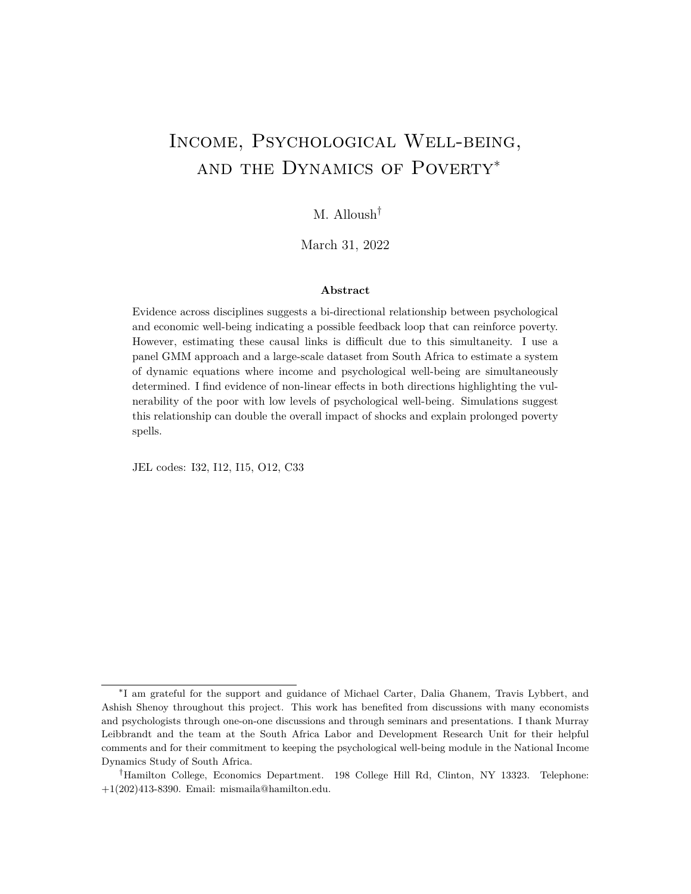<span id="page-60-0"></span>

|                  |                       |                                  |                         | $_e = 0.3, u = 0.3,$    |                         | $= -0.4$ ,              | $= -0.2$                                            |                          |                         |                         |                         |
|------------------|-----------------------|----------------------------------|-------------------------|-------------------------|-------------------------|-------------------------|-----------------------------------------------------|--------------------------|-------------------------|-------------------------|-------------------------|
|                  |                       |                                  |                         | $Z_{i,t}^A$             |                         |                         |                                                     |                          | $Z_{i,t}^B$             |                         |                         |
|                  | N                     | bias                             | ssd                     | $rac{sse}{ssd}$         | $\mathbf{p5}$           | $\mathbf{p10}$          | bias                                                | ssd                      | $\frac{sse}{ssd}$       | $\mathbf{p5}$           | p10                     |
| $1 = -0.5$       | 500<br>1,000<br>2,000 | $-0.609$<br>$-0.279$<br>$-0.136$ | 1.098<br>1.154<br>0.612 | 0.676<br>0.689<br>0.759 | 0.654<br>0.572<br>0.551 | 0.708<br>0.624<br>0.610 | Main Equation<br>$-0.488$<br>$-0.685$<br>0.036      | 7.068<br>1.672<br>14.521 | 1.675<br>1.363<br>1.326 | 0.606<br>0.554<br>0.528 | 0.667<br>0.607<br>0.573 |
| $_1 = 0.7$       | 500<br>1.000<br>2.000 | $-0.149$<br>$-0.070$<br>$-0.033$ | 0.260<br>0.274<br>0.153 | 0.714<br>0.732<br>0.749 | 0.890<br>0.937<br>0.991 | 0.911<br>0.947<br>0.993 | $-0.165$<br>$-0.208$<br>0.053                       | 1.514<br>0.490<br>5.461  | 1.506<br>1.348<br>1.299 | 0.551<br>0.605<br>0.690 | 0.616<br>0.676<br>0.744 |
| $2 = -0.45$      | 500<br>1,000<br>2.000 | $-0.007$<br>0.002<br>$-0.002$    | 0.105<br>0.078<br>0.052 | 0.933<br>0.882<br>0.893 | 0.934<br>0.972<br>0.996 | 0.950<br>0.979<br>0.996 | $-0.004$<br>$-0.002$<br>0.002                       | 0.458<br>0.204<br>0.066  | 0.804<br>0.915<br>0.959 | 0.867<br>0.922<br>0.978 | 0.897<br>0.935<br>0.981 |
| $-0.35$<br>$2 =$ | 500<br>1,000<br>2.000 | 0.008<br>0.014<br>$-0.001$       | 0.179<br>0.136<br>0.084 | 0.823<br>0.806<br>0.872 | 0.730<br>0.814<br>0.959 | 0.779<br>0.848<br>0.972 | 0.009<br>0.012<br>0.003                             | 1.103<br>0.604<br>0.177  | 0.827<br>0.823<br>0.899 | 0.442<br>0.522<br>0.668 | 0.506<br>0.584<br>0.722 |
| $1 = 0$          | 500<br>1.000<br>2.000 | $-0.218$<br>0.081<br>0.031       | 2.640<br>1.665<br>1.000 | 0.759<br>0.773<br>0.845 | 0.035<br>0.043<br>0.033 | 0.082<br>0.090<br>0.088 | No Simultaneity<br>$-1.089$<br>$-0.249$<br>$-0.093$ | 18.930<br>5.834<br>6.188 | 0.810<br>1.093<br>1.101 | 0.034<br>0.036<br>0.039 | 0.063<br>0.072<br>0.076 |
| $_1 = 0.7$       | 500<br>1.000<br>2.000 | $-0.043$<br>$-0.027$<br>$-0.011$ | 0.313<br>0.166<br>0.115 | 1.032<br>1.106<br>1.023 | 0.776<br>0.965<br>0.999 | 0.853<br>0.977<br>0.999 | 0.000<br>$-0.018$<br>$-0.021$                       | 1.326<br>0.485<br>0.255  | 1.009<br>0.930<br>1.264 | 0.471<br>0.731<br>0.872 | 0.575<br>0.797<br>0.896 |
| $2 = 0$          | 500<br>1.000<br>2,000 | $-0.007$<br>$-0.002$<br>$-0.002$ | 0.100<br>0.088<br>0.038 | 0.951<br>0.716<br>1.008 | 0.045<br>0.040<br>0.048 | 0.090<br>0.080<br>0.086 | 0.003<br>0.002<br>0.000                             | 0.158<br>0.108<br>0.058  | 1.438<br>1.125<br>1.025 | 0.037<br>0.029<br>0.037 | 0.069<br>0.069<br>0.085 |
| $2 = -0.35$      | 500<br>1.000<br>2.000 | $-0.167$<br>$-0.062$<br>$-0.034$ | 0.593<br>0.466<br>0.259 | 0.927<br>0.823<br>0.964 | 0.354<br>0.386<br>0.490 | 0.436<br>0.476<br>0.568 | $-0.155$<br>$-0.006$<br>0.004                       | 1.120<br>0.669<br>0.340  | 1.313<br>1.037<br>0.927 | 0.222<br>0.275<br>0.369 | 0.298<br>0.356<br>0.475 |

TABLE D5: Simulation Results  $5$  – Second-order Serial Correlation

**N**: Number of observations

**bias**: Bias of the estimated coefficient

**ssd**: Standard Deviation of the estimated coefficients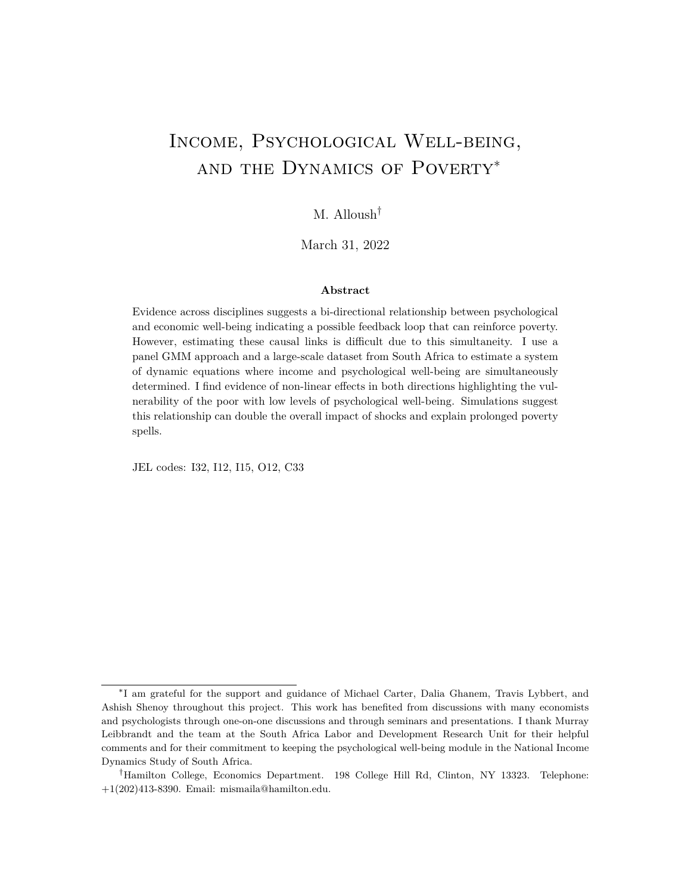### **E. Impulse Response Function (for online publication only)**

While in the system of equations used in this paper, I distinguish between household income and individual income, in this section, I abstract away from this distinction and I treat them as the same variable: however, I temper the effect of changes in CES-D on household income and reduce it to  $0.54$  times the estimated effect on individual income.<sup>[66](#page-0-0)</sup> Moreover, since I am considering small marginal changes or shocks, I ignore the estimated quadratic term. The simplified system of equations is the following:

$$
Dh_{i,t} = 1DD_{i,t} + 1Dh_{i,t-1} + De_{i,t}
$$
  

$$
DD_{i,t} = a_1 Dh_{i,t} + b_1 DD_{i,t-1} + Du_{i,t}
$$

I can represent these equations in the following matrix form:

$$
AY_{i,t} = BY_{i,t-1} + i_{,t}
$$

where  $Y_{i,t} = (Dh_{i,t} - DD_{i,t})$ ,  $I_{i,t} = (De_{i,t} - Du_{i,t})$ ,  $A = \begin{bmatrix} 1 & -1 \\ -a_i & 1 \end{bmatrix}$  $\begin{bmatrix} 1 & -1 \\ -a_1 & 1 \end{bmatrix}$  and  $B =$ 

<sup>1</sup> 0  $\begin{pmatrix} 0 & b_1 \\ b_1 & b_2 \end{pmatrix}$ , which can be rewritten as:

$$
Y_{i,t} = A^{-1}BY_{i,t-1} + A^{-1}_{i,t}
$$

A Wold decomposition of the above equation gives the following:

$$
Y_{i,t} = (A^{-1}B)^j A^{-1}{}_{i,t-j}
$$

This decomposition allows me to look at the effects of shocks (in ) on  $Y_{i,t}$  over time. For example, an income shock of size 1 in time  $t - j$  has the following effect on  $Y_{i,t}$ :

$$
\frac{Y_{i,t}}{e_{i,t-j}} = (A^{-1}B)^j A^{-1} e_1
$$

where  $e_1 = (1 \ 0)$ . Figure E1 shows the plot of the impulse response function of a negative shock to income over time. The dotted black line shows the impulse response for an AR(1) process that ignores psychological well-being.<sup>[67](#page-0-0)</sup>. The solid blue line shows the

 $^{66}$ This is the lower bound of the 95% confidence interval of the estimated effect of changes in individual income on household income per capita (this is calculated by estimating a system of equations that includes the effect of individual income on household income per capita.)

 $67$ The coefficient on lagged individual income is estimated from the data to be 0.71.